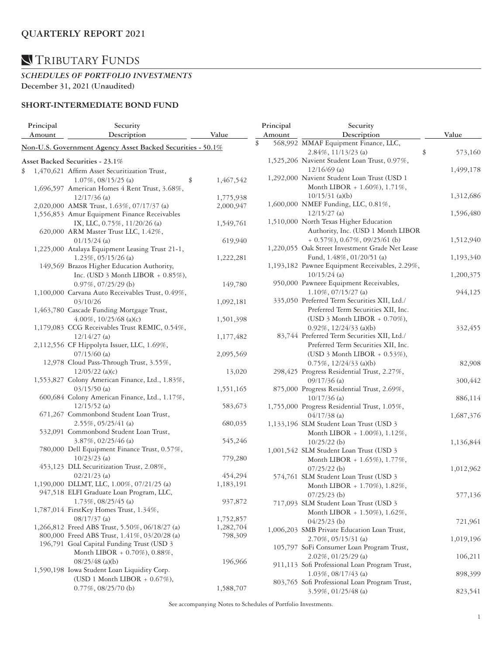## TRIBUTARY FUNDS

#### *SCHEDULES OF PORTFOLIO INVESTMENTS*  **December 31, 2021 (Unaudited)**

### **SHORT-INTERMEDIATE BOND FUND**

|    | Principal<br>Amount                        | Security<br>Description                                    | Value           | Principal<br>Amount                 | Security<br>Description                                    |    | Value     |
|----|--------------------------------------------|------------------------------------------------------------|-----------------|-------------------------------------|------------------------------------------------------------|----|-----------|
|    |                                            |                                                            |                 | \$                                  | 568,992 MMAF Equipment Finance, LLC,                       |    |           |
|    |                                            | Non-U.S. Government Agency Asset Backed Securities - 50.1% |                 |                                     | $2.84\%$ , 11/13/23 (a)                                    | \$ | 573,160   |
|    |                                            | Asset Backed Securities - 23.1%                            |                 |                                     | 1,525,206 Navient Student Loan Trust, 0.97%,               |    |           |
| \$ |                                            | 1,470,621 Affirm Asset Securitization Trust,               |                 |                                     | $12/16/69$ (a)                                             |    | 1,499,178 |
|    |                                            |                                                            |                 |                                     | 1,292,000 Navient Student Loan Trust (USD 1                |    |           |
|    |                                            | $1.07\%$ , 08/15/25 (a)                                    | 1,467,542<br>\$ |                                     | Month LIBOR + 1.60%), 1.71%,                               |    |           |
|    |                                            | 1,696,597 American Homes 4 Rent Trust, 3.68%,              |                 |                                     | $10/15/31$ (a)(b)                                          |    | 1,312,686 |
|    |                                            | $12/17/36$ (a)                                             | 1,775,938       |                                     | 1,600,000 NMEF Funding, LLC, 0.81%,                        |    |           |
|    |                                            | 2,020,000 AMSR Trust, 1.63%, 07/17/37 (a)                  | 2,000,947       |                                     |                                                            |    |           |
|    |                                            | 1,556,853 Amur Equipment Finance Receivables               |                 |                                     | $12/15/27$ (a)                                             |    | 1,596,480 |
|    |                                            | IX, LLC, 0.75%, 11/20/26 (a)                               | 1,549,761       |                                     | 1,510,000 North Texas Higher Education                     |    |           |
|    |                                            | 620,000 ARM Master Trust LLC, 1.42%,                       |                 |                                     | Authority, Inc. (USD 1 Month LIBOR                         |    |           |
|    |                                            | $01/15/24$ (a)                                             | 619,940         |                                     | $+$ 0.57%), 0.67%, 09/25/61 (b)                            |    | 1,512,940 |
|    |                                            | 1,225,000 Atalaya Equipment Leasing Trust 21-1,            |                 |                                     | 1,220,055 Oak Street Investment Grade Net Lease            |    |           |
|    |                                            | $1.23\%$ , 05/15/26 (a)                                    | 1,222,281       |                                     | Fund, 1.48%, 01/20/51 (a)                                  |    | 1,193,340 |
|    |                                            | 149,569 Brazos Higher Education Authority,                 |                 |                                     | 1,193,182 Pawnee Equipment Receivables, 2.29%,             |    |           |
|    |                                            | Inc. (USD $3$ Month LIBOR + $0.85\%$ ),                    |                 |                                     | $10/15/24$ (a)                                             |    | 1,200,375 |
|    |                                            | $0.97\%$ , $07/25/29$ (b)                                  | 149,780         |                                     | 950,000 Pawneee Equipment Receivables,                     |    |           |
|    |                                            | 1,100,000 Carvana Auto Receivables Trust, 0.49%,           |                 |                                     | $1.10\%$ , 07/15/27 (a)                                    |    | 944,125   |
|    |                                            | 03/10/26                                                   | 1,092,181       |                                     | 335,050 Preferred Term Securities XII, Ltd./               |    |           |
|    |                                            | 1,463,780 Cascade Funding Mortgage Trust,                  |                 |                                     | Preferred Term Securities XII, Inc.                        |    |           |
|    | 4.00%, $10/25/68$ (a)(c)                   | 1,501,398                                                  |                 | (USD 3 Month LIBOR $+$ 0.70%),      |                                                            |    |           |
|    |                                            | 1,179,083 CCG Receivables Trust REMIC, 0.54%,              |                 |                                     | $0.92\%$ , $12/24/33$ (a)(b)                               |    | 332,455   |
|    |                                            | $12/14/27$ (a)                                             | 1,177,482       |                                     | 83,744 Preferred Term Securities XII, Ltd./                |    |           |
|    | 2,112,556 CF Hippolyta Issuer, LLC, 1.69%, |                                                            |                 | Preferred Term Securities XII, Inc. |                                                            |    |           |
|    |                                            | $07/15/60$ (a)                                             | 2,095,569       |                                     | (USD 3 Month LIBOR $+$ 0.53%),                             |    |           |
|    |                                            | 12,978 Cloud Pass-Through Trust, 3.55%,                    |                 |                                     | $0.75\%$ , $12/24/33$ (a)(b)                               |    | 82,908    |
|    |                                            | $12/05/22$ (a)(c)                                          | 13,020          |                                     | 298,425 Progress Residential Trust, 2.27%,                 |    |           |
|    |                                            | 1,553,827 Colony American Finance, Ltd., 1.83%,            |                 |                                     |                                                            |    |           |
|    |                                            | $03/15/50$ (a)                                             | 1,551,165       |                                     | 09/17/36 (a)<br>875,000 Progress Residential Trust, 2.69%, |    | 300,442   |
|    |                                            | 600,684 Colony American Finance, Ltd., 1.17%,              |                 |                                     |                                                            |    |           |
|    |                                            | $12/15/52$ (a)                                             |                 |                                     | $10/17/36$ (a)                                             |    | 886,114   |
|    |                                            | 671,267 Commonbond Student Loan Trust,                     | 583,673         |                                     | 1,755,000 Progress Residential Trust, 1.05%,               |    |           |
|    |                                            |                                                            |                 |                                     | $04/17/38$ (a)                                             |    | 1,687,376 |
|    |                                            | $2.55\%, 05/25/41$ (a)                                     | 680,035         |                                     | 1,133,196 SLM Student Loan Trust (USD 3                    |    |           |
|    |                                            | 532,091 Commonbond Student Loan Trust,                     |                 |                                     | Month LIBOR + 1.00%), 1.12%,                               |    |           |
|    |                                            | 3.87%, 02/25/46 (a)                                        | 545,246         |                                     | $10/25/22$ (b)                                             |    | 1,136,844 |
|    |                                            | 780,000 Dell Equipment Finance Trust, 0.57%,               |                 |                                     | 1,001,542 SLM Student Loan Trust (USD 3                    |    |           |
|    |                                            | $10/23/23$ (a)                                             | 779,280         |                                     | Month LIBOR + 1.65%), 1.77%,                               |    |           |
|    |                                            | 453,123 DLL Securitization Trust, 2.08%,                   |                 |                                     | $07/25/22$ (b)                                             |    | 1,012,962 |
|    |                                            | $02/21/23$ (a)                                             | 454,294         |                                     | 574,761 SLM Student Loan Trust (USD 3                      |    |           |
|    |                                            | 1,190,000 DLLMT, LLC, 1.00%, 07/21/25 (a)                  | 1,183,191       |                                     | Month LIBOR + 1.70%), 1.82%,                               |    |           |
|    |                                            | 947,518 ELFI Graduate Loan Program, LLC,                   |                 |                                     | $07/25/23$ (b)                                             |    | 577,136   |
|    |                                            | $1.73\%, 08/25/45$ (a)                                     | 937,872         |                                     | 717,093 SLM Student Loan Trust (USD 3                      |    |           |
|    |                                            | 1,787,014 FirstKey Homes Trust, 1.34%,                     |                 |                                     | Month LIBOR + 1.50%), 1.62%,                               |    |           |
|    |                                            | $08/17/37$ (a)                                             | 1,752,857       |                                     | $04/25/23$ (b)                                             |    | 721,961   |
|    |                                            | 1,266,812 Freed ABS Trust, 5.50%, 06/18/27 (a)             | 1,282,704       |                                     | 1,006,203 SMB Private Education Loan Trust,                |    |           |
|    |                                            | 800,000 Freed ABS Trust, 1.41%, 03/20/28 (a)               | 798,309         |                                     | $2.70\%, 05/15/31$ (a)                                     |    | 1,019,196 |
|    |                                            | 196,791 Goal Capital Funding Trust (USD 3                  |                 |                                     | 105,797 SoFi Consumer Loan Program Trust,                  |    |           |
|    |                                            | Month LIBOR + 0.70%), 0.88%,                               |                 |                                     | 2.02%, 01/25/29 (a)                                        |    | 106,211   |
|    |                                            | $08/25/48$ (a)(b)                                          | 196,966         |                                     | 911,113 Sofi Professional Loan Program Trust,              |    |           |
|    |                                            | 1,590,198 Iowa Student Loan Liquidity Corp.                |                 |                                     | $1.03\%$ , 08/17/43 (a)                                    |    | 898,399   |
|    |                                            | (USD 1 Month LIBOR + $0.67\%$ ),                           |                 |                                     | 803,765 Sofi Professional Loan Program Trust,              |    |           |
|    |                                            | $0.77\%, 08/25/70$ (b)                                     | 1,588,707       |                                     | 3.59%, 01/25/48 (a)                                        |    | 823,541   |
|    |                                            |                                                            |                 |                                     |                                                            |    |           |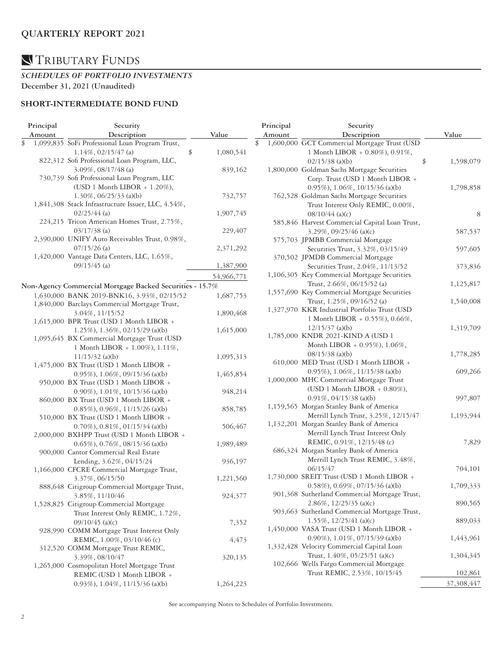# **N**TRIBUTARY FUNDS

#### *SCHEDULES OF PORTFOLIO INVESTMENTS*  **December 31, 2021 (Unaudited)**

#### **SHORT-INTERMEDIATE BOND FUND**

| Principal | Security                                                 |                 | Principal | Security                                       |                 |  |
|-----------|----------------------------------------------------------|-----------------|-----------|------------------------------------------------|-----------------|--|
| Amount    | Description                                              | Value           | Amount    | Description                                    | Value           |  |
| \$        | 1,099,835 SoFi Professional Loan Program Trust,          |                 | \$        | 1,600,000 GCT Commercial Mortgage Trust (USD   |                 |  |
|           | $1.14\%, 02/15/47$ (a)                                   | \$<br>1,080,541 |           | 1 Month LIBOR + 0.80%), 0.91%,                 |                 |  |
|           | 822,312 Sofi Professional Loan Program, LLC,             |                 |           | $02/15/38$ (a)(b)                              | \$<br>1,598,079 |  |
|           | $3.09\%$ , 08/17/48 (a)                                  | 839,162         |           | 1,800,000 Goldman Sachs Mortgage Securities    |                 |  |
|           | 730,739 Sofi Professional Loan Program, LLC              |                 |           | Corp. Trust (USD 1 Month LIBOR +               |                 |  |
|           | (USD 1 Month LIBOR + 1.20%),                             |                 |           | $0.95\%$ , 1.06%, 10/15/36 (a)(b)              | 1,798,858       |  |
|           | $1.30\%$ , 06/25/33 (a)(b)                               | 732,757         |           | 762,528 Goldman Sachs Mortgage Securities      |                 |  |
|           | 1,841,308 Stack Infrastructure Issuer, LLC, 4.54%,       |                 |           | Trust Interest Only REMIC, 0.00%,              |                 |  |
|           | $02/25/44$ (a)                                           | 1,907,745       |           | $08/10/44$ (a)(c)                              | 8               |  |
|           | 224,215 Tricon American Homes Trust, 2.75%,              |                 |           | 585,846 Harvest Commercial Capital Loan Trust, |                 |  |
|           | $03/17/38$ (a)                                           | 229,407         |           | $3.29\%$ , 09/25/46 (a)(c)                     | 587,537         |  |
|           | 2,390,000 UNIFY Auto Receivables Trust, 0.98%,           |                 |           | 575,703 JPMBB Commercial Mortgage              |                 |  |
|           | $07/15/26$ (a)                                           | 2,371,292       |           | Securities Trust, 3.32%, 03/15/49              | 597,605         |  |
|           | 1,420,000 Vantage Data Centers, LLC, 1.65%,              |                 |           | 370,502 JPMDB Commercial Mortgage              |                 |  |
|           | $09/15/45$ (a)                                           | 1,387,900       |           | Securities Trust, 2.04%, 11/13/52              | 373,836         |  |
|           |                                                          |                 |           | 1,106,305 Key Commercial Mortgage Securities   |                 |  |
|           |                                                          | 54,966,771      |           | Trust, 2.66%, 06/15/52 (a)                     | 1,125,817       |  |
|           | Non-Agency Commercial Mortgage Backed Securities - 15.7% |                 |           | 1,557,690 Key Commercial Mortgage Securities   |                 |  |
|           | 1,630,000 BANK 2019-BNK16, 3.93%, 02/15/52               | 1,687,753       |           | Trust, 1.25%, 09/16/52 (a)                     | 1,540,008       |  |
|           | 1,840,000 Barclays Commercial Mortgage Trust,            |                 |           | 1,327,970 KKR Industrial Portfolio Trust (USD  |                 |  |
|           | 3.04%, 11/15/52                                          | 1,890,468       |           | 1 Month LIBOR + 0.55%), 0.66%,                 |                 |  |
|           | 1,615,000 BPR Trust (USD 1 Month LIBOR +                 |                 |           | $12/15/37$ (a)(b)                              |                 |  |
|           | 1.25%), 1.36%, 02/15/29 (a)(b)                           | 1,615,000       |           | 1,785,000 KNDR 2021-KIND A (USD 1              | 1,319,709       |  |
|           | 1,095,645 BX Commercial Mortgage Trust (USD              |                 |           |                                                |                 |  |
|           | 1 Month LIBOR + 1.00%), 1.11%,                           |                 |           | Month LIBOR + 0.95%), 1.06%,                   |                 |  |
|           | $11/15/32$ (a)(b)                                        | 1,095,313       |           | $08/15/38$ (a)(b)                              | 1,778,285       |  |
|           | 1,475,000 BX Trust (USD 1 Month LIBOR +                  |                 |           | 610,000 MED Trust (USD 1 Month LIBOR +         |                 |  |
|           | $0.95\%$ , 1.06%, 09/15/36 (a)(b)                        | 1,465,854       |           | $0.95\%$ , 1.06%, 11/15/38 (a)(b)              | 609,266         |  |
|           | 950,000 BX Trust (USD 1 Month LIBOR +                    |                 |           | 1,000,000 MHC Commercial Mortgage Trust        |                 |  |
|           | $0.90\%$ ), $1.01\%$ , $10/15/36$ (a)(b)                 | 948,214         |           | (USD 1 Month LIBOR $+$ 0.80%),                 |                 |  |
|           | 860,000 BX Trust (USD 1 Month LIBOR +                    |                 |           | $0.91\%$ , $04/15/38$ (a)(b)                   | 997,807         |  |
|           | $0.85\%$ , $0.96\%$ , $11/15/26$ (a)(b)                  | 858,785         |           | 1,159,565 Morgan Stanley Bank of America       |                 |  |
|           | 510,000 BX Trust (USD 1 Month LIBOR +                    |                 |           | Merrill Lynch Trust, 3.25%, 12/15/47           | 1,193,944       |  |
|           | $0.70\%$ ), $0.81\%$ , $01/15/34$ (a)(b)                 | 506,467         |           | 1,132,201 Morgan Stanley Bank of America       |                 |  |
|           | 2,000,000 BXHPP Trust (USD 1 Month LIBOR +               |                 |           | Merrill Lynch Trust Interest Only              |                 |  |
|           | $0.65\%$ , $0.76\%$ , $08/15/36$ (a)(b)                  | 1,989,489       |           | REMIC, 0.91%, 12/15/48 (c)                     | 7,829           |  |
|           | 900,000 Cantor Commercial Real Estate                    |                 |           | 686,324 Morgan Stanley Bank of America         |                 |  |
|           | Lending, 3.62%, 04/15/24                                 | 936,197         |           | Merrill Lynch Trust REMIC, 3.48%,              |                 |  |
|           | 1,166,000 CFCRE Commercial Mortgage Trust,               |                 |           | 06/15/47                                       | 704,101         |  |
|           | 3.37%, 06/15/50                                          | 1,221,560       |           | 1,730,000 SREIT Trust (USD 1 Month LIBOR +     |                 |  |
|           | 888,648 Citigroup Commercial Mortgage Trust,             |                 |           | 0.58%), 0.69%, 07/15/36 (a)(b)                 | 1,709,333       |  |
|           | 3.85%, 11/10/46                                          | 924,377         |           | 901,368 Sutherland Commercial Mortgage Trust,  |                 |  |
|           | 1,528,825 Citigroup Commercial Mortgage                  |                 |           | 2.86%, 12/25/35 (a)(c)                         | 890,565         |  |
|           | Trust Interest Only REMIC, 1.72%,                        |                 |           | 903,663 Sutherland Commercial Mortgage Trust,  |                 |  |
|           | $09/10/45$ (a)(c)                                        | 7,352           |           | 1.55%, 12/25/41 (a)(c)                         | 889,033         |  |
|           | 928,990 COMM Mortgage Trust Interest Only                |                 |           | 1,450,000 VASA Trust (USD 1 Month LIBOR +      |                 |  |
|           | REMIC, 1.00%, 03/10/46 (c)                               | 4,473           |           | $0.90\%$ ), $1.01\%$ , $07/15/39$ (a)(b)       | 1,443,961       |  |
|           | 312,520 COMM Mortgage Trust REMIC,                       |                 |           | 1,332,428 Velocity Commercial Capital Loan     |                 |  |
|           | 3.39%, 08/10/47                                          | 320,135         |           | Trust, 1.40%, 05/25/51 (a)(c)                  | 1,304,345       |  |
|           | 1,265,000 Cosmopolitan Hotel Mortgage Trust              |                 |           | 102,666 Wells Fargo Commercial Mortgage        |                 |  |
|           | REMIC (USD 1 Month LIBOR +                               |                 |           | Trust REMIC, 2.53%, 10/15/45                   | 102,861         |  |
|           | $0.93\%$ , $1.04\%$ , $11/15/36$ (a)(b)                  | 1,264,223       |           |                                                | 37,308,447      |  |
|           |                                                          |                 |           |                                                |                 |  |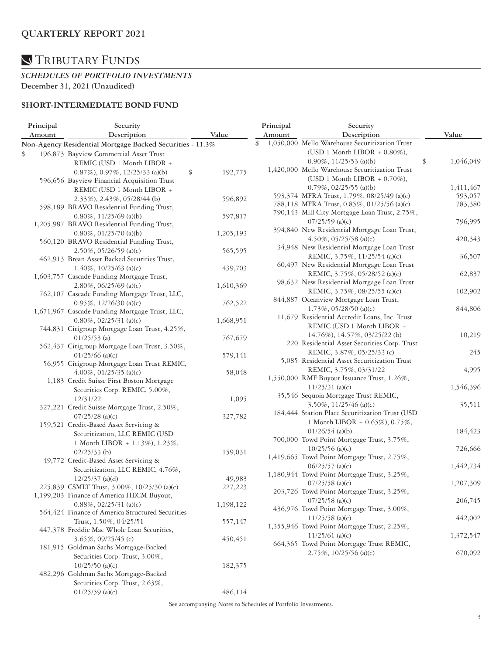#### *SCHEDULES OF PORTFOLIO INVESTMENTS*  **December 31, 2021 (Unaudited)**

### **SHORT-INTERMEDIATE BOND FUND**

| Principal | Security                                                  |               |    | Principal                     | Security                                                                      |                 |
|-----------|-----------------------------------------------------------|---------------|----|-------------------------------|-------------------------------------------------------------------------------|-----------------|
| Amount    | Description                                               | Value         |    | Amount                        | Description                                                                   | Value           |
|           | Non-Agency Residential Mortgage Backed Securities - 11.3% |               | \$ |                               | 1,050,000 Mello Warehouse Securitization Trust                                |                 |
| \$        | 196,873 Bayview Commercial Asset Trust                    |               |    |                               | (USD 1 Month LIBOR + $0.80\%$ ),                                              |                 |
|           | REMIC (USD 1 Month LIBOR +                                |               |    |                               | $0.90\%$ , 11/25/53 (a)(b)                                                    | \$<br>1,046,049 |
|           | $0.87\%$ , $0.97\%$ , $12/25/33$ (a)(b)                   | \$<br>192,775 |    |                               | 1,420,000 Mello Warehouse Securitization Trust                                |                 |
|           | 596,656 Bayview Financial Acquisition Trust               |               |    |                               | (USD 1 Month LIBOR $+$ 0.70%),                                                |                 |
|           | REMIC (USD 1 Month LIBOR +                                |               |    |                               | $0.79\%$ , $02/25/55$ (a)(b)                                                  | 1,411,467       |
|           |                                                           |               |    |                               | 593,374 MFRA Trust, 1.79%, 08/25/49 (a)(c)                                    | 593,057         |
|           | 2.33%), 2.43%, 05/28/44 (b)                               | 596,892       |    |                               | 788,118 MFRA Trust, 0.85%, 01/25/56 (a)(c)                                    | 783,380         |
|           | 598,189 BRAVO Residential Funding Trust,                  |               |    |                               | 790,143 Mill City Mortgage Loan Trust, 2.75%,                                 |                 |
|           | $0.80\%$ , 11/25/69 (a)(b)                                | 597,817       |    |                               | $07/25/59$ (a)(c)                                                             | 796,995         |
|           | 1,205,987 BRAVO Residential Funding Trust,                |               |    |                               | 394,840 New Residential Mortgage Loan Trust,                                  |                 |
|           | $0.80\%$ , $01/25/70$ (a)(b)                              | 1,205,193     |    |                               | $4.50\%$ , 05/25/58 (a)(c)                                                    | 420,343         |
|           | 560,120 BRAVO Residential Funding Trust,                  |               |    |                               | 34,948 New Residential Mortgage Loan Trust                                    |                 |
|           | $2.50\%, 05/26/59$ (a)(c)                                 | 565,595       |    |                               | REMIC, 3.75%, 11/25/54 (a)(c)                                                 | 36,507          |
|           | 462,913 Brean Asset Backed Securities Trust,              |               |    |                               | 60,497 New Residential Mortgage Loan Trust                                    |                 |
|           | $1.40\%$ , $10/25/63$ (a)(c)                              | 439,703       |    |                               | REMIC, 3.75%, 05/28/52 (a)(c)                                                 | 62,837          |
|           | 1,603,757 Cascade Funding Mortgage Trust,                 |               |    |                               | 98,632 New Residential Mortgage Loan Trust                                    |                 |
|           | 2.80%, $06/25/69$ (a)(c)                                  | 1,610,369     |    | REMIC, 3.75%, 08/25/55 (a)(c) | 102,902                                                                       |                 |
|           | 762,107 Cascade Funding Mortgage Trust, LLC,              |               |    |                               | 844,887 Oceanview Mortgage Loan Trust,                                        |                 |
|           | $0.95\%$ , 12/26/30 (a)(c)                                | 762,522       |    |                               | $1.73\%$ , 05/28/50 (a)(c)                                                    | 844,806         |
|           | 1,671,967 Cascade Funding Mortgage Trust, LLC,            |               |    |                               | 11,679 Residential Accredit Loans, Inc. Trust                                 |                 |
|           | $0.80\%$ , $02/25/31$ (a)(c)                              | 1,668,951     |    |                               | REMIC (USD 1 Month LIBOR +                                                    |                 |
|           | 744,831 Citigroup Mortgage Loan Trust, 4.25%,             |               |    |                               |                                                                               |                 |
|           | $01/25/53$ (a)                                            | 767,679       |    |                               | 14.76%), 14.57%, 03/25/22 (b)<br>220 Residential Asset Securities Corp. Trust | 10,219          |
|           | 562,437 Citigroup Mortgage Loan Trust, 3.50%,             |               |    |                               | REMIC, 3.87%, 05/25/33 (c)                                                    | 245             |
|           | $01/25/66$ (a)(c)                                         | 579,141       |    |                               | 5,085 Residential Asset Securitization Trust                                  |                 |
|           | 56,955 Citigroup Mortgage Loan Trust REMIC,               |               |    |                               |                                                                               |                 |
|           | $4.00\%$ , 01/25/35 (a)(c)                                | 58,048        |    |                               | REMIC, 3.75%, 03/31/22                                                        | 4,995           |
|           | 1,183 Credit Suisse First Boston Mortgage                 |               |    |                               | 1,550,000 RMF Buyout Issuance Trust, 1.26%,                                   |                 |
|           | Securities Corp. REMIC, 5.00%,                            |               |    |                               | $11/25/31$ (a)(c)                                                             | 1,546,396       |
|           | 12/31/22                                                  | 1,095         |    |                               | 35,546 Sequoia Mortgage Trust REMIC,                                          |                 |
|           | 327,221 Credit Suisse Mortgage Trust, 2.50%,              |               |    |                               | $3.50\%$ , 11/25/46 (a)(c)                                                    | 35,511          |
|           | $07/25/28$ (a)(c)                                         | 327,782       |    |                               | 184,444 Station Place Securitization Trust (USD                               |                 |
|           | 159,521 Credit-Based Asset Servicing &                    |               |    |                               | 1 Month LIBOR + 0.65%), 0.75%,                                                |                 |
|           | Securitization, LLC REMIC (USD                            |               |    |                               | $01/26/54$ (a)(b)                                                             | 184,423         |
|           | 1 Month LIBOR + 1.13%), 1.23%,                            |               |    |                               | 700,000 Towd Point Mortgage Trust, 3.75%,                                     |                 |
|           | $02/25/33$ (b)                                            | 159,031       |    |                               | $10/25/56$ (a)(c)                                                             | 726,666         |
|           | 49,772 Credit-Based Asset Servicing &                     |               |    |                               | 1,419,665 Towd Point Mortgage Trust, 2.75%,                                   |                 |
|           | Securitization, LLC REMIC, 4.76%,                         |               |    |                               | $06/25/57$ (a)(c)                                                             | 1,442,734       |
|           | $12/25/37$ (a)(d)                                         | 49,983        |    |                               | 1,180,944 Towd Point Mortgage Trust, 3.25%,                                   |                 |
|           | 225,839 CSMLT Trust, 3.00%, 10/25/30 (a)(c)               | 227,223       |    |                               | $07/25/58$ (a)(c)                                                             | 1,207,309       |
|           | 1,199,203 Finance of America HECM Buyout,                 |               |    |                               | 203,726 Towd Point Mortgage Trust, 3.25%,                                     |                 |
|           | $0.88\%, 02/25/31$ (a)(c)                                 | 1,198,122     |    |                               | $07/25/58$ (a)(c)                                                             | 206,745         |
|           | 564,424 Finance of America Structured Securities          |               |    |                               | 436,976 Towd Point Mortgage Trust, 3.00%,                                     |                 |
|           | Trust, 1.50%, 04/25/51                                    | 557,147       |    |                               | $11/25/58$ (a)(c)                                                             | 442,002         |
|           | 447,378 Freddie Mac Whole Loan Securities,                |               |    |                               | 1,355,946 Towd Point Mortgage Trust, 2.25%,                                   |                 |
|           | $3.65\%, 09/25/45$ (c)                                    | 450,451       |    |                               | $11/25/61$ (a)(c)                                                             | 1,372,547       |
|           | 181,915 Goldman Sachs Mortgage-Backed                     |               |    |                               | 664,365 Towd Point Mortgage Trust REMIC,                                      |                 |
|           | Securities Corp. Trust, 3.00%,                            |               |    |                               | 2.75%, 10/25/56 (a)(c)                                                        | 670,092         |
|           | $10/25/50$ (a)(c)                                         | 182,375       |    |                               |                                                                               |                 |
|           | 482,296 Goldman Sachs Mortgage-Backed                     |               |    |                               |                                                                               |                 |
|           | Securities Corp. Trust, 2.63%,                            |               |    |                               |                                                                               |                 |
|           | $01/25/59$ (a)(c)                                         | 486,114       |    |                               |                                                                               |                 |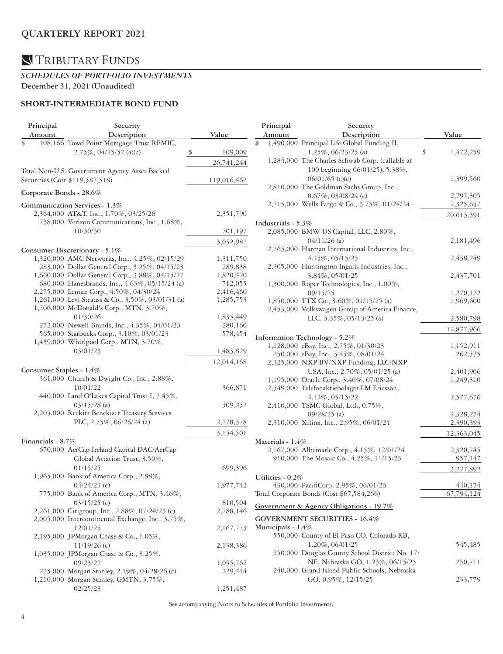# TRIBUTARY FUNDS

#### *SCHEDULES OF PORTFOLIO INVESTMENTS*  **December 31, 2021 (Unaudited)**

### **SHORT-INTERMEDIATE BOND FUND**

| Principal         | Security                                                                                  |                          | Principal          | Security                                         |                            |
|-------------------|-------------------------------------------------------------------------------------------|--------------------------|--------------------|--------------------------------------------------|----------------------------|
| Amount            | Description                                                                               | Value                    | Amount             | Description                                      | Value                      |
| \$                | 108,166 Towd Point Mortgage Trust REMIC,                                                  |                          | \$                 | 1,490,000 Principal Life Global Funding II,      |                            |
|                   | $2.75\%, 04/25/57$ (a)(c)                                                                 | 109,009<br>$\frac{\$}{}$ |                    | 1.25%, 06/23/25 (a)                              | \$<br>1,472,259            |
|                   |                                                                                           | 26,741,244               |                    | 1,284,000 The Charles Schwab Corp. (callable at  |                            |
|                   | Total Non-U.S. Government Agency Asset Backed                                             |                          |                    | 100 beginning 06/01/25), 5.38%,                  |                            |
|                   | Securities (Cost \$119,582,518)                                                           | 119,016,462              |                    | $06/01/65$ (c)(e)                                | 1,399,560                  |
|                   |                                                                                           |                          |                    | 2,810,000 The Goldman Sachs Group, Inc.,         |                            |
|                   | Corporate Bonds - 28.6%                                                                   |                          |                    | $0.67\%$ , 03/08/24 (c)                          | 2,797,305                  |
|                   | Communication Services - 1.3%                                                             |                          |                    | 2,215,000 Wells Fargo & Co., 3.75%, 01/24/24     | 2,325,657                  |
|                   | 2,364,000 AT&T, Inc., 1.70%, 03/25/26                                                     | 2,351,790                |                    |                                                  |                            |
|                   | 738,000 Verizon Communications, Inc., 1.68%,                                              |                          | Industrials - 5.3% |                                                  | 20,613,391                 |
|                   | 10/30/30                                                                                  | 701,197                  |                    | 2,085,000 BMW US Capital, LLC, 2.80%,            |                            |
|                   |                                                                                           |                          |                    | $04/11/26$ (a)                                   |                            |
|                   |                                                                                           | 3,052,987                |                    | 2,265,000 Harman International Industries, Inc., | 2,181,496                  |
|                   | Consumer Discretionary - 5.1%                                                             |                          |                    |                                                  |                            |
|                   | 1,320,000 AMC Networks, Inc., 4.25%, 02/15/29                                             | 1,311,750                |                    | 4.15%, 05/15/25                                  | 2,438,249                  |
|                   | 283,000 Dollar General Corp., 3.25%, 04/15/23                                             | 289,838                  |                    | 2,305,000 Huntington Ingalls Industries, Inc.,   |                            |
|                   | 1,660,000 Dollar General Corp., 3.88%, 04/15/27                                           | 1,820,420<br>712,055     |                    | 3.84%, 05/01/25                                  | 2,437,701                  |
|                   | 680,000 Hanesbrands, Inc., 4.63%, 05/15/24 (a)<br>2,275,000 Lennar Corp., 4.50%, 04/30/24 | 2,416,460                |                    | 1,300,000 Roper Technologies, Inc., 1.00%,       |                            |
|                   | 1,261,000 Levi Strauss & Co., 3.50%, 03/01/31 (a)                                         | 1,285,753                |                    | 09/15/25                                         | 1,270,122                  |
|                   | 1,706,000 McDonald's Corp., MTN, 3.70%,                                                   |                          |                    | 1,850,000 TTX Co., 3.60%, 01/15/25 (a)           | 1,969,600                  |
|                   | 01/30/26                                                                                  | 1,835,449                |                    | 2,453,000 Volkswagen Group of America Finance,   |                            |
|                   | 272,000 Newell Brands, Inc., 4.35%, 04/01/23                                              | 280,160                  |                    | LLC, 3.35%, 05/13/25 (a)                         | 2,580,798                  |
|                   | 565,000 Starbucks Corp., 3.10%, 03/01/23                                                  | 578,454                  |                    |                                                  | 12,877,966                 |
|                   | 1,439,000 Whirlpool Corp., MTN, 3.70%,                                                    |                          |                    | Information Technology - 5.2%                    |                            |
|                   | 03/01/23                                                                                  | 1,483,829                |                    | 1,128,000 eBay, Inc., 2.75%, 01/30/23            | 1,152,911                  |
|                   |                                                                                           |                          |                    | 250,000 eBay, Inc., 3.45%, 08/01/24              | 262,575                    |
|                   |                                                                                           | 12,014,168               |                    | 2,325,000 NXP BV/NXP Funding, LLC/NXP            |                            |
|                   | Consumer Staples - 1.4%                                                                   |                          |                    | USA, Inc., 2.70%, 05/01/25 (a)                   | 2,401,906                  |
|                   | 361,000 Church & Dwight Co., Inc., 2.88%,                                                 |                          |                    | 1,195,000 Oracle Corp., 3.40%, 07/08/24          | 1,249,310                  |
|                   | 10/01/22                                                                                  | 366,871                  |                    | 2,549,000 Telefonaktiebolaget LM Ericsson,       |                            |
|                   | 440,000 Land O'Lakes Capital Trust I, 7.45%,                                              |                          |                    | 4.13%, 05/15/22                                  | 2,577,676                  |
|                   | $03/15/28$ (a)                                                                            | 509,252                  |                    | 2,410,000 TSMC Global, Ltd., 0.75%,              |                            |
|                   | 2,205,000 Reckitt Benckiser Treasury Services                                             |                          |                    | $09/28/25$ (a)                                   | 2,328,274                  |
|                   | PLC, 2.75%, 06/26/24 (a)                                                                  | 2,278,378                |                    | 2,310,000 Xilinx, Inc., 2.95%, 06/01/24          | 2,390,393                  |
|                   |                                                                                           | 3,154,501                |                    |                                                  | 12,363,045                 |
| Financials - 8.7% |                                                                                           |                          | Materials - 1.4%   |                                                  |                            |
|                   | 670,000 AerCap Ireland Capital DAC/AerCap                                                 |                          |                    | 2,167,000 Albemarle Corp., 4.15%, 12/01/24       | 2,320,745                  |
|                   | Global Aviation Trust, 3.50%,                                                             |                          |                    | 910,000 The Mosaic Co., 4.25%, 11/15/23          | 957,147                    |
|                   | 01/15/25                                                                                  | 699,396                  |                    |                                                  | 3,277,892                  |
|                   | 1,965,000 Bank of America Corp., 2.88%,                                                   |                          | Utilities - 0.2%   |                                                  |                            |
|                   | $04/24/23$ (c)                                                                            | 1,977,742                |                    | 430,000 PacifiCorp, 2.95%, 06/01/23              | 440,174                    |
|                   | 775,000 Bank of America Corp., MTN, 3.46%,                                                |                          |                    | Total Corporate Bonds (Cost \$67,584,266)        | $\overline{67}$ , 794, 124 |
|                   | $03/15/25$ (c)                                                                            | 810,504                  |                    |                                                  |                            |
|                   | 2,261,000 Citigroup, Inc., 2.88%, 07/24/23 (c)                                            | 2,288,146                |                    | Government & Agency Obligations - 19.7%          |                            |
|                   | 2,005,000 Intercontinental Exchange, Inc., 3.75%,                                         |                          |                    | <b>GOVERNMENT SECURITIES - 16.4%</b>             |                            |
|                   | 12/01/25                                                                                  | 2,167,773                | Municipals - 1.4%  |                                                  |                            |
|                   | 2,195,000 JPMorgan Chase & Co., 1.05%,                                                    |                          |                    | 550,000 County of El Paso CO, Colorado RB,       |                            |
|                   | $11/19/26$ (c)                                                                            | 2,138,386                |                    | 1.20%, 06/01/25                                  | 545,485                    |
|                   | 1,035,000 JPMorgan Chase & Co., 3.25%,                                                    |                          |                    | 250,000 Douglas County School District No. 17/   |                            |
|                   | 09/23/22                                                                                  | 1,055,762                |                    | NE, Nebraska GO, 1.23%, 06/15/25                 | 250,711                    |
|                   | 225,000 Morgan Stanley, 2.19%, 04/28/26 (c)                                               | 229,414                  |                    | 240,000 Grand Island Public Schools, Nebraska    |                            |
|                   | 1,210,000 Morgan Stanley, GMTN, 3.75%,                                                    |                          |                    | GO, 0.95%, 12/15/25                              | 233,779                    |
|                   | 02/25/23                                                                                  | 1,251,487                |                    |                                                  |                            |
|                   |                                                                                           |                          |                    |                                                  |                            |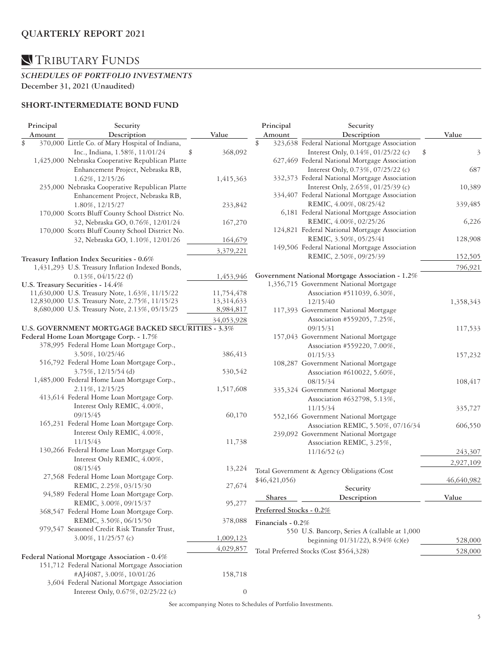#### *SCHEDULES OF PORTFOLIO INVESTMENTS*  **December 31, 2021 (Unaudited)**

### **SHORT-INTERMEDIATE BOND FUND**

| Principal | Security                                          |                  | Principal               | Security                                        |            |
|-----------|---------------------------------------------------|------------------|-------------------------|-------------------------------------------------|------------|
| Amount    | Description                                       | Value            | Amount                  | Description                                     | Value      |
| \$        | 370,000 Little Co. of Mary Hospital of Indiana,   |                  | \$                      | 323,638 Federal National Mortgage Association   |            |
|           | Inc., Indiana, 1.58%, 11/01/24                    | \$<br>368,092    |                         | Interest Only, 0.14%, 01/25/22 (c)              | \$<br>3    |
|           | 1,425,000 Nebraska Cooperative Republican Platte  |                  |                         | 627,469 Federal National Mortgage Association   |            |
|           | Enhancement Project, Nebraska RB,                 |                  |                         | Interest Only, 0.73%, 07/25/22 (c)              | 687        |
|           | 1.62%, 12/15/26                                   | 1,415,363        |                         | 332,373 Federal National Mortgage Association   |            |
|           | 235,000 Nebraska Cooperative Republican Platte    |                  |                         | Interest Only, 2.65%, 01/25/39 (c)              | 10,389     |
|           | Enhancement Project, Nebraska RB,                 |                  |                         | 334,407 Federal National Mortgage Association   |            |
|           | 1.80%, 12/15/27                                   | 233,842          |                         | REMIC, 4.00%, 08/25/42                          | 339,485    |
|           | 170,000 Scotts Bluff County School District No.   |                  |                         | 6,181 Federal National Mortgage Association     |            |
|           | 32, Nebraska GO, 0.76%, 12/01/24                  | 167,270          |                         | REMIC, 4.00%, 02/25/26                          | 6,226      |
|           | 170,000 Scotts Bluff County School District No.   |                  |                         | 124,821 Federal National Mortgage Association   |            |
|           |                                                   |                  |                         | REMIC, 3.50%, 05/25/41                          | 128,908    |
|           | 32, Nebraska GO, 1.10%, 12/01/26                  | 164,679          |                         | 149,506 Federal National Mortgage Association   |            |
|           |                                                   | 3,379,221        |                         |                                                 |            |
|           | Treasury Inflation Index Securities - 0.6%        |                  |                         | REMIC, 2.50%, 09/25/39                          | 152,505    |
|           | 1,431,293 U.S. Treasury Inflation Indexed Bonds,  |                  |                         |                                                 | 796,921    |
|           | $0.13\%, 04/15/22$ (f)                            | 1,453,946        |                         | Government National Mortgage Association - 1.2% |            |
|           | U.S. Treasury Securities - 14.4%                  |                  |                         | 1,356,715 Government National Mortgage          |            |
|           | 11,630,000 U.S. Treasury Note, 1.63%, 11/15/22    | 11,754,478       |                         | Association #511039, 6.30%,                     |            |
|           | 12,830,000 U.S. Treasury Note, 2.75%, 11/15/23    | 13,314,633       |                         | 12/15/40                                        | 1,358,343  |
|           | 8,680,000 U.S. Treasury Note, 2.13%, 05/15/25     | 8,984,817        |                         | 117,393 Government National Mortgage            |            |
|           |                                                   | 34,053,928       |                         | Association #559205, 7.25%,                     |            |
|           | U.S. GOVERNMENT MORTGAGE BACKED SECURITIES - 3.3% |                  |                         | 09/15/31                                        | 117,533    |
|           | Federal Home Loan Mortgage Corp. - 1.7%           |                  |                         | 157,043 Government National Mortgage            |            |
|           | 378,995 Federal Home Loan Mortgage Corp.,         |                  |                         | Association #559220, 7.00%,                     |            |
|           | 3.50%, 10/25/46                                   | 386,413          |                         | 01/15/33                                        | 157,232    |
|           | 516,792 Federal Home Loan Mortgage Corp.,         |                  |                         | 108,287 Government National Mortgage            |            |
|           | $3.75\%$ , $12/15/54$ (d)                         | 530,542          |                         | Association #610022, 5.60%,                     |            |
|           | 1,485,000 Federal Home Loan Mortgage Corp.,       |                  |                         | 08/15/34                                        | 108,417    |
|           | 2.11%, 12/15/25                                   | 1,517,608        |                         | 335,324 Government National Mortgage            |            |
|           | 413,614 Federal Home Loan Mortgage Corp.          |                  |                         | Association #632798, 5.13%,                     |            |
|           | Interest Only REMIC, 4.00%,                       |                  |                         |                                                 |            |
|           | 09/15/45                                          | 60,170           |                         | 11/15/34                                        | 335,727    |
|           | 165,231 Federal Home Loan Mortgage Corp.          |                  |                         | 552,166 Government National Mortgage            |            |
|           |                                                   |                  |                         | Association REMIC, 5.50%, 07/16/34              | 606,550    |
|           | Interest Only REMIC, 4.00%,                       |                  |                         | 239,092 Government National Mortgage            |            |
|           | 11/15/43                                          | 11,738           |                         | Association REMIC, 3.25%,                       |            |
|           | 130,266 Federal Home Loan Mortgage Corp.          |                  |                         | $11/16/52$ (c)                                  | 243,307    |
|           | Interest Only REMIC, 4.00%,                       |                  |                         |                                                 | 2,927,109  |
|           | 08/15/45                                          | 13,224           |                         | Total Government & Agency Obligations (Cost     |            |
|           | 27,568 Federal Home Loan Mortgage Corp.           |                  | \$46,421,056)           |                                                 | 46,640,982 |
|           | REMIC, 2.25%, 03/15/30                            | 27,674           |                         | Security                                        |            |
|           | 94,589 Federal Home Loan Mortgage Corp.           |                  | Shares                  | Description                                     | Value      |
|           | REMIC, 3.00%, 09/15/37                            | 95,277           |                         |                                                 |            |
|           | 368,547 Federal Home Loan Mortgage Corp.          |                  | Preferred Stocks - 0.2% |                                                 |            |
|           | REMIC, 3.50%, 06/15/50                            | 378,088          | Financials - 0.2%       |                                                 |            |
|           | 979,547 Seasoned Credit Risk Transfer Trust,      |                  |                         | 550 U.S. Bancorp, Series A (callable at 1,000   |            |
|           | $3.00\%, 11/25/57$ (c)                            | 1,009,123        |                         | beginning 01/31/22), 8.94% (c)(e)               | 528,000    |
|           |                                                   | 4,029,857        |                         |                                                 |            |
|           | Federal National Mortgage Association - 0.4%      |                  |                         | Total Preferred Stocks (Cost \$564,328)         | 528,000    |
|           | 151,712 Federal National Mortgage Association     |                  |                         |                                                 |            |
|           | #AJ4087, 3.00%, 10/01/26                          | 158,718          |                         |                                                 |            |
|           | 3,604 Federal National Mortgage Association       |                  |                         |                                                 |            |
|           | Interest Only, 0.67%, 02/25/22 (c)                | $\boldsymbol{0}$ |                         |                                                 |            |
|           |                                                   |                  |                         |                                                 |            |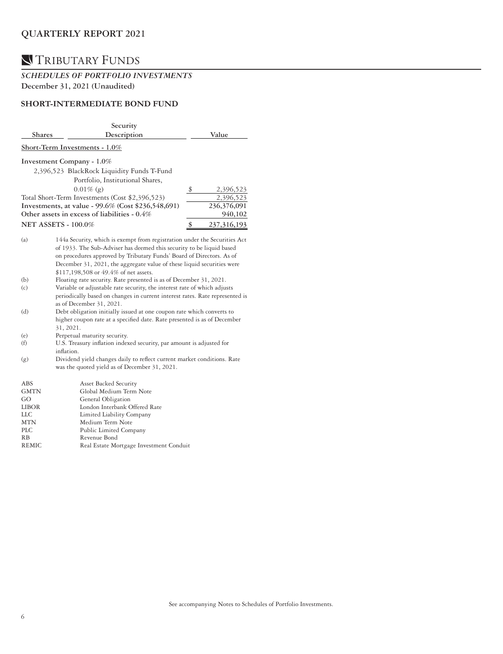# TRIBUTARY FUNDS

### *SCHEDULES OF PORTFOLIO INVESTMENTS*  **December 31, 2021 (Unaudited)**

### **SHORT-INTERMEDIATE BOND FUND**

|                | Security                                                                                                                                                                                                                                                                                                                                                                                                           |                   |
|----------------|--------------------------------------------------------------------------------------------------------------------------------------------------------------------------------------------------------------------------------------------------------------------------------------------------------------------------------------------------------------------------------------------------------------------|-------------------|
| <b>Shares</b>  | Description                                                                                                                                                                                                                                                                                                                                                                                                        | Value             |
|                | Short-Term Investments - 1.0%                                                                                                                                                                                                                                                                                                                                                                                      |                   |
|                | Investment Company - 1.0%                                                                                                                                                                                                                                                                                                                                                                                          |                   |
|                | 2,396,523 BlackRock Liquidity Funds T-Fund                                                                                                                                                                                                                                                                                                                                                                         |                   |
|                | Portfolio, Institutional Shares,                                                                                                                                                                                                                                                                                                                                                                                   |                   |
|                | $0.01\%$ (g)                                                                                                                                                                                                                                                                                                                                                                                                       | \$<br>2,396,523   |
|                | Total Short-Term Investments (Cost \$2,396,523)                                                                                                                                                                                                                                                                                                                                                                    | 2,396,523         |
|                | Investments, at value - 99.6% (Cost \$236,548,691)                                                                                                                                                                                                                                                                                                                                                                 | 236,376,091       |
|                | Other assets in excess of liabilities - 0.4%                                                                                                                                                                                                                                                                                                                                                                       | 940,102           |
|                | <b>NET ASSETS - 100.0%</b>                                                                                                                                                                                                                                                                                                                                                                                         | 237,316,193<br>\$ |
| (a)<br>(b)     | 144a Security, which is exempt from registration under the Securities Act<br>of 1933. The Sub-Adviser has deemed this security to be liquid based<br>on procedures approved by Tributary Funds' Board of Directors. As of<br>December 31, 2021, the aggregate value of these liquid securities were<br>\$117,198,508 or 49.4% of net assets.<br>Floating rate security. Rate presented is as of December 31, 2021. |                   |
| (c)            | Variable or adjustable rate security, the interest rate of which adjusts<br>periodically based on changes in current interest rates. Rate represented is<br>as of December 31, 2021.                                                                                                                                                                                                                               |                   |
| (d)            | Debt obligation initially issued at one coupon rate which converts to<br>higher coupon rate at a specified date. Rate presented is as of December<br>31, 2021.                                                                                                                                                                                                                                                     |                   |
| (e)            | Perpetual maturity security.                                                                                                                                                                                                                                                                                                                                                                                       |                   |
| (f)            | U.S. Treasury inflation indexed security, par amount is adjusted for<br>inflation.                                                                                                                                                                                                                                                                                                                                 |                   |
| (g)            | Dividend yield changes daily to reflect current market conditions. Rate<br>was the quoted yield as of December 31, 2021.                                                                                                                                                                                                                                                                                           |                   |
| ABS            | Asset Backed Security                                                                                                                                                                                                                                                                                                                                                                                              |                   |
| GMTN           | Global Medium Term Note                                                                                                                                                                                                                                                                                                                                                                                            |                   |
| GO             | General Obligation                                                                                                                                                                                                                                                                                                                                                                                                 |                   |
| <b>LIBOR</b>   | London Interbank Offered Rate                                                                                                                                                                                                                                                                                                                                                                                      |                   |
| LLC            | Limited Liability Company                                                                                                                                                                                                                                                                                                                                                                                          |                   |
| <b>MTN</b>     | Medium Term Note                                                                                                                                                                                                                                                                                                                                                                                                   |                   |
| <b>PLC</b>     | Public Limited Company                                                                                                                                                                                                                                                                                                                                                                                             |                   |
| R <sub>B</sub> | Revenue Bond                                                                                                                                                                                                                                                                                                                                                                                                       |                   |
| <b>REMIC</b>   | Real Estate Mortgage Investment Conduit                                                                                                                                                                                                                                                                                                                                                                            |                   |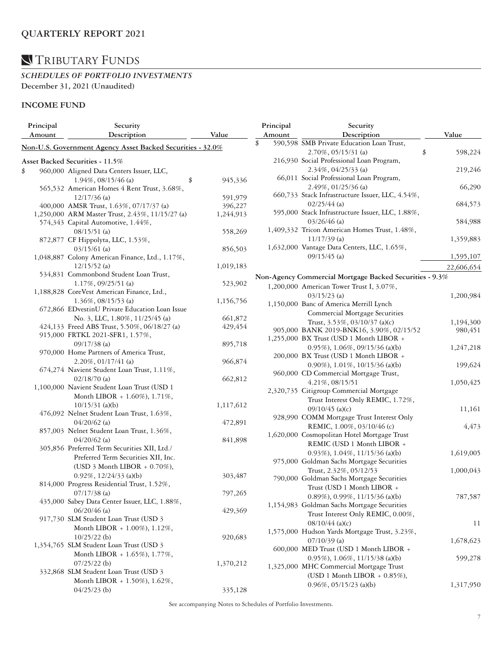#### *SCHEDULES OF PORTFOLIO INVESTMENTS*  **December 31, 2021 (Unaudited)**

### **INCOME FUND**

| Principal | Security                                                   |           | Principal | Security                                                         |               |
|-----------|------------------------------------------------------------|-----------|-----------|------------------------------------------------------------------|---------------|
| Amount    | Description                                                | Value     | Amount    | Description                                                      | Value         |
|           | Non-U.S. Government Agency Asset Backed Securities - 32.0% |           | \$        | 590,598 SMB Private Education Loan Trust,<br>2.70%, 05/15/31 (a) | \$<br>598,224 |
|           |                                                            |           |           | 216,930 Social Professional Loan Program,                        |               |
|           | Asset Backed Securities - 11.5%                            |           |           |                                                                  |               |
| \$        | 960,000 Aligned Data Centers Issuer, LLC,                  |           |           | $2.34\%$ , 04/25/33 (a)                                          | 219,246       |
|           | $1.94\%$ , 08/15/46 (a)<br>\$                              | 945,336   |           | 66,011 Social Professional Loan Program,                         |               |
|           | 565,532 American Homes 4 Rent Trust, 3.68%,                |           |           | 2.49%, 01/25/36 (a)                                              | 66,290        |
|           | $12/17/36$ (a)                                             | 591,979   |           | 660,733 Stack Infrastructure Issuer, LLC, 4.54%,                 |               |
|           | 400,000 AMSR Trust, 1.63%, 07/17/37 (a)                    | 396,227   |           | $02/25/44$ (a)                                                   | 684,573       |
|           | 1,250,000 ARM Master Trust, 2.43%, 11/15/27 (a)            | 1,244,913 |           | 595,000 Stack Infrastructure Issuer, LLC, 1.88%,                 |               |
|           | 574,343 Capital Automotive, 1.44%,                         |           |           | $03/26/46$ (a)                                                   | 584,988       |
|           | $08/15/51$ (a)                                             | 558,269   |           | 1,409,332 Tricon American Homes Trust, 1.48%,                    |               |
|           | 872,877 CF Hippolyta, LLC, 1.53%,                          |           |           | $11/17/39$ (a)                                                   | 1,359,883     |
|           | $03/15/61$ (a)                                             | 856,503   |           | 1,632,000 Vantage Data Centers, LLC, 1.65%,                      |               |
|           | 1,048,887 Colony American Finance, Ltd., 1.17%,            |           |           | $09/15/45$ (a)                                                   | 1,595,107     |
|           | $12/15/52$ (a)                                             | 1,019,183 |           |                                                                  | 22,606,654    |
|           | 534,831 Commonbond Student Loan Trust,                     |           |           | Non-Agency Commercial Mortgage Backed Securities - 9.3%          |               |
|           | 1.17%, 09/25/51 (a)                                        | 523,902   |           | 1,200,000 American Tower Trust I, 3.07%,                         |               |
|           | 1,188,828 CoreVest American Finance, Ltd.,                 |           |           | $03/15/23$ (a)                                                   |               |
|           | $1.36\%, 08/15/53$ (a)                                     | 1,156,756 |           | 1,150,000 Banc of America Merrill Lynch                          | 1,200,984     |
|           | 672,866 EDvestinU Private Education Loan Issue             |           |           |                                                                  |               |
|           | No. 3, LLC, 1.80%, 11/25/45 (a)                            | 661,872   |           | Commercial Mortgage Securities                                   |               |
|           | 424,133 Freed ABS Trust, 5.50%, 06/18/27 (a)               | 429,454   |           | Trust, 3.53%, 03/10/37 (a)(c)                                    | 1,194,300     |
|           | 915,000 FRTKL 2021-SFR1, 1.57%,                            |           |           | 905,000 BANK 2019-BNK16, 3.90%, 02/15/52                         | 980,451       |
|           | $09/17/38$ (a)                                             | 895,718   |           | 1,255,000 BX Trust (USD 1 Month LIBOR +                          |               |
|           | 970,000 Home Partners of America Trust,                    |           |           | $0.95\%$ , 1.06%, 09/15/36 (a)(b)                                | 1,247,218     |
|           | $2.20\%$ , 01/17/41 (a)                                    | 966,874   |           | 200,000 BX Trust (USD 1 Month LIBOR +                            |               |
|           | 674,274 Navient Student Loan Trust, 1.11%,                 |           |           | 0.90%), $1.01\%$ , $10/15/36$ (a)(b)                             | 199,624       |
|           | $02/18/70$ (a)                                             | 662,812   |           | 960,000 CD Commercial Mortgage Trust,                            |               |
|           | 1,100,000 Navient Student Loan Trust (USD 1                |           |           | 4.21%, 08/15/51                                                  | 1,050,425     |
|           |                                                            |           |           | 2,320,735 Citigroup Commercial Mortgage                          |               |
|           | Month LIBOR + 1.60%), 1.71%,                               |           |           | Trust Interest Only REMIC, 1.72%,                                |               |
|           | $10/15/31$ (a)(b)                                          | 1,117,612 |           | $09/10/45$ (a)(c)                                                | 11,161        |
|           | 476,092 Nelnet Student Loan Trust, 1.63%,                  |           |           | 928,990 COMM Mortgage Trust Interest Only                        |               |
|           | $04/20/62$ (a)                                             | 472,891   |           | REMIC, 1.00%, 03/10/46 (c)                                       | 4,473         |
|           | 857,003 Nelnet Student Loan Trust, 1.36%,                  |           |           | 1,620,000 Cosmopolitan Hotel Mortgage Trust                      |               |
|           | $04/20/62$ (a)                                             | 841,898   |           | REMIC (USD 1 Month LIBOR +                                       |               |
|           | 305,856 Preferred Term Securities XII, Ltd./               |           |           | 0.93%), $1.04\%$ , $11/15/36$ (a)(b)                             | 1,619,005     |
|           | Preferred Term Securities XII, Inc.                        |           |           | 975,000 Goldman Sachs Mortgage Securities                        |               |
|           | (USD $3$ Month LIBOR + 0.70%),                             |           |           | Trust, 2.32%, 05/12/53                                           | 1,000,043     |
|           | $0.92\%$ , $12/24/33$ (a)(b)                               | 303,487   |           | 790,000 Goldman Sachs Mortgage Securities                        |               |
|           | 814,000 Progress Residential Trust, 1.52%,                 |           |           | Trust (USD 1 Month LIBOR +                                       |               |
|           | $07/17/38$ (a)                                             | 797,265   |           | 0.89%), 0.99%, 11/15/36 (a)(b)                                   | 787,587       |
|           | 435,000 Sabey Data Center Issuer, LLC, 1.88%,              |           |           | 1,154,983 Goldman Sachs Mortgage Securities                      |               |
|           | $06/20/46$ (a)                                             | 429,369   |           | Trust Interest Only REMIC, 0.00%,                                |               |
|           | 917,730 SLM Student Loan Trust (USD 3                      |           |           |                                                                  |               |
|           | Month LIBOR + 1.00%), 1.12%,                               |           |           | $08/10/44$ (a)(c)                                                | 11            |
|           | $10/25/22$ (b)                                             | 920,683   |           | 1,575,000 Hudson Yards Mortgage Trust, 3.23%,                    |               |
|           | 1,354,765 SLM Student Loan Trust (USD 3                    |           |           | $07/10/39$ (a)                                                   | 1,678,623     |
|           | Month LIBOR + 1.65%), 1.77%,                               |           |           | 600,000 MED Trust (USD 1 Month LIBOR +                           |               |
|           | $07/25/22$ (b)                                             | 1,370,212 |           | $0.95\%$ , 1.06%, 11/15/38 (a)(b)                                | 599,278       |
|           | 332,868 SLM Student Loan Trust (USD 3                      |           |           | 1,325,000 MHC Commercial Mortgage Trust                          |               |
|           | Month LIBOR + 1.50%), 1.62%,                               |           |           | (USD 1 Month LIBOR $+$ 0.85%),                                   |               |
|           |                                                            |           |           | $0.96\%, 05/15/23$ (a)(b)                                        | 1,317,950     |
|           | $04/25/23$ (b)                                             | 335,128   |           |                                                                  |               |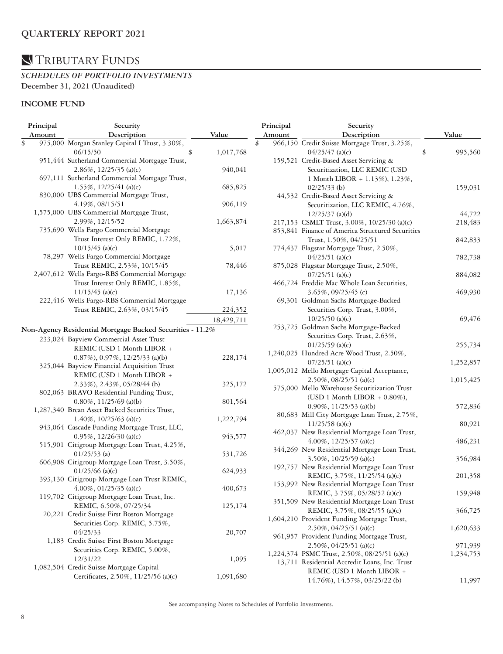#### *SCHEDULES OF PORTFOLIO INVESTMENTS*  **December 31, 2021 (Unaudited)**

### **INCOME FUND**

| Principal | Security                                                  |                 |    | Principal         | Security                                                                  |               |
|-----------|-----------------------------------------------------------|-----------------|----|-------------------|---------------------------------------------------------------------------|---------------|
| Amount    | Description                                               | Value           |    | Amount            | Description                                                               | Value         |
| \$        | 975,000 Morgan Stanley Capital I Trust, 3.30%,            |                 | \$ |                   | 966,150 Credit Suisse Mortgage Trust, 3.25%,                              |               |
|           | 06/15/50                                                  | \$<br>1,017,768 |    |                   | $04/25/47$ (a)(c)                                                         | \$<br>995,560 |
|           | 951,444 Sutherland Commercial Mortgage Trust,             |                 |    |                   | 159,521 Credit-Based Asset Servicing &                                    |               |
|           | $2.86\%, 12/25/35$ (a)(c)                                 | 940,041         |    |                   | Securitization, LLC REMIC (USD                                            |               |
|           | 697,111 Sutherland Commercial Mortgage Trust,             |                 |    |                   | 1 Month LIBOR + 1.13%), 1.23%,                                            |               |
|           | $1.55\%, 12/25/41$ (a)(c)                                 | 685,825         |    |                   | $02/25/33$ (b)                                                            | 159,031       |
|           | 830,000 UBS Commercial Mortgage Trust,                    |                 |    |                   | 44,532 Credit-Based Asset Servicing &                                     |               |
|           | 4.19%, 08/15/51                                           | 906,119         |    |                   | Securitization, LLC REMIC, 4.76%,                                         |               |
|           | 1,575,000 UBS Commercial Mortgage Trust,                  |                 |    |                   | $12/25/37$ (a)(d)                                                         | 44,722        |
|           | 2.99%, 12/15/52                                           | 1,663,874       |    |                   | 217,153 CSMLT Trust, 3.00%, 10/25/30 (a)(c)                               | 218,483       |
|           | 735,690 Wells Fargo Commercial Mortgage                   |                 |    |                   | 853,841 Finance of America Structured Securities                          |               |
|           | Trust Interest Only REMIC, 1.72%,                         |                 |    |                   | Trust, 1.50%, 04/25/51                                                    | 842,833       |
|           | $10/15/45$ (a)(c)                                         | 5,017           |    |                   | 774,437 Flagstar Mortgage Trust, 2.50%,                                   |               |
|           | 78,297 Wells Fargo Commercial Mortgage                    |                 |    |                   | $04/25/51$ (a)(c)                                                         | 782,738       |
|           | Trust REMIC, 2.53%, 10/15/45                              | 78,446          |    |                   | 875,028 Flagstar Mortgage Trust, 2.50%,                                   |               |
|           | 2,407,612 Wells Fargo-RBS Commercial Mortgage             |                 |    |                   | $07/25/51$ (a)(c)                                                         | 884,082       |
|           | Trust Interest Only REMIC, 1.85%,                         |                 |    |                   | 466,724 Freddie Mac Whole Loan Securities,                                |               |
|           | $11/15/45$ (a)(c)                                         | 17,136          |    |                   | $3.65\%$ , 09/25/45 (c)                                                   | 469,930       |
|           | 222,416 Wells Fargo-RBS Commercial Mortgage               |                 |    |                   | 69,301 Goldman Sachs Mortgage-Backed                                      |               |
|           | Trust REMIC, 2.63%, 03/15/45                              | 224,352         |    |                   | Securities Corp. Trust, 3.00%,                                            |               |
|           |                                                           |                 |    |                   | $10/25/50$ (a)(c)                                                         | 69,476        |
|           |                                                           | 18,429,711      |    |                   | 253,725 Goldman Sachs Mortgage-Backed                                     |               |
|           | Non-Agency Residential Mortgage Backed Securities - 11.2% |                 |    |                   | Securities Corp. Trust, 2.63%,                                            |               |
|           | 233,024 Bayview Commercial Asset Trust                    |                 |    |                   | $01/25/59$ (a)(c)                                                         | 255,734       |
|           | REMIC (USD 1 Month LIBOR +                                |                 |    |                   | 1,240,025 Hundred Acre Wood Trust, 2.50%,                                 |               |
|           | $0.87\%$ , $0.97\%$ , $12/25/33$ (a)(b)                   | 228,174         |    |                   | $07/25/51$ (a)(c)                                                         |               |
|           | 325,044 Bayview Financial Acquisition Trust               |                 |    |                   | 1,005,012 Mello Mortgage Capital Acceptance,                              | 1,252,857     |
|           | REMIC (USD 1 Month LIBOR +                                |                 |    |                   |                                                                           |               |
|           | 2.33%), 2.43%, 05/28/44 (b)                               | 325,172         |    |                   | $2.50\%, 08/25/51$ (a)(c)<br>575,000 Mello Warehouse Securitization Trust | 1,015,425     |
|           | 802,063 BRAVO Residential Funding Trust,                  |                 |    |                   |                                                                           |               |
|           | $0.80\%$ , 11/25/69 (a)(b)                                | 801,564         |    |                   | (USD 1 Month LIBOR $+$ 0.80%),                                            |               |
|           | 1,287,340 Brean Asset Backed Securities Trust,            |                 |    |                   | $0.90\%$ , 11/25/53 (a)(b)                                                | 572,836       |
|           | $1.40\%$ , $10/25/63$ (a)(c)                              | 1,222,794       |    |                   | 80,683 Mill City Mortgage Loan Trust, 2.75%,                              |               |
|           | 943,064 Cascade Funding Mortgage Trust, LLC,              |                 |    | $11/25/58$ (a)(c) | 80,921                                                                    |               |
|           | $0.95\%$ , 12/26/30 (a)(c)                                | 943,577         |    |                   | 462,037 New Residential Mortgage Loan Trust,                              |               |
|           | 515,901 Citigroup Mortgage Loan Trust, 4.25%,             |                 |    |                   | 4.00%, $12/25/57$ (a)(c)                                                  | 486,231       |
|           | $01/25/53$ (a)                                            | 531,726         |    |                   | 344,269 New Residential Mortgage Loan Trust,                              |               |
|           | 606,908 Citigroup Mortgage Loan Trust, 3.50%,             |                 |    |                   | $3.50\%$ , $10/25/59$ (a)(c)                                              | 356,984       |
|           | $01/25/66$ (a)(c)                                         | 624,933         |    |                   | 192,757 New Residential Mortgage Loan Trust                               |               |
|           | 393,130 Citigroup Mortgage Loan Trust REMIC,              |                 |    |                   | REMIC, 3.75%, 11/25/54 (a)(c)                                             | 201,358       |
|           | $4.00\%$ , 01/25/35 (a)(c)                                | 400,673         |    |                   | 153,992 New Residential Mortgage Loan Trust                               |               |
|           | 119,702 Citigroup Mortgage Loan Trust, Inc.               |                 |    |                   | REMIC, 3.75%, 05/28/52 (a)(c)                                             | 159,948       |
|           | REMIC, 6.50%, 07/25/34                                    | 125,174         |    |                   | 351,509 New Residential Mortgage Loan Trust                               |               |
|           | 20,221 Credit Suisse First Boston Mortgage                |                 |    |                   | REMIC, 3.75%, 08/25/55 (a)(c)                                             | 366,725       |
|           | Securities Corp. REMIC, 5.75%,                            |                 |    |                   | 1,604,210 Provident Funding Mortgage Trust,                               |               |
|           | 04/25/33                                                  | 20,707          |    |                   | $2.50\%, 04/25/51$ (a)(c)                                                 | 1,620,633     |
|           | 1,183 Credit Suisse First Boston Mortgage                 |                 |    |                   | 961,957 Provident Funding Mortgage Trust,                                 |               |
|           | Securities Corp. REMIC, 5.00%,                            |                 |    |                   | $2.50\%$ , 04/25/51 (a)(c)                                                | 971,939       |
|           | 12/31/22                                                  | 1,095           |    |                   | 1,224,374 PSMC Trust, 2.50%, 08/25/51 (a)(c)                              | 1,234,753     |
|           | 1,082,504 Credit Suisse Mortgage Capital                  |                 |    |                   | 13,711 Residential Accredit Loans, Inc. Trust                             |               |
|           | Certificates, 2.50%, 11/25/56 (a)(c)                      | 1,091,680       |    |                   | REMIC (USD 1 Month LIBOR +                                                |               |
|           |                                                           |                 |    |                   | 14.76%), 14.57%, 03/25/22 (b)                                             | 11,997        |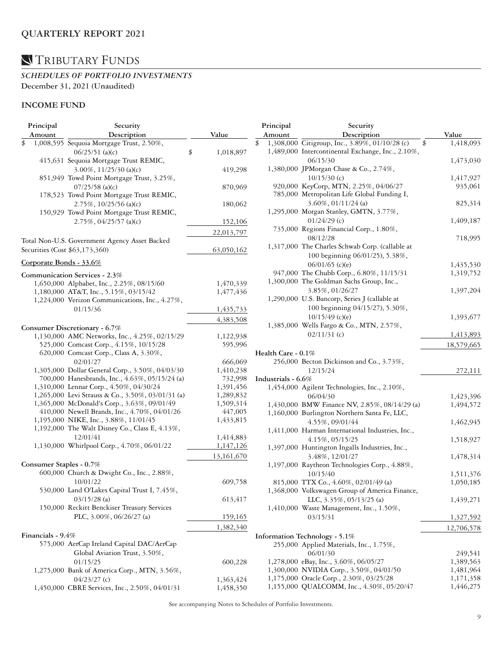### *SCHEDULES OF PORTFOLIO INVESTMENTS*  **December 31, 2021 (Unaudited)**

### **INCOME FUND**

| Principal |                   | Security                                          |                 |  | Principal          | Security                                             |            |  |
|-----------|-------------------|---------------------------------------------------|-----------------|--|--------------------|------------------------------------------------------|------------|--|
|           | Amount            | Description                                       | Value           |  | Amount             | Description                                          | Value      |  |
| \$        |                   | 1,008,595 Sequoia Mortgage Trust, 2.50%,          |                 |  |                    | 1,308,000 Citigroup, Inc., 3.89%, 01/10/28 (c)<br>\$ | 1,418,093  |  |
|           |                   | $06/25/51$ (a)(c)                                 | \$<br>1,018,897 |  |                    | 1,489,000 Intercontinental Exchange, Inc., 2.10%,    |            |  |
|           |                   | 415,631 Sequoia Mortgage Trust REMIC,             |                 |  |                    | 06/15/30                                             | 1,473,030  |  |
|           |                   | $3.00\%$ , $11/25/30$ (a)(c)                      | 419,298         |  |                    | 1,380,000 JPMorgan Chase & Co., 2.74%,               |            |  |
|           |                   | 851,949 Towd Point Mortgage Trust, 3.25%,         |                 |  |                    | $10/15/30$ (c)                                       | 1,417,927  |  |
|           |                   | $07/25/58$ (a)(c)                                 | 870,969         |  |                    | 920,000 KeyCorp, MTN, 2.25%, 04/06/27                | 935,061    |  |
|           |                   | 178,523 Towd Point Mortgage Trust REMIC,          |                 |  |                    | 785,000 Metropolitan Life Global Funding I,          |            |  |
|           |                   | 2.75%, 10/25/56 (a)(c)                            | 180,062         |  |                    | $3.60\%, 01/11/24$ (a)                               | 825,314    |  |
|           |                   | 150,929 Towd Point Mortgage Trust REMIC,          |                 |  |                    | 1,295,000 Morgan Stanley, GMTN, 3.77%,               |            |  |
|           |                   | $2.75\%, 04/25/57$ (a)(c)                         | 152,106         |  |                    | $01/24/29$ (c)                                       | 1,409,187  |  |
|           |                   |                                                   |                 |  |                    | 735,000 Regions Financial Corp., 1.80%,              |            |  |
|           |                   |                                                   | 22,013,797      |  |                    | 08/12/28                                             | 718,995    |  |
|           |                   | Total Non-U.S. Government Agency Asset Backed     |                 |  |                    | 1,317,000 The Charles Schwab Corp. (callable at      |            |  |
|           |                   | Securities (Cost \$63,173,360)                    | 63,050,162      |  |                    | 100 beginning 06/01/25), 5.38%,                      |            |  |
|           |                   | Corporate Bonds - 33.6%                           |                 |  |                    |                                                      |            |  |
|           |                   |                                                   |                 |  |                    | $06/01/65$ (c)(e)                                    | 1,435,530  |  |
|           |                   | Communication Services - 2.3%                     |                 |  |                    | 947,000 The Chubb Corp., 6.80%, 11/15/31             | 1,319,752  |  |
|           |                   | 1,650,000 Alphabet, Inc., 2.25%, 08/15/60         | 1,470,339       |  |                    | 1,300,000 The Goldman Sachs Group, Inc.,             |            |  |
|           |                   | 1,180,000 AT&T, Inc., 5.15%, 03/15/42             | 1,477,436       |  |                    | 3.85%, 01/26/27                                      | 1,397,204  |  |
|           |                   | 1,224,000 Verizon Communications, Inc., 4.27%,    |                 |  |                    | 1,290,000 U.S. Bancorp, Series J (callable at        |            |  |
|           |                   | 01/15/36                                          | 1,435,733       |  |                    | 100 beginning 04/15/27), 5.30%,                      |            |  |
|           |                   |                                                   | 4,383,508       |  |                    | $10/15/49$ (c)(e)                                    | 1,393,677  |  |
|           |                   | Consumer Discretionary - 6.7%                     |                 |  |                    | 1,385,000 Wells Fargo & Co., MTN, 2.57%,             |            |  |
|           |                   | 1,130,000 AMC Networks, Inc., 4.25%, 02/15/29     | 1,122,938       |  |                    | $02/11/31$ (c)                                       | 1,413,893  |  |
|           |                   | 525,000 Comcast Corp., 4.15%, 10/15/28            | 595,996         |  |                    |                                                      | 18,579,665 |  |
|           |                   | 620,000 Comcast Corp., Class A, 3.30%,            |                 |  | Health Care - 0.1% |                                                      |            |  |
|           |                   | 02/01/27                                          | 666,069         |  |                    | 256,000 Becton Dickinson and Co., 3.73%,             |            |  |
|           |                   | 1,305,000 Dollar General Corp., 3.50%, 04/03/30   | 1,410,238       |  |                    | 12/15/24                                             | 272,111    |  |
|           |                   | 700,000 Hanesbrands, Inc., 4.63%, 05/15/24 (a)    | 732,998         |  | Industrials - 6.6% |                                                      |            |  |
|           |                   | 1,310,000 Lennar Corp., 4.50%, 04/30/24           | 1,391,456       |  |                    | 1,454,000 Agilent Technologies, Inc., 2.10%,         |            |  |
|           |                   | 1,265,000 Levi Strauss & Co., 3.50%, 03/01/31 (a) | 1,289,832       |  |                    | 06/04/30                                             | 1,423,396  |  |
|           |                   | 1,365,000 McDonald's Corp., 3.63%, 09/01/49       | 1,509,314       |  |                    | 1,430,000 BMW Finance NV, 2.85%, 08/14/29 (a)        | 1,494,572  |  |
|           |                   | 410,000 Newell Brands, Inc., 4.70%, 04/01/26      | 447,005         |  |                    | 1,160,000 Burlington Northern Santa Fe, LLC,         |            |  |
|           |                   | 1,195,000 NIKE, Inc., 3.88%, 11/01/45             | 1,433,815       |  |                    | 4.55%, 09/01/44                                      | 1,462,945  |  |
|           |                   | 1,192,000 The Walt Disney Co., Class E, 4.13%,    |                 |  |                    | 1,411,000 Harman International Industries, Inc.,     |            |  |
|           |                   | 12/01/41                                          | 1,414,883       |  |                    | 4.15%, 05/15/25                                      | 1,518,927  |  |
|           |                   | 1,130,000 Whirlpool Corp., 4.70%, 06/01/22        | 1,147,126       |  |                    | 1,397,000 Huntington Ingalls Industries, Inc.,       |            |  |
|           |                   |                                                   | 13,161,670      |  |                    | 3.48%, 12/01/27                                      | 1,478,314  |  |
|           |                   | Consumer Staples - 0.7%                           |                 |  |                    | 1,197,000 Raytheon Technologies Corp., 4.88%,        |            |  |
|           |                   | 600,000 Church & Dwight Co., Inc., 2.88%,         |                 |  |                    | 10/15/40                                             | 1,511,376  |  |
|           |                   | 10/01/22                                          | 609,758         |  |                    | 815,000 TTX Co., 4.60%, 02/01/49 (a)                 | 1,050,185  |  |
|           |                   | 530,000 Land O'Lakes Capital Trust I, 7.45%,      |                 |  |                    |                                                      |            |  |
|           |                   | $03/15/28$ (a)                                    |                 |  |                    | 1,368,000 Volkswagen Group of America Finance,       |            |  |
|           |                   | 150,000 Reckitt Benckiser Treasury Services       | 613,417         |  |                    | LLC, 3.35%, 05/13/25 (a)                             | 1,439,271  |  |
|           |                   |                                                   |                 |  |                    | 1,410,000 Waste Management, Inc., 1.50%,             |            |  |
|           |                   | PLC, 3.00%, 06/26/27 (a)                          | 159,165         |  |                    | 03/15/31                                             | 1,327,592  |  |
|           |                   |                                                   | 1,382,340       |  |                    |                                                      | 12,706,578 |  |
|           | Financials - 9.4% |                                                   |                 |  |                    | Information Technology - 5.1%                        |            |  |
|           |                   | 575,000 AerCap Ireland Capital DAC/AerCap         |                 |  |                    | 255,000 Applied Materials, Inc., 1.75%,              |            |  |
|           |                   | Global Aviation Trust, 3.50%,                     |                 |  |                    | 06/01/30                                             | 249,541    |  |
|           |                   | 01/15/25                                          | 600,228         |  |                    | 1,278,000 eBay, Inc., 3.60%, 06/05/27                | 1,389,563  |  |
|           |                   | 1,275,000 Bank of America Corp., MTN, 3.56%,      |                 |  |                    | 1,300,000 NVIDIA Corp., 3.50%, 04/01/50              | 1,481,964  |  |
|           |                   | $04/23/27$ (c)                                    | 1,363,424       |  |                    | 1,175,000 Oracle Corp., 2.30%, 03/25/28              | 1,171,358  |  |
|           |                   | 1,450,000 CBRE Services, Inc., 2.50%, 04/01/31    | 1,458,350       |  |                    | 1,155,000 QUALCOMM, Inc., 4.30%, 05/20/47            | 1,446,275  |  |
|           |                   |                                                   |                 |  |                    |                                                      |            |  |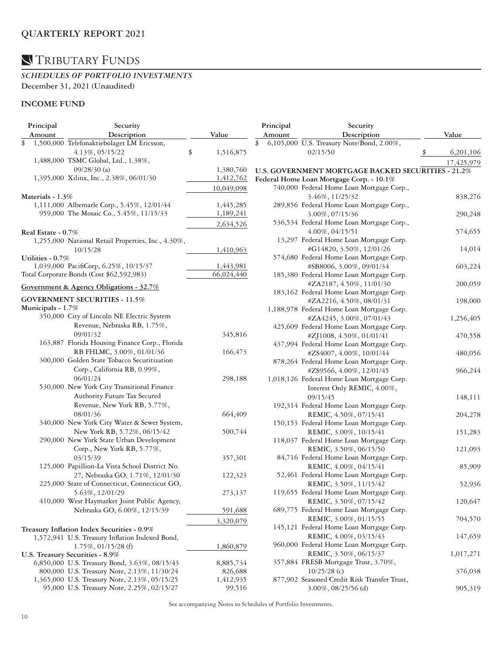### *SCHEDULES OF PORTFOLIO INVESTMENTS*  **December 31, 2021 (Unaudited)**

### **INCOME FUND**

| Principal          | Security                                           |                 | Principal | Security                                           |            |
|--------------------|----------------------------------------------------|-----------------|-----------|----------------------------------------------------|------------|
| Amount             | Description                                        | Value           | Amount    | Description                                        | Value      |
| \$                 | 1,500,000 Telefonaktiebolaget LM Ericsson,         |                 |           | 6,105,000 U.S. Treasury Note/Bond, 2.00%,          |            |
|                    | 4.13%, 05/15/22                                    | \$<br>1,516,875 |           | 02/15/50                                           | 6,201,106  |
|                    | 1,488,000 TSMC Global, Ltd., 1.38%,                |                 |           |                                                    | 17,425,979 |
|                    | $09/28/30$ (a)                                     | 1,380,760       |           | U.S. GOVERNMENT MORTGAGE BACKED SECURITIES - 21.2% |            |
|                    | 1,395,000 Xilinx, Inc., 2.38%, 06/01/30            | 1,412,762       |           | Federal Home Loan Mortgage Corp. - 10.1%           |            |
|                    |                                                    | 10,049,098      |           | 740,000 Federal Home Loan Mortgage Corp.,          |            |
| Materials - 1.3%   |                                                    |                 |           | 3.46%, 11/25/32                                    | 838,276    |
|                    | 1,111,000 Albemarle Corp., 5.45%, 12/01/44         | 1,445,285       |           | 289,856 Federal Home Loan Mortgage Corp.,          |            |
|                    | 959,000 The Mosaic Co., 5.45%, 11/15/33            | 1,189,241       |           | 3.00%, 07/15/36                                    | 290,248    |
|                    |                                                    |                 |           | 536,534 Federal Home Loan Mortgage Corp.,          |            |
|                    |                                                    | 2,634,526       |           | 4.00%, 04/15/51                                    |            |
| Real Estate - 0.7% |                                                    |                 |           | 13,297 Federal Home Loan Mortgage Corp.            | 574,655    |
|                    | 1,255,000 National Retail Properties, Inc., 4.30%, |                 |           |                                                    |            |
|                    | 10/15/28                                           | 1,410,963       |           | #G14820, 3.50%, 12/01/26                           | 14,014     |
| Utilities - 0.7%   |                                                    |                 |           | 574,680 Federal Home Loan Mortgage Corp.           |            |
|                    | 1,039,000 PacifiCorp, 6.25%, 10/15/37              | 1,443,981       |           | #SB8006, 3.00%, 09/01/34                           | 603,224    |
|                    | Total Corporate Bonds (Cost \$62,592,983)          | 66,024,440      |           | 185,380 Federal Home Loan Mortgage Corp.           |            |
|                    | Government & Agency Obligations - 32.7%            |                 |           | #ZA2187, 4.50%, 11/01/30                           | 200,059    |
|                    |                                                    |                 |           | 183,162 Federal Home Loan Mortgage Corp.           |            |
|                    | <b>GOVERNMENT SECURITIES - 11.5%</b>               |                 |           | #ZA2216, 4.50%, 08/01/31                           | 198,000    |
| Municipals - 1.7%  |                                                    |                 |           | 1,188,978 Federal Home Loan Mortgage Corp.         |            |
|                    | 350,000 City of Lincoln NE Electric System         |                 |           | #ZA4245, 3.00%, 07/01/43                           | 1,256,405  |
|                    | Revenue, Nebraska RB, 1.75%,                       |                 |           | 425,609 Federal Home Loan Mortgage Corp.           |            |
|                    | 09/01/32                                           | 345,816         |           | #ZJ1008, 4.50%, 01/01/41                           | 470,558    |
|                    | 163,887 Florida Housing Finance Corp., Florida     |                 |           | 437,994 Federal Home Loan Mortgage Corp.           |            |
|                    | RB FHLMC, 3.00%, 01/01/36                          | 166,473         |           | #ZS4007, 4.00%, 10/01/44                           | 480,056    |
|                    | 300,000 Golden State Tobacco Securitization        |                 |           | 878,264 Federal Home Loan Mortgage Corp.           |            |
|                    | Corp., California RB, 0.99%,                       |                 |           | #ZS9566, 4.00%, 12/01/45                           | 966,244    |
|                    | 06/01/24                                           | 298,188         |           | 1,018,126 Federal Home Loan Mortgage Corp.         |            |
|                    | 530,000 New York City Transitional Finance         |                 |           | Interest Only REMIC, 4.00%,                        |            |
|                    | Authority Future Tax Secured                       |                 |           | 09/15/45                                           | 148,111    |
|                    | Revenue, New York RB, 5.77%,                       |                 |           | 192,314 Federal Home Loan Mortgage Corp.           |            |
|                    | 08/01/36                                           | 664,409         |           | REMIC, 4.50%, 07/15/41                             | 204,278    |
|                    | 340,000 New York City Water & Sewer System,        |                 |           | 150,153 Federal Home Loan Mortgage Corp.           |            |
|                    | New York RB, 5.72%, 06/15/42                       | 500,744         |           | REMIC, 3.00%, 10/15/41                             | 151,283    |
|                    | 290,000 New York State Urban Development           |                 |           | 118,037 Federal Home Loan Mortgage Corp.           |            |
|                    | Corp., New York RB, 5.77%,                         |                 |           | REMIC, 3.50%, 06/15/50                             | 121,093    |
|                    | 03/15/39                                           | 357,301         |           | 84,716 Federal Home Loan Mortgage Corp.            |            |
|                    | 125,000 Papillion-La Vista School District No.     |                 |           | REMIC, 4.00%, 04/15/41                             | 85,909     |
|                    | 27, Nebraska GO, 1.71%, 12/01/30                   | 122,323         |           | 52,461 Federal Home Loan Mortgage Corp.            |            |
|                    | 225,000 State of Connecticut, Connecticut GO,      |                 |           | REMIC, 3.50%, 11/15/42                             | 52,936     |
|                    | 5.63%, 12/01/29                                    | 273,137         |           | 119,655 Federal Home Loan Mortgage Corp.           |            |
|                    | 410,000 West Haymarket Joint Public Agency,        |                 |           | REMIC, 3.50%, 07/15/42                             | 120,647    |
|                    | Nebraska GO, 6.00%, 12/15/39                       | 591,688         |           | 689,775 Federal Home Loan Mortgage Corp.           |            |
|                    |                                                    |                 |           | REMIC, 3.00%, 01/15/55                             | 704,570    |
|                    |                                                    | 3,320,079       |           | 145,121 Federal Home Loan Mortgage Corp.           |            |
|                    | Treasury Inflation Index Securities - 0.9%         |                 |           | REMIC, 4.00%, 03/15/43                             | 147,659    |
|                    | 1,572,941 U.S. Treasury Inflation Indexed Bond,    |                 |           | 960,000 Federal Home Loan Mortgage Corp.           |            |
|                    | $1.75\%, 01/15/28$ (f)                             | 1,860,879       |           |                                                    |            |
|                    | U.S. Treasury Securities - 8.9%                    |                 |           | REMIC, 3.50%, 06/15/37                             | 1,017,271  |
|                    | 6,850,000 U.S. Treasury Bond, 3.63%, 08/15/43      | 8,885,734       |           | 357,884 FRESB Mortgage Trust, 3.70%,               |            |
|                    | 800,000 U.S. Treasury Note, 2.13%, 11/30/24        | 826,688         |           | $10/25/28$ (c)                                     | 376,038    |
|                    | 1,365,000 U.S. Treasury Note, 2.13%, 05/15/25      | 1,412,935       |           | 877,902 Seasoned Credit Risk Transfer Trust,       |            |
|                    | 95,000 U.S. Treasury Note, 2.25%, 02/15/27         | 99,516          |           | $3.00\%$ , 08/25/56 (d)                            | 905,319    |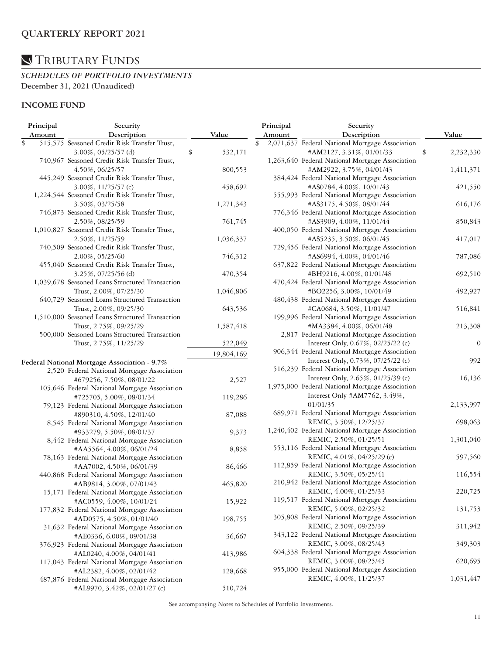### *SCHEDULES OF PORTFOLIO INVESTMENTS*  **December 31, 2021 (Unaudited)**

### **INCOME FUND**

| Principal | Security                                        |               | Principal | Security                                                                |                  |
|-----------|-------------------------------------------------|---------------|-----------|-------------------------------------------------------------------------|------------------|
| Amount    | Description                                     | Value         | Amount    | Description                                                             | Value            |
| \$        | 515,575 Seasoned Credit Risk Transfer Trust,    |               | \$        | 2,071,637 Federal National Mortgage Association                         |                  |
|           | 3.00%, 05/25/57 (d)                             | \$<br>532,171 |           | #AM2127, 3.31%, 01/01/33                                                | \$<br>2,232,330  |
|           | 740,967 Seasoned Credit Risk Transfer Trust,    |               |           | 1,263,640 Federal National Mortgage Association                         |                  |
|           | 4.50%, 06/25/57                                 | 800,553       |           | #AM2922, 3.75%, 04/01/43                                                | 1,411,371        |
|           | 445,249 Seasoned Credit Risk Transfer Trust,    |               |           | 384,424 Federal National Mortgage Association                           |                  |
|           | $3.00\%$ , $11/25/57$ (c)                       | 458,692       |           | #AS0784, 4.00%, 10/01/43                                                | 421,550          |
|           | 1,224,544 Seasoned Credit Risk Transfer Trust,  |               |           | 555,993 Federal National Mortgage Association                           |                  |
|           | 3.50%, 03/25/58                                 | 1,271,343     |           | #AS3175, 4.50%, 08/01/44                                                | 616,176          |
|           | 746,873 Seasoned Credit Risk Transfer Trust,    |               |           | 776,346 Federal National Mortgage Association                           |                  |
|           | 2.50%, 08/25/59                                 | 761,745       |           | #AS3909, 4.00%, 11/01/44                                                | 850,843          |
|           | 1,010,827 Seasoned Credit Risk Transfer Trust,  |               |           | 400,050 Federal National Mortgage Association                           |                  |
|           | 2.50%, 11/25/59                                 | 1,036,337     |           | #AS5235, 3.50%, 06/01/45                                                | 417,017          |
|           | 740,509 Seasoned Credit Risk Transfer Trust,    |               |           | 729,456 Federal National Mortgage Association                           |                  |
|           | 2.00%, 05/25/60                                 | 746,312       |           | #AS6994, 4.00%, 04/01/46                                                | 787,086          |
|           | 455,040 Seasoned Credit Risk Transfer Trust,    |               |           | 637,822 Federal National Mortgage Association                           |                  |
|           | 3.25%, 07/25/56(d)                              | 470,354       |           | #BH9216, 4.00%, 01/01/48                                                | 692,510          |
|           | 1,039,678 Seasoned Loans Structured Transaction |               |           | 470,424 Federal National Mortgage Association                           |                  |
|           | Trust, 2.00%, 07/25/30                          | 1,046,806     |           | #BO2256, 3.00%, 10/01/49                                                | 492,927          |
|           | 640,729 Seasoned Loans Structured Transaction   |               |           | 480,438 Federal National Mortgage Association                           |                  |
|           | Trust, 2.00%, 09/25/30                          | 643,536       |           | #CA0684, 3.50%, 11/01/47                                                | 516,841          |
|           | 1,510,000 Seasoned Loans Structured Transaction |               |           | 199,996 Federal National Mortgage Association                           |                  |
|           | Trust, 2.75%, 09/25/29                          | 1,587,418     |           | #MA3384, 4.00%, 06/01/48                                                | 213,308          |
|           | 500,000 Seasoned Loans Structured Transaction   |               |           | 2,817 Federal National Mortgage Association                             |                  |
|           | Trust, 2.75%, 11/25/29                          | 522,049       |           | Interest Only, 0.67%, 02/25/22 (c)                                      | $\boldsymbol{0}$ |
|           |                                                 |               |           | 906,344 Federal National Mortgage Association                           |                  |
|           |                                                 | 19,804,169    |           | Interest Only, 0.73%, 07/25/22 (c)                                      | 992              |
|           | Federal National Mortgage Association - 9.7%    |               |           | 516,239 Federal National Mortgage Association                           |                  |
|           | 2,520 Federal National Mortgage Association     |               |           | Interest Only, 2.65%, 01/25/39 (c)                                      | 16,136           |
|           | #679256, 7.50%, 08/01/22                        | 2,527         |           | 1,975,000 Federal National Mortgage Association                         |                  |
|           | 105,646 Federal National Mortgage Association   |               |           | Interest Only #AM7762, 3.49%,                                           |                  |
|           | #725705, 5.00%, 08/01/34                        | 119,286       |           | 01/01/35                                                                |                  |
|           | 79,123 Federal National Mortgage Association    |               |           | 689,971 Federal National Mortgage Association                           | 2,133,997        |
|           | #890310, 4.50%, 12/01/40                        | 87,088        |           | REMIC, 3.50%, 12/25/37                                                  | 698,063          |
|           | 8,545 Federal National Mortgage Association     |               |           | 1,240,402 Federal National Mortgage Association                         |                  |
|           | #933279, 5.50%, 08/01/37                        | 9,373         |           | REMIC, 2.50%, 01/25/51                                                  | 1,301,040        |
|           | 8,442 Federal National Mortgage Association     |               |           | 553,116 Federal National Mortgage Association                           |                  |
|           | #AA5564, 4.00%, 06/01/24                        | 8,858         |           | REMIC, 4.01%, 04/25/29 (c)                                              | 597,560          |
|           | 78,163 Federal National Mortgage Association    |               |           | 112,859 Federal National Mortgage Association                           |                  |
|           | #AA7002, 4.50%, 06/01/39                        | 86,466        |           | REMIC, 3.50%, 05/25/41                                                  |                  |
|           | 440,868 Federal National Mortgage Association   |               |           | 210,942 Federal National Mortgage Association                           | 116,554          |
|           | #AB9814, 3.00%, 07/01/43                        | 465,820       |           | REMIC, 4.00%, 01/25/33                                                  |                  |
|           | 15,171 Federal National Mortgage Association    |               |           |                                                                         | 220,725          |
|           | #AC0559, 4.00%, 10/01/24                        | 15,922        |           | 119,517 Federal National Mortgage Association<br>REMIC, 5.00%, 02/25/32 |                  |
|           | 177,832 Federal National Mortgage Association   |               |           | 305,808 Federal National Mortgage Association                           | 131,753          |
|           | #AD0575, 4.50%, 01/01/40                        | 198,755       |           |                                                                         |                  |
|           | 31,632 Federal National Mortgage Association    |               |           | REMIC, 2.50%, 09/25/39                                                  | 311,942          |
|           | #AE0336, 6.00%, 09/01/38                        | 36,667        |           | 343,122 Federal National Mortgage Association                           |                  |
|           | 376,923 Federal National Mortgage Association   |               |           | REMIC, 3.00%, 08/25/43                                                  | 349,303          |
|           | #AL0240, 4.00%, 04/01/41                        | 413,986       |           | 604,338 Federal National Mortgage Association<br>REMIC, 3.00%, 08/25/45 |                  |
|           | 117,043 Federal National Mortgage Association   |               |           |                                                                         | 620,695          |
|           | #AL2382, 4.00%, 02/01/42                        | 128,668       |           | 955,000 Federal National Mortgage Association                           |                  |
|           | 487,876 Federal National Mortgage Association   |               |           | REMIC, 4.00%, 11/25/37                                                  | 1,031,447        |
|           | #AL9970, 3.42%, 02/01/27 (c)                    | 510,724       |           |                                                                         |                  |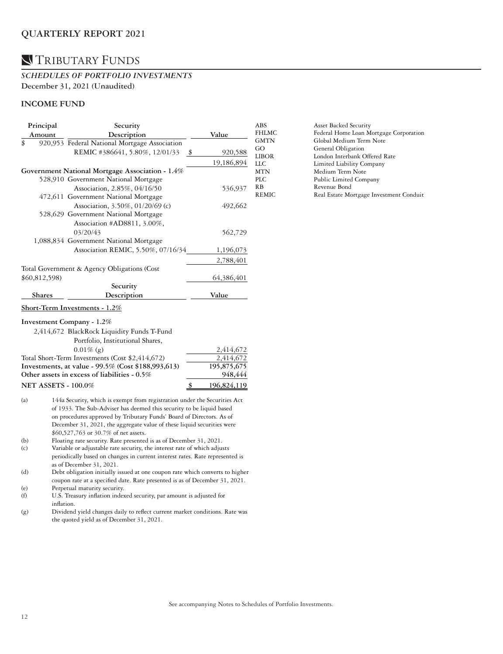### **N** TRIBUTARY FUNDS

#### *SCHEDULES OF PORTFOLIO INVESTMENTS*  **December 31, 2021 (Unaudited)**

#### **INCOME FUND**

| Principal    | Security                                        |       |            |  |  |
|--------------|-------------------------------------------------|-------|------------|--|--|
| Amount       | Description                                     | Value |            |  |  |
| \$           | 920,953 Federal National Mortgage Association   |       |            |  |  |
|              | REMIC #386641, 5.80%, 12/01/33<br>- \$          |       | 920,588    |  |  |
|              |                                                 |       | 19,186,894 |  |  |
|              | Government National Mortgage Association - 1.4% |       |            |  |  |
|              | 528,910 Government National Mortgage            |       |            |  |  |
|              | Association, 2.85%, 04/16/50                    |       | 536,937    |  |  |
|              | 472,611 Government National Mortgage            |       |            |  |  |
|              | Association, 3.50%, 01/20/69 (c)                |       | 492,662    |  |  |
|              | 528,629 Government National Mortgage            |       |            |  |  |
|              | Association #AD8811, 3.00%,                     |       |            |  |  |
|              | 03/20/43                                        |       | 562,729    |  |  |
|              | 1,088,834 Government National Mortgage          |       |            |  |  |
|              | Association REMIC, 5.50%, 07/16/34              |       | 1,196,073  |  |  |
|              |                                                 |       | 2,788,401  |  |  |
|              | Total Government & Agency Obligations (Cost     |       |            |  |  |
| \$60,812,598 |                                                 |       | 64,386,401 |  |  |
|              | Security                                        |       |            |  |  |
| Shares       | Description                                     |       | Value      |  |  |
|              |                                                 |       |            |  |  |

#### **Short-Term Investments - 1.2%**

#### **Investment Company - 1.2%**

| 2,414,672 BlackRock Liquidity Funds T-Fund         |             |
|----------------------------------------------------|-------------|
| Portfolio, Institutional Shares,                   |             |
| $0.01\%$ (g)                                       | 2,414,672   |
| Total Short-Term Investments (Cost \$2,414,672)    | 2,414,672   |
| Investments, at value - 99.5% (Cost \$188,993,613) | 195,875,675 |
| Other assets in excess of liabilities - 0.5%       | 948,444     |
| <b>NET ASSETS - 100.0%</b>                         | 196,824,119 |

- (a) 144a Security, which is exempt from registration under the Securities Act of 1933. The Sub-Adviser has deemed this security to be liquid based on procedures approved by Tributary Funds' Board of Directors. As of December 31, 2021, the aggregate value of these liquid securities were \$60,527,763 or 30.7% of net assets.
- (b) Floating rate security. Rate presented is as of December 31, 2021.
- (c) Variable or adjustable rate security, the interest rate of which adjusts periodically based on changes in current interest rates. Rate represented is as of December 31, 2021.
- (d) Debt obligation initially issued at one coupon rate which converts to higher coupon rate at a specified date. Rate presented is as of December 31, 2021.
- (e) Perpetual maturity security. (f) U.S. Treasury inflation indexed security, par amount is adjusted for
- inflation.
- (g) Dividend yield changes daily to reflect current market conditions. Rate was the quoted yield as of December 31, 2021.

| ABS   | Asset Backed Security                   |
|-------|-----------------------------------------|
| FHLMC | Federal Home Loan Mortgage Corporation  |
| GMTN  | Global Medium Term Note                 |
| GO    | General Obligation                      |
| LIBOR | London Interbank Offered Rate           |
| LLC   | Limited Liability Company               |
| MTN   | Medium Term Note                        |
| PLC   | Public Limited Company                  |
| RВ    | Revenue Bond                            |
| REMIC | Real Estate Mortgage Investment Conduit |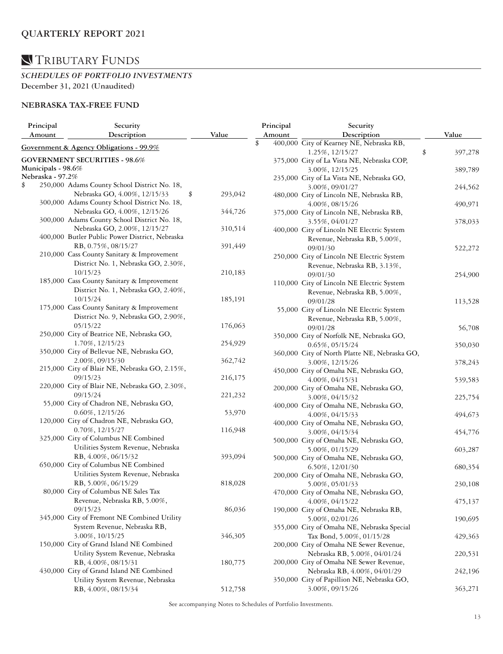*SCHEDULES OF PORTFOLIO INVESTMENTS*  **December 31, 2021 (Unaudited)**

### **NEBRASKA TAX-FREE FUND**

| Principal        | Security                                       |               | Principal | Security                                      |         |
|------------------|------------------------------------------------|---------------|-----------|-----------------------------------------------|---------|
| Amount           | Description                                    | Value         | Amount    | Description                                   | Value   |
|                  | Government & Agency Obligations - 99.9%        |               | \$        | 400,000 City of Kearney NE, Nebraska RB,      |         |
|                  |                                                |               |           | 1.25%, 12/15/27<br>\$                         | 397,278 |
|                  | <b>GOVERNMENT SECURITIES - 98.6%</b>           |               |           | 375,000 City of La Vista NE, Nebraska COP,    |         |
|                  | Municipals - 98.6%                             |               |           | 3.00%, 12/15/25                               | 389,789 |
| Nebraska - 97.2% |                                                |               |           | 235,000 City of La Vista NE, Nebraska GO,     |         |
| \$               | 250,000 Adams County School District No. 18,   |               |           | 3.00%, 09/01/27                               | 244,562 |
|                  | Nebraska GO, 4.00%, 12/15/33                   | 293,042<br>\$ |           | 480,000 City of Lincoln NE, Nebraska RB,      |         |
|                  | 300,000 Adams County School District No. 18,   |               |           | 4.00%, 08/15/26                               | 490,971 |
|                  | Nebraska GO, 4.00%, 12/15/26                   | 344,726       |           | 375,000 City of Lincoln NE, Nebraska RB,      |         |
|                  | 300,000 Adams County School District No. 18,   |               |           | 3.55%, 04/01/27                               | 378,033 |
|                  | Nebraska GO, 2.00%, 12/15/27                   | 310,514       |           | 400,000 City of Lincoln NE Electric System    |         |
|                  | 400,000 Butler Public Power District, Nebraska |               |           | Revenue, Nebraska RB, 5.00%,                  |         |
|                  | RB, 0.75%, 08/15/27                            | 391,449       |           | 09/01/30                                      | 522,272 |
|                  | 210,000 Cass County Sanitary & Improvement     |               |           | 250,000 City of Lincoln NE Electric System    |         |
|                  | District No. 1, Nebraska GO, 2.30%,            |               |           | Revenue, Nebraska RB, 3.13%,                  |         |
|                  | 10/15/23                                       | 210,183       |           | 09/01/30                                      | 254,900 |
|                  | 185,000 Cass County Sanitary & Improvement     |               |           | 110,000 City of Lincoln NE Electric System    |         |
|                  | District No. 1, Nebraska GO, 2.40%,            |               |           | Revenue, Nebraska RB, 5.00%,                  |         |
|                  | 10/15/24                                       | 185,191       |           | 09/01/28                                      | 113,528 |
|                  | 175,000 Cass County Sanitary & Improvement     |               |           | 55,000 City of Lincoln NE Electric System     |         |
|                  | District No. 9, Nebraska GO, 2.90%,            |               |           | Revenue, Nebraska RB, 5.00%,                  |         |
|                  | 05/15/22                                       | 176,063       |           | 09/01/28                                      |         |
|                  | 250,000 City of Beatrice NE, Nebraska GO,      |               |           |                                               | 56,708  |
|                  | 1.70%, 12/15/23                                | 254,929       |           | 350,000 City of Norfolk NE, Nebraska GO,      |         |
|                  | 350,000 City of Bellevue NE, Nebraska GO,      |               |           | $0.65\%, 05/15/24$                            | 350,030 |
|                  | 2.00%, 09/15/30                                | 362,742       |           | 360,000 City of North Platte NE, Nebraska GO, |         |
|                  | 215,000 City of Blair NE, Nebraska GO, 2.15%,  |               |           | 3.00%, 12/15/26                               | 378,243 |
|                  | 09/15/23                                       | 216,175       |           | 450,000 City of Omaha NE, Nebraska GO,        |         |
|                  | 220,000 City of Blair NE, Nebraska GO, 2.30%,  |               |           | 4.00%, 04/15/31                               | 539,583 |
|                  | 09/15/24                                       | 221,232       |           | 200,000 City of Omaha NE, Nebraska GO,        |         |
|                  | 55,000 City of Chadron NE, Nebraska GO,        |               |           | 3.00%, 04/15/32                               | 225,754 |
|                  | $0.60\%, 12/15/26$                             | 53,970        |           | 400,000 City of Omaha NE, Nebraska GO,        |         |
|                  | 120,000 City of Chadron NE, Nebraska GO,       |               |           | 4.00%, 04/15/33                               | 494,673 |
|                  | $0.70\%, 12/15/27$                             | 116,948       |           | 400,000 City of Omaha NE, Nebraska GO,        |         |
|                  | 325,000 City of Columbus NE Combined           |               |           | 3.00%, 04/15/34                               | 454,776 |
|                  | Utilities System Revenue, Nebraska             |               |           | 500,000 City of Omaha NE, Nebraska GO,        |         |
|                  | RB, 4.00%, 06/15/32                            |               |           | 5.00%, 01/15/29                               | 603,287 |
|                  | 650,000 City of Columbus NE Combined           | 393,094       |           | 500,000 City of Omaha NE, Nebraska GO,        |         |
|                  |                                                |               |           | 6.50%, 12/01/30                               | 680,354 |
|                  | Utilities System Revenue, Nebraska             |               |           | 200,000 City of Omaha NE, Nebraska GO,        |         |
|                  | RB, 5.00%, 06/15/29                            | 818,028       |           | 5.00%, 05/01/33                               | 230,108 |
|                  | 80,000 City of Columbus NE Sales Tax           |               |           | 470,000 City of Omaha NE, Nebraska GO,        |         |
|                  | Revenue, Nebraska RB, 5.00%,                   |               |           | $4.00\%, 04/15/22$                            | 475,137 |
|                  | 09/15/23                                       | 86,036        |           | 190,000 City of Omaha NE, Nebraska RB,        |         |
|                  | 345,000 City of Fremont NE Combined Utility    |               |           | 5.00%, 02/01/26                               | 190,695 |
|                  | System Revenue, Nebraska RB,                   |               |           | 355,000 City of Omaha NE, Nebraska Special    |         |
|                  | 3.00%, 10/15/25                                | 346,305       |           | Tax Bond, 5.00%, 01/15/28                     | 429,363 |
|                  | 150,000 City of Grand Island NE Combined       |               |           | 200,000 City of Omaha NE Sewer Revenue,       |         |
|                  | Utility System Revenue, Nebraska               |               |           | Nebraska RB, 5.00%, 04/01/24                  | 220,531 |
|                  | RB, 4.00%, 08/15/31                            | 180,775       |           | 200,000 City of Omaha NE Sewer Revenue,       |         |
|                  | 430,000 City of Grand Island NE Combined       |               |           | Nebraska RB, 4.00%, 04/01/29                  | 242,196 |
|                  | Utility System Revenue, Nebraska               |               |           | 350,000 City of Papillion NE, Nebraska GO,    |         |
|                  | RB, 4.00%, 08/15/34                            | 512,758       |           | 3.00%, 09/15/26                               | 363,271 |
|                  |                                                |               |           |                                               |         |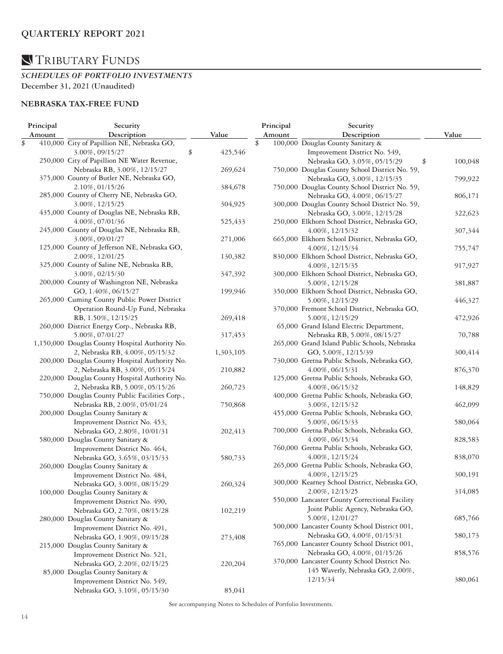*SCHEDULES OF PORTFOLIO INVESTMENTS*  **December 31, 2021 (Unaudited)**

### **NEBRASKA TAX-FREE FUND**

| Principal | Security                                        |           | Principal | Security                                       |         |
|-----------|-------------------------------------------------|-----------|-----------|------------------------------------------------|---------|
| Amount    | Description                                     | Value     | Amount    | Description                                    | Value   |
| \$        | 410,000 City of Papillion NE, Nebraska GO,      |           | \$        | 100,000 Douglas County Sanitary &              |         |
|           | \$<br>3.00%, 09/15/27                           | 425,546   |           | Improvement District No. 549,                  |         |
|           | 250,000 City of Papillion NE Water Revenue,     |           |           | Nebraska GO, 3.05%, 05/15/29<br>\$             | 100,048 |
|           | Nebraska RB, 3.00%, 12/15/27                    | 269,624   |           | 750,000 Douglas County School District No. 59, |         |
|           | 375,000 County of Butler NE, Nebraska GO,       |           |           | Nebraska GO, 3.00%, 12/15/35                   | 799,922 |
|           | 2.10%, 01/15/26                                 | 384,678   |           | 750,000 Douglas County School District No. 59, |         |
|           | 285,000 County of Cherry NE, Nebraska GO,       |           |           | Nebraska GO, 4.00%, 06/15/27                   | 806,171 |
|           | 3.00%, 12/15/25                                 | 304,925   |           | 300,000 Douglas County School District No. 59, |         |
|           | 435,000 County of Douglas NE, Nebraska RB,      |           |           | Nebraska GO, 3.00%, 12/15/28                   | 322,623 |
|           | 4.00%, 07/01/36                                 | 525,433   |           | 250,000 Elkhorn School District, Nebraska GO,  |         |
|           | 245,000 County of Douglas NE, Nebraska RB,      |           |           | 4.00%, 12/15/32                                | 307,344 |
|           | 3.00%, 09/01/27                                 | 271,006   |           | 665,000 Elkhorn School District, Nebraska GO,  |         |
|           | 125,000 County of Jefferson NE, Nebraska GO,    |           |           | 4.00%, 12/15/34                                | 755,747 |
|           | 2.00%, 12/01/25                                 | 130,382   |           | 830,000 Elkhorn School District, Nebraska GO,  |         |
|           | 325,000 County of Saline NE, Nebraska RB,       |           |           | 4.00%, 12/15/35                                | 917,927 |
|           | 3.00%, 02/15/30                                 | 347,392   |           | 300,000 Elkhorn School District, Nebraska GO,  |         |
|           | 200,000 County of Washington NE, Nebraska       |           |           | 5.00%, 12/15/28                                | 381,887 |
|           | GO, 1.40%, 06/15/27                             | 199,946   |           | 350,000 Elkhorn School District, Nebraska GO,  |         |
|           | 265,000 Cuming County Public Power District     |           |           | 5.00%, 12/15/29                                |         |
|           |                                                 |           |           |                                                | 446,327 |
|           | Operation Round-Up Fund, Nebraska               |           |           | 370,000 Fremont School District, Nebraska GO,  |         |
|           | RB, 1.50%, 12/15/25                             | 269,418   |           | 5.00%, 12/15/29                                | 472,926 |
|           | 260,000 District Energy Corp., Nebraska RB,     |           |           | 65,000 Grand Island Electric Department,       |         |
|           | 5.00%, 07/01/27                                 | 317,453   |           | Nebraska RB, 5.00%, 08/15/27                   | 70,788  |
|           | 1,150,000 Douglas County Hospital Authority No. |           |           | 265,000 Grand Island Public Schools, Nebraska  |         |
|           | 2, Nebraska RB, 4.00%, 05/15/32                 | 1,303,105 |           | GO, 5.00%, 12/15/39                            | 300,414 |
|           | 200,000 Douglas County Hospital Authority No.   |           |           | 730,000 Gretna Public Schools, Nebraska GO,    |         |
|           | 2, Nebraska RB, 3.00%, 05/15/24                 | 210,882   |           | 4.00%, 06/15/31                                | 876,370 |
|           | 220,000 Douglas County Hospital Authority No.   |           |           | 125,000 Gretna Public Schools, Nebraska GO,    |         |
|           | 2, Nebraska RB, 5.00%, 05/15/26                 | 260,723   |           | 4.00%, 06/15/32                                | 148,829 |
|           | 750,000 Douglas County Public Facilities Corp., |           |           | 400,000 Gretna Public Schools, Nebraska GO,    |         |
|           | Nebraska RB, 2.00%, 05/01/24                    | 750,868   |           | 3.00%, 12/15/32                                | 462,099 |
|           | 200,000 Douglas County Sanitary &               |           |           | 455,000 Gretna Public Schools, Nebraska GO,    |         |
|           | Improvement District No. 453,                   |           |           | 5.00%, 06/15/33                                | 580,064 |
|           | Nebraska GO, 2.80%, 10/01/31                    | 202,413   |           | 700,000 Gretna Public Schools, Nebraska GO,    |         |
|           | 580,000 Douglas County Sanitary &               |           |           | 4.00%, 06/15/34                                | 828,583 |
|           | Improvement District No. 464,                   |           |           | 760,000 Gretna Public Schools, Nebraska GO,    |         |
|           | Nebraska GO, 3.65%, 03/15/33                    | 580,733   |           | 4.00%, 12/15/24                                | 838,070 |
|           | 260,000 Douglas County Sanitary &               |           |           | 265,000 Gretna Public Schools, Nebraska GO,    |         |
|           | Improvement District No. 484,                   |           |           | 4.00%, 12/15/25                                | 300,191 |
|           | Nebraska GO, 3.00%, 08/15/29                    | 260,324   |           | 300,000 Kearney School District, Nebraska GO,  |         |
|           | 100,000 Douglas County Sanitary &               |           |           | 2.00%, 12/15/25                                | 314,085 |
|           | Improvement District No. 490,                   |           |           | 550,000 Lancaster County Correctional Facility |         |
|           | Nebraska GO, 2.70%, 08/15/28                    | 102,219   |           | Joint Public Agency, Nebraska GO,              |         |
|           | 280,000 Douglas County Sanitary &               |           |           | 5.00%, 12/01/27                                | 685,766 |
|           | Improvement District No. 491,                   |           |           | 500,000 Lancaster County School District 001,  |         |
|           | Nebraska GO, 1.90%, 09/15/28                    | 273,408   |           | Nebraska GO, 4.00%, 01/15/31                   | 580,173 |
|           | 215,000 Douglas County Sanitary &               |           |           | 765,000 Lancaster County School District 001,  |         |
|           | Improvement District No. 521,                   |           |           | Nebraska GO, 4.00%, 01/15/26                   | 858,576 |
|           | Nebraska GO, 2.20%, 02/15/25                    | 220,204   |           | 370,000 Lancaster County School District No.   |         |
|           | 85,000 Douglas County Sanitary &                |           |           | 145 Waverly, Nebraska GO, 2.00%,               |         |
|           |                                                 |           |           | 12/15/34                                       | 380,061 |
|           | Improvement District No. 549,                   |           |           |                                                |         |
|           | Nebraska GO, 3.10%, 05/15/30                    | 85,041    |           |                                                |         |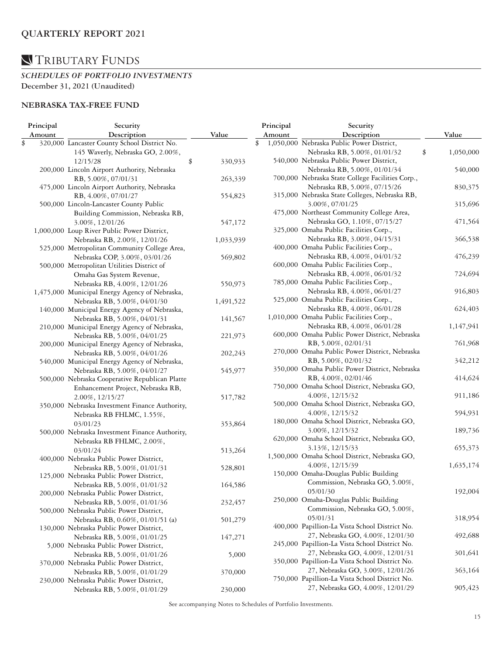*SCHEDULES OF PORTFOLIO INVESTMENTS*  **December 31, 2021 (Unaudited)**

### **NEBRASKA TAX-FREE FUND**

| Principal | Security                                       |               | Principal | Security                                         |                 |
|-----------|------------------------------------------------|---------------|-----------|--------------------------------------------------|-----------------|
| Amount    | Description                                    | Value         | Amount    | Description                                      | Value           |
| \$        | 320,000 Lancaster County School District No.   |               | \$        | 1,050,000 Nebraska Public Power District,        |                 |
|           | 145 Waverly, Nebraska GO, 2.00%,               |               |           | Nebraska RB, 5.00%, 01/01/32                     | \$<br>1,050,000 |
|           | 12/15/28                                       | \$<br>330,933 |           | 540,000 Nebraska Public Power District,          |                 |
|           | 200,000 Lincoln Airport Authority, Nebraska    |               |           | Nebraska RB, 5.00%, 01/01/34                     | 540,000         |
|           | RB, 5.00%, 07/01/31                            | 263,339       |           | 700,000 Nebraska State College Facilities Corp., |                 |
|           | 475,000 Lincoln Airport Authority, Nebraska    |               |           | Nebraska RB, 5.00%, 07/15/26                     | 830,375         |
|           | RB, 4.00%, 07/01/27                            | 554,823       |           | 315,000 Nebraska State Colleges, Nebraska RB,    |                 |
|           | 500,000 Lincoln-Lancaster County Public        |               |           | 3.00%, 07/01/25                                  | 315,696         |
|           | Building Commission, Nebraska RB,              |               |           | 475,000 Northeast Community College Area,        |                 |
|           | 3.00%, 12/01/26                                | 547,172       |           | Nebraska GO, 1.10%, 07/15/27                     | 471,564         |
|           | 1,000,000 Loup River Public Power District,    |               |           | 325,000 Omaha Public Facilities Corp.,           |                 |
|           |                                                |               |           | Nebraska RB, 3.00%, 04/15/31                     | 366,538         |
|           | Nebraska RB, 2.00%, 12/01/26                   | 1,033,939     |           | 400,000 Omaha Public Facilities Corp.,           |                 |
|           | 525,000 Metropolitan Community College Area,   |               |           | Nebraska RB, 4.00%, 04/01/32                     |                 |
|           | Nebraska COP, 3.00%, 03/01/26                  | 569,802       |           |                                                  | 476,239         |
|           | 500,000 Metropolitan Utilities District of     |               |           | 600,000 Omaha Public Facilities Corp.,           |                 |
|           | Omaha Gas System Revenue,                      |               |           | Nebraska RB, 4.00%, 06/01/32                     | 724,694         |
|           | Nebraska RB, 4.00%, 12/01/26                   | 550,973       |           | 785,000 Omaha Public Facilities Corp.,           |                 |
|           | 1,475,000 Municipal Energy Agency of Nebraska, |               |           | Nebraska RB, 4.00%, 06/01/27                     | 916,803         |
|           | Nebraska RB, 5.00%, 04/01/30                   | 1,491,522     |           | 525,000 Omaha Public Facilities Corp.,           |                 |
|           | 140,000 Municipal Energy Agency of Nebraska,   |               |           | Nebraska RB, 4.00%, 06/01/28                     | 624,403         |
|           | Nebraska RB, 5.00%, 04/01/31                   | 141,567       |           | 1,010,000 Omaha Public Facilities Corp.,         |                 |
|           | 210,000 Municipal Energy Agency of Nebraska,   |               |           | Nebraska RB, 4.00%, 06/01/28                     | 1,147,941       |
|           | Nebraska RB, 5.00%, 04/01/25                   | 221,973       |           | 600,000 Omaha Public Power District, Nebraska    |                 |
|           | 200,000 Municipal Energy Agency of Nebraska,   |               |           | RB, 5.00%, 02/01/31                              | 761,968         |
|           | Nebraska RB, 5.00%, 04/01/26                   | 202,243       |           | 270,000 Omaha Public Power District, Nebraska    |                 |
|           | 540,000 Municipal Energy Agency of Nebraska,   |               |           | RB, 5.00%, 02/01/32                              | 342,212         |
|           | Nebraska RB, 5.00%, 04/01/27                   | 545,977       |           | 350,000 Omaha Public Power District, Nebraska    |                 |
|           | 500,000 Nebraska Cooperative Republican Platte |               |           | RB, 4.00%, 02/01/46                              | 414,624         |
|           | Enhancement Project, Nebraska RB,              |               |           | 750,000 Omaha School District, Nebraska GO,      |                 |
|           | 2.00%, 12/15/27                                | 517,782       |           | 4.00%, 12/15/32                                  | 911,186         |
|           | 350,000 Nebraska Investment Finance Authority, |               |           | 500,000 Omaha School District, Nebraska GO,      |                 |
|           | Nebraska RB FHLMC, 1.55%,                      |               |           | 4.00%, 12/15/32                                  | 594,931         |
|           | 03/01/23                                       | 353,864       |           | 180,000 Omaha School District, Nebraska GO,      |                 |
|           | 500,000 Nebraska Investment Finance Authority, |               |           | 3.00%, 12/15/32                                  | 189,736         |
|           |                                                |               |           | 620,000 Omaha School District, Nebraska GO,      |                 |
|           | Nebraska RB FHLMC, 2.00%,                      |               |           | 3.13%, 12/15/33                                  | 655,373         |
|           | 03/01/24                                       | 513,264       |           | 1,500,000 Omaha School District, Nebraska GO,    |                 |
|           | 400,000 Nebraska Public Power District,        |               |           | 4.00%, 12/15/39                                  | 1,635,174       |
|           | Nebraska RB, 5.00%, 01/01/31                   | 528,801       |           | 150,000 Omaha-Douglas Public Building            |                 |
|           | 125,000 Nebraska Public Power District,        |               |           | Commission, Nebraska GO, 5.00%,                  |                 |
|           | Nebraska RB, 5.00%, 01/01/32                   | 164,586       |           | 05/01/30                                         |                 |
|           | 200,000 Nebraska Public Power District,        |               |           |                                                  | 192,004         |
|           | Nebraska RB, 5.00%, 01/01/36                   | 232,457       |           | 250,000 Omaha-Douglas Public Building            |                 |
|           | 500,000 Nebraska Public Power District,        |               |           | Commission, Nebraska GO, 5.00%,                  |                 |
|           | Nebraska RB, 0.60%, 01/01/51 (a)               | 501,279       |           | 05/01/31                                         | 318,954         |
|           | 130,000 Nebraska Public Power District,        |               |           | 400,000 Papillion-La Vista School District No.   |                 |
|           | Nebraska RB, 5.00%, 01/01/25                   | 147,271       |           | 27, Nebraska GO, 4.00%, 12/01/30                 | 492,688         |
|           | 5,000 Nebraska Public Power District,          |               |           | 245,000 Papillion-La Vista School District No.   |                 |
|           | Nebraska RB, 5.00%, 01/01/26                   | 5,000         |           | 27, Nebraska GO, 4.00%, 12/01/31                 | 301,641         |
|           | 370,000 Nebraska Public Power District,        |               |           | 350,000 Papillion-La Vista School District No.   |                 |
|           | Nebraska RB, 5.00%, 01/01/29                   | 370,000       |           | 27, Nebraska GO, 3.00%, 12/01/26                 | 363,164         |
|           | 230,000 Nebraska Public Power District,        |               |           | 750,000 Papillion-La Vista School District No.   |                 |
|           | Nebraska RB, 5.00%, 01/01/29                   | 230,000       |           | 27, Nebraska GO, 4.00%, 12/01/29                 | 905,423         |
|           |                                                |               |           |                                                  |                 |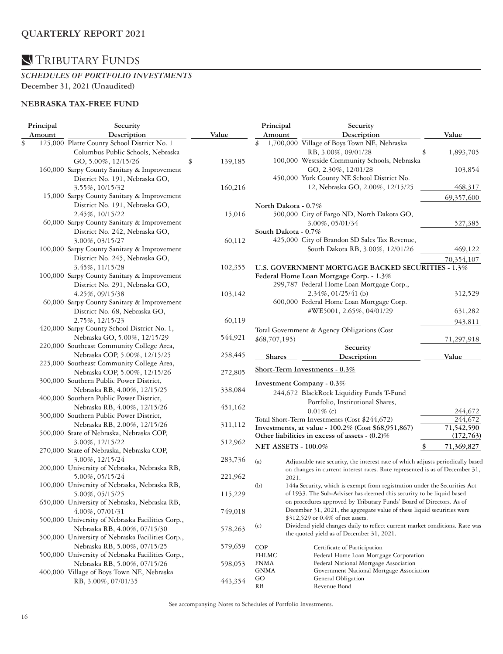*SCHEDULES OF PORTFOLIO INVESTMENTS*  **December 31, 2021 (Unaudited)**

### **NEBRASKA TAX-FREE FUND**

| Principal | Security                                         |       |         | Principal                  |       | Security                                                                        |                 |
|-----------|--------------------------------------------------|-------|---------|----------------------------|-------|---------------------------------------------------------------------------------|-----------------|
| Amount    | Description                                      | Value |         | Amount                     |       | Description                                                                     | Value           |
| \$        | 125,000 Platte County School District No. 1      |       |         | \$                         |       | 1,700,000 Village of Boys Town NE, Nebraska                                     |                 |
|           | Columbus Public Schools, Nebraska                |       |         |                            |       | RB, 3.00%, 09/01/28                                                             | \$<br>1,893,705 |
|           | GO, 5.00%, 12/15/26                              | \$    | 139,185 |                            |       | 100,000 Westside Community Schools, Nebraska                                    |                 |
|           | 160,000 Sarpy County Sanitary & Improvement      |       |         |                            |       | GO, 2.30%, 12/01/28                                                             | 103,854         |
|           | District No. 191, Nebraska GO,                   |       |         |                            |       | 450,000 York County NE School District No.                                      |                 |
|           | 3.55%, 10/15/32                                  |       | 160,216 |                            |       | 12, Nebraska GO, 2.00%, 12/15/25                                                | 468,317         |
|           | 15,000 Sarpy County Sanitary & Improvement       |       |         |                            |       |                                                                                 | 69,357,600      |
|           | District No. 191, Nebraska GO,                   |       |         | North Dakota - 0.7%        |       |                                                                                 |                 |
|           | 2.45%, 10/15/22                                  |       | 15,016  |                            |       | 500,000 City of Fargo ND, North Dakota GO,                                      |                 |
|           | 60,000 Sarpy County Sanitary & Improvement       |       |         |                            |       | 3.00%, 05/01/34                                                                 | 527,385         |
|           | District No. 242, Nebraska GO,                   |       |         | South Dakota - 0.7%        |       |                                                                                 |                 |
|           | 3.00%, 03/15/27                                  |       | 60,112  |                            |       | 425,000 City of Brandon SD Sales Tax Revenue,                                   |                 |
|           | 100,000 Sarpy County Sanitary & Improvement      |       |         |                            |       | South Dakota RB, 3.00%, 12/01/26                                                | 469,122         |
|           |                                                  |       |         |                            |       |                                                                                 |                 |
|           | District No. 245, Nebraska GO,                   |       |         |                            |       |                                                                                 | 70,354,107      |
|           | 3.45%, 11/15/28                                  |       | 102,355 |                            |       | U.S. GOVERNMENT MORTGAGE BACKED SECURITIES - 1.3%                               |                 |
|           | 100,000 Sarpy County Sanitary & Improvement      |       |         |                            |       | Federal Home Loan Mortgage Corp. - 1.3%                                         |                 |
|           | District No. 291, Nebraska GO,                   |       |         |                            |       | 299,787 Federal Home Loan Mortgage Corp.,                                       |                 |
|           | 4.25%, 09/15/38                                  |       | 103,142 |                            |       | $2.34\%$ , 01/25/41 (b)                                                         | 312,529         |
|           | 60,000 Sarpy County Sanitary & Improvement       |       |         |                            |       | 600,000 Federal Home Loan Mortgage Corp.                                        |                 |
|           | District No. 68, Nebraska GO,                    |       |         |                            |       | #WE5001, 2.65%, 04/01/29                                                        | 631,282         |
|           | 2.75%, 12/15/23                                  |       | 60,119  |                            |       |                                                                                 | 943,811         |
|           | 420,000 Sarpy County School District No. 1,      |       |         |                            |       | Total Government & Agency Obligations (Cost                                     |                 |
|           | Nebraska GO, 5.00%, 12/15/29                     |       | 544,921 | \$68,707,195)              |       |                                                                                 | 71,297,918      |
|           | 220,000 Southeast Community College Area,        |       |         |                            |       | Security                                                                        |                 |
|           | Nebraska COP, 5.00%, 12/15/25                    |       | 258,445 | <b>Shares</b>              |       | Description                                                                     | Value           |
|           | 225,000 Southeast Community College Area,        |       |         |                            |       | Short-Term Investments - 0.3%                                                   |                 |
|           | Nebraska COP, 5.00%, 12/15/26                    |       | 272,805 |                            |       |                                                                                 |                 |
|           | 300,000 Southern Public Power District,          |       |         |                            |       | Investment Company - 0.3%                                                       |                 |
|           | Nebraska RB, 4.00%, 12/15/25                     |       | 338,084 |                            |       | 244,672 BlackRock Liquidity Funds T-Fund                                        |                 |
|           | 400,000 Southern Public Power District,          |       |         |                            |       | Portfolio, Institutional Shares,                                                |                 |
|           | Nebraska RB, 4.00%, 12/15/26                     |       | 451,162 |                            |       | $0.01\%$ (c)                                                                    | 244,672         |
|           | 300,000 Southern Public Power District,          |       |         |                            |       | Total Short-Term Investments (Cost \$244,672)                                   | 244,672         |
|           | Nebraska RB, 2.00%, 12/15/26                     |       | 311,112 |                            |       | Investments, at value - 100.2% (Cost \$68,951,867)                              | 71,542,590      |
|           | 500,000 State of Nebraska, Nebraska COP,         |       |         |                            |       | Other liabilities in excess of assets - (0.2)%                                  | (172, 763)      |
|           | 3.00%, 12/15/22                                  |       | 512,962 | <b>NET ASSETS - 100.0%</b> |       |                                                                                 | 71,369,827      |
|           | 270,000 State of Nebraska, Nebraska COP,         |       |         |                            |       |                                                                                 |                 |
|           | 3.00%, 12/15/24                                  |       | 283,736 | (a)                        |       | Adjustable rate security, the interest rate of which adjusts periodically based |                 |
|           | 200,000 University of Nebraska, Nebraska RB,     |       |         |                            |       | on changes in current interest rates. Rate represented is as of December 31,    |                 |
|           | 5.00%, 05/15/24                                  |       | 221,962 |                            | 2021. |                                                                                 |                 |
|           | 100,000 University of Nebraska, Nebraska RB,     |       |         | (b)                        |       | 144a Security, which is exempt from registration under the Securities Act       |                 |
|           | 5.00%, 05/15/25                                  |       | 115,229 |                            |       | of 1933. The Sub-Adviser has deemed this security to be liquid based            |                 |
|           | 650,000 University of Nebraska, Nebraska RB,     |       |         |                            |       | on procedures approved by Tributary Funds' Board of Directors. As of            |                 |
|           | 4.00%, 07/01/31                                  |       | 749,018 |                            |       | December 31, 2021, the aggregate value of these liquid securities were          |                 |
|           | 500,000 University of Nebraska Facilities Corp., |       |         |                            |       | \$312,529 or 0.4% of net assets.                                                |                 |
|           | Nebraska RB, 4.00%, 07/15/30                     |       | 578,263 | (c)                        |       | Dividend yield changes daily to reflect current market conditions. Rate was     |                 |
|           | 500,000 University of Nebraska Facilities Corp., |       |         |                            |       | the quoted yield as of December 31, 2021.                                       |                 |
|           | Nebraska RB, 5.00%, 07/15/25                     |       | 579,659 | <b>COP</b>                 |       | Certificate of Participation                                                    |                 |
|           | 500,000 University of Nebraska Facilities Corp., |       |         | FHLMC                      |       | Federal Home Loan Mortgage Corporation                                          |                 |
|           | Nebraska RB, 5.00%, 07/15/26                     |       | 598,053 | <b>FNMA</b>                |       | Federal National Mortgage Association                                           |                 |
|           | 400,000 Village of Boys Town NE, Nebraska        |       |         | GNMA                       |       | Government National Mortgage Association                                        |                 |
|           | RB, 3.00%, 07/01/35                              |       | 443,354 | GO                         |       | General Obligation                                                              |                 |
|           |                                                  |       |         | RB                         |       | Revenue Bond                                                                    |                 |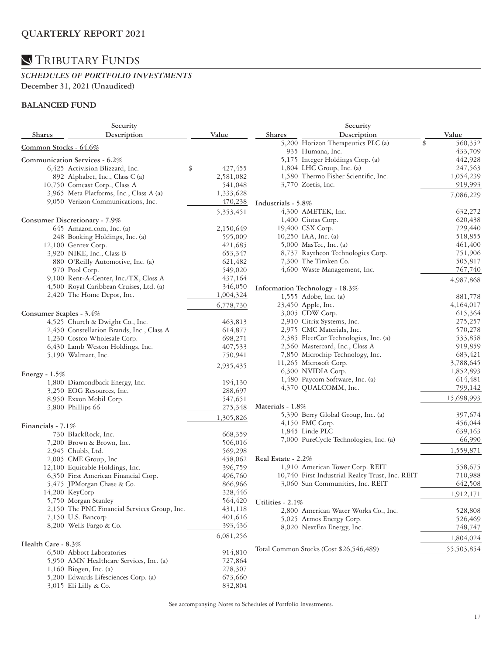### *SCHEDULES OF PORTFOLIO INVESTMENTS*  **December 31, 2021 (Unaudited)**

### **BALANCED FUND**

| Security                |                                              |               | Security                                        |               |  |  |
|-------------------------|----------------------------------------------|---------------|-------------------------------------------------|---------------|--|--|
| <b>Shares</b>           | Description                                  | Value         | Description<br><b>Shares</b>                    | Value         |  |  |
|                         |                                              |               | 5,200 Horizon Therapeutics PLC (a)              | 560,352<br>\$ |  |  |
| Common Stocks - 64.6%   |                                              |               | 935 Humana, Inc.                                | 433,709       |  |  |
|                         | Communication Services - 6.2%                |               | 5,175 Integer Holdings Corp. (a)                | 442,928       |  |  |
|                         | 6,425 Activision Blizzard, Inc.              | 427,455<br>\$ | 1,804 LHC Group, Inc. (a)                       | 247,563       |  |  |
|                         | 892 Alphabet, Inc., Class C (a)              | 2,581,082     | 1,580 Thermo Fisher Scientific, Inc.            | 1,054,239     |  |  |
|                         | 10,750 Comcast Corp., Class A                | 541,048       | 3,770 Zoetis, Inc.                              | 919,993       |  |  |
|                         | 3,965 Meta Platforms, Inc., Class A (a)      | 1,333,628     |                                                 |               |  |  |
|                         | 9,050 Verizon Communications, Inc.           | 470,238       |                                                 | 7,086,229     |  |  |
|                         |                                              |               | Industrials - 5.8%                              |               |  |  |
|                         |                                              | 5,353,451     | 4,300 AMETEK, Inc.                              | 632,272       |  |  |
|                         | Consumer Discretionary - 7.9%                |               | 1,400 Cintas Corp.                              | 620,438       |  |  |
|                         | 645 Amazon.com, Inc. (a)                     | 2,150,649     | 19,400 CSX Corp.                                | 729,440       |  |  |
|                         | 248 Booking Holdings, Inc. (a)               | 595,009       | 10,250 IAA, Inc. (a)                            | 518,855       |  |  |
|                         | 12,100 Gentex Corp.                          | 421,685       | 5,000 MasTec, Inc. (a)                          | 461,400       |  |  |
|                         | 3,920 NIKE, Inc., Class B                    | 653,347       | 8,737 Raytheon Technologies Corp.               | 751,906       |  |  |
|                         | 880 O'Reilly Automotive, Inc. (a)            | 621,482       | 7,300 The Timken Co.                            | 505,817       |  |  |
|                         | 970 Pool Corp.                               | 549,020       | 4,600 Waste Management, Inc.                    | 767,740       |  |  |
|                         | 9,100 Rent-A-Center, Inc./TX, Class A        | 437,164       |                                                 | 4,987,868     |  |  |
|                         | 4,500 Royal Caribbean Cruises, Ltd. (a)      | 346,050       | Information Technology - 18.3%                  |               |  |  |
|                         | 2,420 The Home Depot, Inc.                   | 1,004,324     | 1,555 Adobe, Inc. (a)                           | 881,778       |  |  |
|                         |                                              | 6,778,730     | 23,450 Apple, Inc.                              | 4,164,017     |  |  |
| Consumer Staples - 3.4% |                                              |               | 3,005 CDW Corp.                                 | 615,364       |  |  |
|                         | 4,525 Church & Dwight Co., Inc.              | 463,813       | 2,910 Citrix Systems, Inc.                      | 275,257       |  |  |
|                         | 2,450 Constellation Brands, Inc., Class A    | 614,877       | 2,975 CMC Materials, Inc.                       | 570,278       |  |  |
|                         | 1,230 Costco Wholesale Corp.                 | 698,271       | 2,385 FleetCor Technologies, Inc. (a)           | 533,858       |  |  |
|                         | 6,430 Lamb Weston Holdings, Inc.             | 407,533       | 2,560 Mastercard, Inc., Class A                 | 919,859       |  |  |
|                         | 5,190 Walmart, Inc.                          | 750,941       | 7,850 Microchip Technology, Inc.                | 683,421       |  |  |
|                         |                                              |               | 11,265 Microsoft Corp.                          | 3,788,645     |  |  |
|                         |                                              | 2,935,435     | 6,300 NVIDIA Corp.                              | 1,852,893     |  |  |
| Energy - $1.5%$         |                                              |               | 1,480 Paycom Software, Inc. (a)                 | 614,481       |  |  |
|                         | 1,800 Diamondback Energy, Inc.               | 194,130       | 4,370 QUALCOMM, Inc.                            | 799,142       |  |  |
|                         | 3,250 EOG Resources, Inc.                    | 288,697       |                                                 |               |  |  |
|                         | 8,950 Exxon Mobil Corp.                      | 547,651       |                                                 | 15,698,993    |  |  |
|                         | 3,800 Phillips 66                            | 275,348       | Materials - 1.8%                                |               |  |  |
|                         |                                              | 1,305,826     | 5,390 Berry Global Group, Inc. (a)              | 397,674       |  |  |
| Financials - $7.1%$     |                                              |               | 4,150 FMC Corp.                                 | 456,044       |  |  |
|                         | 730 BlackRock, Inc.                          | 668,359       | 1,845 Linde PLC                                 | 639,163       |  |  |
|                         | 7,200 Brown & Brown, Inc.                    | 506,016       | 7,000 PureCycle Technologies, Inc. (a)          | 66,990        |  |  |
|                         | 2,945 Chubb, Ltd.                            | 569,298       |                                                 | 1,559,871     |  |  |
|                         | 2,005 CME Group, Inc.                        | 458,062       | Real Estate - 2.2%                              |               |  |  |
|                         | 12,100 Equitable Holdings, Inc.              | 396,759       | 1,910 American Tower Corp. REIT                 | 558,675       |  |  |
|                         | 6,350 First American Financial Corp.         | 496,760       | 10,740 First Industrial Realty Trust, Inc. REIT | 710,988       |  |  |
|                         | 5,475 JPMorgan Chase & Co.                   | 866,966       | 3,060 Sun Communities, Inc. REIT                | 642,508       |  |  |
|                         | 14,200 KeyCorp                               | 328,446       |                                                 |               |  |  |
|                         | 5,750 Morgan Stanley                         |               | 564,420 Utilities - 2.1%                        | 1,912,171     |  |  |
|                         | 2,150 The PNC Financial Services Group, Inc. | 431,118       |                                                 |               |  |  |
|                         | 7,150 U.S. Bancorp                           | 401,616       | 2,800 American Water Works Co., Inc.            | 528,808       |  |  |
|                         | 8,200 Wells Fargo & Co.                      | 393,436       | 5,025 Atmos Energy Corp.                        | 526,469       |  |  |
|                         |                                              |               | 8,020 NextEra Energy, Inc.                      | 748,747       |  |  |
|                         |                                              | 6,081,256     |                                                 | 1,804,024     |  |  |
| Health Care - 8.3%      |                                              |               | Total Common Stocks (Cost \$26,546,489)         | 55,503,854    |  |  |
|                         | 6,500 Abbott Laboratories                    | 914,810       |                                                 |               |  |  |
|                         | 5,950 AMN Healthcare Services, Inc. (a)      | 727,864       |                                                 |               |  |  |
|                         | 1,160 Biogen, Inc. (a)                       | 278,307       |                                                 |               |  |  |
|                         | 5,200 Edwards Lifesciences Corp. (a)         | 673,660       |                                                 |               |  |  |
|                         | 3,015 Eli Lilly & Co.                        | 832,804       |                                                 |               |  |  |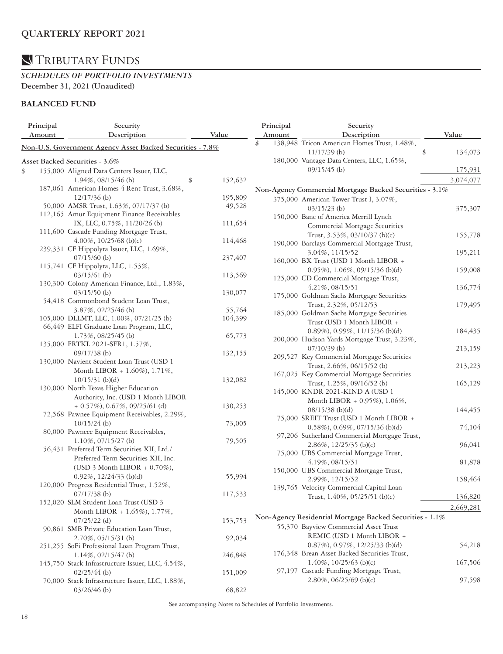#### *SCHEDULES OF PORTFOLIO INVESTMENTS*  **December 31, 2021 (Unaudited)**

### **BALANCED FUND**

| Principal | Security                                                  |               | Principal | Security                                                      |               |
|-----------|-----------------------------------------------------------|---------------|-----------|---------------------------------------------------------------|---------------|
| Amount    | Description                                               | Value         | Amount    | Description                                                   | Value         |
|           | Non-U.S. Government Agency Asset Backed Securities - 7.8% |               | \$        | 138,948 Tricon American Homes Trust, 1.48%,<br>$11/17/39$ (b) | \$<br>134,073 |
|           | Asset Backed Securities - 3.6%                            |               |           | 180,000 Vantage Data Centers, LLC, 1.65%,                     |               |
| \$        | 155,000 Aligned Data Centers Issuer, LLC,                 |               |           | $09/15/45$ (b)                                                | 175,931       |
|           | $1.94\%, 08/15/46$ (b)                                    | \$<br>152,632 |           |                                                               | 3,074,077     |
|           | 187,061 American Homes 4 Rent Trust, 3.68%,               |               |           | Non-Agency Commercial Mortgage Backed Securities - 3.1%       |               |
|           | $12/17/36$ (b)                                            | 195,809       |           | 375,000 American Tower Trust I, 3.07%,                        |               |
|           | 50,000 AMSR Trust, 1.63%, 07/17/37 (b)                    | 49,528        |           | $03/15/23$ (b)                                                | 375,307       |
|           | 112,165 Amur Equipment Finance Receivables                |               |           | 150,000 Banc of America Merrill Lynch                         |               |
|           | IX, LLC, 0.75%, 11/20/26 (b)                              | 111,654       |           | Commercial Mortgage Securities                                |               |
|           | 111,600 Cascade Funding Mortgage Trust,                   |               |           | Trust, 3.53%, 03/10/37 (b)(c)                                 | 155,778       |
|           | 4.00%, $10/25/68$ (b)(c)                                  | 114,468       |           | 190,000 Barclays Commercial Mortgage Trust,                   |               |
|           | 239,331 CF Hippolyta Issuer, LLC, 1.69%,                  |               |           | 3.04%, 11/15/52                                               | 195,211       |
|           | $07/15/60$ (b)                                            | 237,407       |           | 160,000 BX Trust (USD 1 Month LIBOR +                         |               |
|           | 115,741 CF Hippolyta, LLC, 1.53%,                         |               |           | 0.95%), 1.06%, 09/15/36 (b)(d)                                | 159,008       |
|           | $03/15/61$ (b)                                            | 113,569       |           | 125,000 CD Commercial Mortgage Trust,                         |               |
|           | 130,300 Colony American Finance, Ltd., 1.83%,             |               |           | 4.21%, 08/15/51                                               | 136,774       |
|           | $03/15/50$ (b)                                            | 130,077       |           | 175,000 Goldman Sachs Mortgage Securities                     |               |
|           | 54,418 Commonbond Student Loan Trust,                     |               |           | Trust, 2.32%, 05/12/53                                        | 179,495       |
|           | $3.87\%$ , 02/25/46 (b)                                   | 55,764        |           | 185,000 Goldman Sachs Mortgage Securities                     |               |
|           | 105,000 DLLMT, LLC, 1.00%, 07/21/25 (b)                   | 104,399       |           | Trust (USD 1 Month LIBOR +                                    |               |
|           | 66,449 ELFI Graduate Loan Program, LLC,                   |               |           | $0.89\%$ , $0.99\%$ , $11/15/36$ (b)(d)                       | 184,435       |
|           | 1.73%, 08/25/45 (b)                                       | 65,773        |           | 200,000 Hudson Yards Mortgage Trust, 3.23%,                   |               |
|           | 135,000 FRTKL 2021-SFR1, 1.57%,                           |               |           | $07/10/39$ (b)                                                | 213,159       |
|           | $09/17/38$ (b)                                            | 132,155       |           | 209,527 Key Commercial Mortgage Securities                    |               |
|           | 130,000 Navient Student Loan Trust (USD 1                 |               |           | Trust, 2.66%, 06/15/52 (b)                                    | 213,223       |
|           | Month LIBOR + 1.60%), 1.71%,                              |               |           | 167,025 Key Commercial Mortgage Securities                    |               |
|           | $10/15/31$ (b)(d)                                         | 132,082       |           | Trust, 1.25%, 09/16/52 (b)                                    | 165,129       |
|           | 130,000 North Texas Higher Education                      |               |           | 145,000 KNDR 2021-KIND A (USD 1                               |               |
|           | Authority, Inc. (USD 1 Month LIBOR                        |               |           | Month LIBOR + $0.95\%$ ), $1.06\%$ ,                          |               |
|           | $+$ 0.57%), 0.67%, 09/25/61 (d)                           | 130,253       |           | $08/15/38$ (b)(d)                                             | 144,455       |
|           | 72,568 Pawnee Equipment Receivables, 2.29%,               |               |           | 75,000 SREIT Trust (USD 1 Month LIBOR +                       |               |
|           | $10/15/24$ (b)                                            | 73,005        |           | $0.58\%$ , $0.69\%$ , $07/15/36$ (b)(d)                       | 74,104        |
|           | 80,000 Pawneee Equipment Receivables,                     |               |           | 97,206 Sutherland Commercial Mortgage Trust,                  |               |
|           | $1.10\%, 07/15/27$ (b)                                    | 79,505        |           | 2.86%, 12/25/35 (b)(c)                                        | 96,041        |
|           | 56,431 Preferred Term Securities XII, Ltd./               |               |           | 75,000 UBS Commercial Mortgage Trust,                         |               |
|           | Preferred Term Securities XII, Inc.                       |               |           | 4.19%, 08/15/51                                               | 81,878        |
|           | (USD $3$ Month LIBOR + 0.70%),                            |               |           | 150,000 UBS Commercial Mortgage Trust,                        |               |
|           | $0.92\%$ , $12/24/33$ (b)(d)                              | 55,994        |           | 2.99%, 12/15/52                                               | 158,464       |
|           | 120,000 Progress Residential Trust, 1.52%,                |               |           | 139,765 Velocity Commercial Capital Loan                      |               |
|           | $07/17/38$ (b)                                            | 117,533       |           | Trust, 1.40%, 05/25/51 (b)(c)                                 | 136,820       |
|           | 152,020 SLM Student Loan Trust (USD 3                     |               |           |                                                               | 2,669,281     |
|           | Month LIBOR + $1.65\%$ ), $1.77\%$ ,                      |               |           | Non-Agency Residential Mortgage Backed Securities - 1.1%      |               |
|           | $07/25/22$ (d)                                            | 153,753       |           | 55,370 Bayview Commercial Asset Trust                         |               |
|           | 90,861 SMB Private Education Loan Trust,                  |               |           | REMIC (USD 1 Month LIBOR +                                    |               |
|           | $2.70\%, 05/15/31$ (b)                                    | 92,034        |           |                                                               |               |
|           | 251,255 SoFi Professional Loan Program Trust,             |               |           | 0.87%), 0.97%, 12/25/33 (b)(d)                                | 54,218        |
|           | $1.14\%$ , 02/15/47 (b)                                   | 246,848       |           | 176,348 Brean Asset Backed Securities Trust,                  |               |
|           | 145,750 Stack Infrastructure Issuer, LLC, 4.54%,          |               |           | 1.40\%, 10/25/63 (b)(c)                                       | 167,506       |
|           | $02/25/44$ (b)                                            | 151,009       |           | 97,197 Cascade Funding Mortgage Trust,                        |               |
|           | 70,000 Stack Infrastructure Issuer, LLC, 1.88%,           |               |           | $2.80\%$ , 06/25/69 (b)(c)                                    | 97,598        |
|           | $03/26/46$ (b)                                            | 68,822        |           |                                                               |               |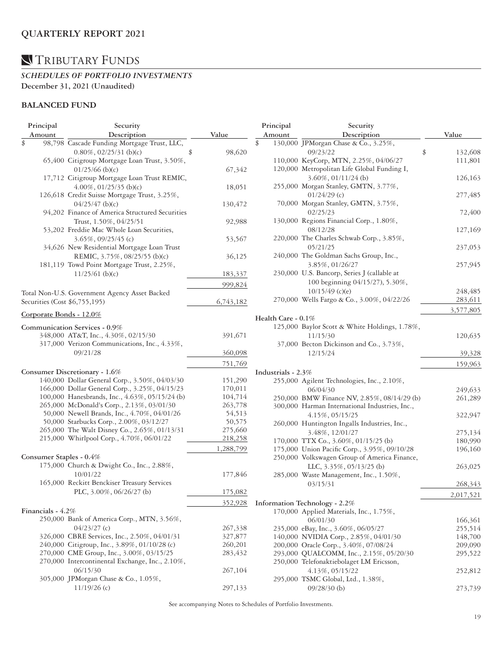### *SCHEDULES OF PORTFOLIO INVESTMENTS*  **December 31, 2021 (Unaudited)**

### **BALANCED FUND**

| Principal         | Security                                        |           | Principal             | Security                                                       |               |
|-------------------|-------------------------------------------------|-----------|-----------------------|----------------------------------------------------------------|---------------|
| Amount            | Description                                     | Value     | Amount                | Description                                                    | Value         |
| \$                | 98,798 Cascade Funding Mortgage Trust, LLC,     |           | \$                    | 130,000 JPMorgan Chase & Co., 3.25%,                           |               |
|                   | $0.80\%, 02/25/31$ (b)(c)                       | 98,620    |                       | 09/23/22                                                       | \$<br>132,608 |
|                   | 65,400 Citigroup Mortgage Loan Trust, 3.50%,    |           |                       | 110,000 KeyCorp, MTN, 2.25%, 04/06/27                          | 111,801       |
|                   | $01/25/66$ (b)(c)                               | 67,342    |                       | 120,000 Metropolitan Life Global Funding I,                    |               |
|                   | 17,712 Citigroup Mortgage Loan Trust REMIC,     |           |                       | $3.60\%, 01/11/24$ (b)                                         | 126,163       |
|                   | $4.00\%$ , 01/25/35 (b)(c)                      | 18,051    |                       | 255,000 Morgan Stanley, GMTN, 3.77%,                           |               |
|                   | 126,618 Credit Suisse Mortgage Trust, 3.25%,    |           |                       | $01/24/29$ (c)                                                 | 277,485       |
|                   | $04/25/47$ (b)(c)                               | 130,472   |                       | 70,000 Morgan Stanley, GMTN, 3.75%,                            |               |
|                   | 94,202 Finance of America Structured Securities |           |                       | 02/25/23                                                       | 72,400        |
|                   | Trust, 1.50%, 04/25/51                          | 92,988    |                       | 130,000 Regions Financial Corp., 1.80%,                        |               |
|                   | 53,202 Freddie Mac Whole Loan Securities,       |           |                       | 08/12/28                                                       | 127,169       |
|                   | $3.65\%, 09/25/45$ (c)                          | 53,567    |                       | 220,000 The Charles Schwab Corp., 3.85%,                       |               |
|                   | 34,626 New Residential Mortgage Loan Trust      |           |                       | 05/21/25                                                       | 237,053       |
|                   |                                                 |           |                       | 240,000 The Goldman Sachs Group, Inc.,                         |               |
|                   | REMIC, 3.75%, 08/25/55 (b)(c)                   | 36,125    |                       |                                                                |               |
|                   | 181,119 Towd Point Mortgage Trust, 2.25%,       |           |                       | 3.85%, 01/26/27<br>230,000 U.S. Bancorp, Series J (callable at | 257,945       |
|                   | $11/25/61$ (b)(c)                               | 183,337   |                       |                                                                |               |
|                   |                                                 | 999,824   |                       | 100 beginning 04/15/27), 5.30%,                                |               |
|                   | Total Non-U.S. Government Agency Asset Backed   |           |                       | $10/15/49$ (c)(e)                                              | 248,485       |
|                   | Securities (Cost \$6,755,195)                   | 6,743,182 |                       | 270,000 Wells Fargo & Co., 3.00%, 04/22/26                     | 283,611       |
|                   | Corporate Bonds - 12.0%                         |           |                       |                                                                | 3,577,805     |
|                   |                                                 |           | Health Care - $0.1\%$ |                                                                |               |
|                   | Communication Services - 0.9%                   |           |                       | 125,000 Baylor Scott & White Holdings, 1.78%,                  |               |
|                   | 348,000 AT&T, Inc., 4.30%, 02/15/30             | 391,671   |                       | 11/15/30                                                       | 120,635       |
|                   | 317,000 Verizon Communications, Inc., 4.33%,    |           |                       | 37,000 Becton Dickinson and Co., 3.73%,                        |               |
|                   | 09/21/28                                        | 360,098   |                       | 12/15/24                                                       | 39,328        |
|                   |                                                 | 751,769   |                       |                                                                | 159,963       |
|                   | Consumer Discretionary - 1.6%                   |           | Industrials - 2.3%    |                                                                |               |
|                   | 140,000 Dollar General Corp., 3.50%, 04/03/30   | 151,290   |                       |                                                                |               |
|                   | 166,000 Dollar General Corp., 3.25%, 04/15/23   | 170,011   |                       | 255,000 Agilent Technologies, Inc., 2.10%,                     |               |
|                   | 100,000 Hanesbrands, Inc., 4.63%, 05/15/24 (b)  | 104,714   |                       | 06/04/30                                                       | 249,633       |
|                   | 265,000 McDonald's Corp., 2.13%, 03/01/30       | 263,778   |                       | 250,000 BMW Finance NV, 2.85%, 08/14/29 (b)                    | 261,289       |
|                   |                                                 |           |                       | 300,000 Harman International Industries, Inc.,                 |               |
|                   | 50,000 Newell Brands, Inc., 4.70%, 04/01/26     | 54,513    |                       | 4.15%, 05/15/25                                                | 322,947       |
|                   | 50,000 Starbucks Corp., 2.00%, 03/12/27         | 50,575    |                       | 260,000 Huntington Ingalls Industries, Inc.,                   |               |
|                   | 265,000 The Walt Disney Co., 2.65%, 01/13/31    | 275,660   |                       | 3.48%, 12/01/27                                                | 275,134       |
|                   | 215,000 Whirlpool Corp., 4.70%, 06/01/22        | 218,258   |                       | 170,000 TTX Co., 3.60%, 01/15/25 (b)                           | 180,990       |
|                   |                                                 | 1,288,799 |                       | 175,000 Union Pacific Corp., 3.95%, 09/10/28                   | 196,160       |
|                   | Consumer Staples - 0.4%                         |           |                       | 250,000 Volkswagen Group of America Finance,                   |               |
|                   | 175,000 Church & Dwight Co., Inc., 2.88%,       |           |                       | LLC, 3.35%, 05/13/25 (b)                                       | 263,025       |
|                   | 10/01/22                                        | 177,846   |                       | 285,000 Waste Management, Inc., 1.50%,                         |               |
|                   | 165,000 Reckitt Benckiser Treasury Services     |           |                       | 03/15/31                                                       | 268,343       |
|                   | PLC, 3.00%, 06/26/27 (b)                        | 175,082   |                       |                                                                | 2,017,521     |
|                   |                                                 | 352,928   |                       | Information Technology - 2.2%                                  |               |
| Financials - 4.2% |                                                 |           |                       | 170,000 Applied Materials, Inc., 1.75%,                        |               |
|                   | 250,000 Bank of America Corp., MTN, 3.56%,      |           |                       | 06/01/30                                                       |               |
|                   | $04/23/27$ (c)                                  |           |                       |                                                                | 166,361       |
|                   | 326,000 CBRE Services, Inc., 2.50%, 04/01/31    | 267,338   |                       | 235,000 eBay, Inc., 3.60%, 06/05/27                            | 255,514       |
|                   |                                                 | 327,877   |                       | 140,000 NVIDIA Corp., 2.85%, 04/01/30                          | 148,700       |
|                   | 240,000 Citigroup, Inc., 3.89%, 01/10/28 (c)    | 260,201   |                       | 200,000 Oracle Corp., 3.40%, 07/08/24                          | 209,090       |
|                   | 270,000 CME Group, Inc., 3.00%, 03/15/25        | 283,432   |                       | 293,000 QUALCOMM, Inc., 2.15%, 05/20/30                        | 295,522       |
|                   | 270,000 Intercontinental Exchange, Inc., 2.10%, |           |                       | 250,000 Telefonaktiebolaget LM Ericsson,                       |               |
|                   | 06/15/30                                        | 267,104   |                       | 4.13%, 05/15/22                                                | 252,812       |
|                   | 305,000 JPMorgan Chase & Co., 1.05%,            |           |                       | 295,000 TSMC Global, Ltd., 1.38%,                              |               |
|                   | $11/19/26$ (c)                                  | 297,133   |                       | $09/28/30$ (b)                                                 | 273,739       |
|                   |                                                 |           |                       |                                                                |               |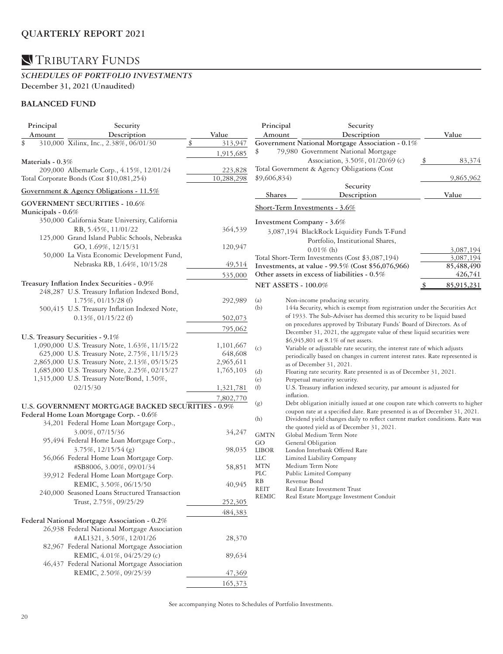### *SCHEDULES OF PORTFOLIO INVESTMENTS*  **December 31, 2021 (Unaudited)**

### **BALANCED FUND**

| Principal           | Security                                                                                    |                       | Principal                  |            | Security                                                                                                 |       |            |
|---------------------|---------------------------------------------------------------------------------------------|-----------------------|----------------------------|------------|----------------------------------------------------------------------------------------------------------|-------|------------|
| Amount              | Description                                                                                 | Value                 | Amount                     |            | Description                                                                                              | Value |            |
| \$                  | 310,000 Xilinx, Inc., 2.38%, 06/01/30                                                       | 313,947               |                            |            | Government National Mortgage Association - 0.1%                                                          |       |            |
|                     |                                                                                             | 1,915,685             | \$                         |            | 79,980 Government National Mortgage                                                                      |       |            |
| Materials - $0.3\%$ |                                                                                             |                       |                            |            | Association, 3.50%, 01/20/69 (c)<br>Total Government & Agency Obligations (Cost                          |       | 83,374     |
|                     | 209,000 Albemarle Corp., 4.15%, 12/01/24<br>Total Corporate Bonds (Cost \$10,081,254)       | 223,828<br>10,288,298 | \$9,606,834)               |            |                                                                                                          |       | 9,865,962  |
|                     |                                                                                             |                       |                            |            | Security                                                                                                 |       |            |
|                     | Government & Agency Obligations - $11.5\%$                                                  |                       | <b>Shares</b>              |            | Description                                                                                              | Value |            |
| Municipals - 0.6%   | <b>GOVERNMENT SECURITIES - 10.6%</b>                                                        |                       |                            |            | Short-Term Investments - 3.6%                                                                            |       |            |
|                     | 350,000 California State University, California                                             |                       |                            |            | Investment Company - 3.6%                                                                                |       |            |
|                     | RB, 5.45%, 11/01/22                                                                         | 364,539               |                            |            | 3,087,194 BlackRock Liquidity Funds T-Fund                                                               |       |            |
|                     | 125,000 Grand Island Public Schools, Nebraska                                               |                       |                            |            | Portfolio, Institutional Shares,                                                                         |       |            |
|                     | GO, 1.69%, 12/15/31                                                                         | 120,947               |                            |            | $0.01\%$ (h)                                                                                             |       | 3,087,194  |
|                     | 50,000 La Vista Economic Development Fund,                                                  |                       |                            |            | Total Short-Term Investments (Cost \$3,087,194)                                                          |       | 3,087,194  |
|                     | Nebraska RB, 1.64%, 10/15/28                                                                | 49,514                |                            |            | Investments, at value - 99.5% (Cost \$56,076,966)                                                        |       | 85,488,490 |
|                     |                                                                                             | 535,000               |                            |            | Other assets in excess of liabilities - 0.5%                                                             |       | 426,741    |
|                     | Treasury Inflation Index Securities - 0.9%<br>248,287 U.S. Treasury Inflation Indexed Bond, |                       | <b>NET ASSETS - 100.0%</b> |            |                                                                                                          |       | 85,915,231 |
|                     | 1.75%, 01/15/28(f)                                                                          | 292,989               | (a)                        |            | Non-income producing security.                                                                           |       |            |
|                     | 500,415 U.S. Treasury Inflation Indexed Note,                                               |                       | (b)                        |            | 144a Security, which is exempt from registration under the Securities Act                                |       |            |
|                     | $0.13\%$ , $01/15/22$ (f)                                                                   | 502,073               |                            |            | of 1933. The Sub-Adviser has deemed this security to be liquid based                                     |       |            |
|                     |                                                                                             | 795,062               |                            |            | on procedures approved by Tributary Funds' Board of Directors. As of                                     |       |            |
|                     | U.S. Treasury Securities - 9.1%                                                             |                       |                            |            | December 31, 2021, the aggregate value of these liquid securities were                                   |       |            |
|                     | 1,090,000 U.S. Treasury Note, 1.63%, 11/15/22                                               | 1,101,667             |                            |            | \$6,945,801 or 8.1% of net assets.                                                                       |       |            |
|                     | 625,000 U.S. Treasury Note, 2.75%, 11/15/23                                                 | 648,608               | (c)                        |            | Variable or adjustable rate security, the interest rate of which adjusts                                 |       |            |
|                     | 2,865,000 U.S. Treasury Note, 2.13%, 05/15/25                                               | 2,965,611             |                            |            | periodically based on changes in current interest rates. Rate represented is<br>as of December 31, 2021. |       |            |
|                     | 1,685,000 U.S. Treasury Note, 2.25%, 02/15/27                                               | 1,765,103             | (d)                        |            | Floating rate security. Rate presented is as of December 31, 2021.                                       |       |            |
|                     | 1,315,000 U.S. Treasury Note/Bond, 1.50%,                                                   |                       | (e)                        |            | Perpetual maturity security.                                                                             |       |            |
|                     | 02/15/30                                                                                    | 1,321,781             | (f)                        |            | U.S. Treasury inflation indexed security, par amount is adjusted for                                     |       |            |
|                     |                                                                                             | 7,802,770             |                            | inflation. |                                                                                                          |       |            |
|                     | <b>U.S. GOVERNMENT MORTGAGE BACKED SECURITIES - 0.9%</b>                                    |                       | (g)                        |            | Debt obligation initially issued at one coupon rate which converts to higher                             |       |            |
|                     | Federal Home Loan Mortgage Corp. - 0.6%                                                     |                       |                            |            | coupon rate at a specified date. Rate presented is as of December 31, 2021.                              |       |            |
|                     | 34,201 Federal Home Loan Mortgage Corp.,                                                    |                       | (h)                        |            | Dividend yield changes daily to reflect current market conditions. Rate was                              |       |            |
|                     | 3.00%, 07/15/36                                                                             | 34,247                | <b>GMTN</b>                |            | the quoted yield as of December 31, 2021.<br>Global Medium Term Note                                     |       |            |
|                     | 95,494 Federal Home Loan Mortgage Corp.,                                                    |                       | GO                         |            | General Obligation                                                                                       |       |            |
|                     | $3.75\%, 12/15/54(g)$                                                                       | 98,035                | <b>LIBOR</b>               |            | London Interbank Offered Rate                                                                            |       |            |
|                     | 56,066 Federal Home Loan Mortgage Corp.                                                     |                       | <b>LLC</b>                 |            | Limited Liability Company                                                                                |       |            |
|                     | #SB8006, 3.00%, 09/01/34                                                                    | 58,851                | <b>MTN</b>                 |            | Medium Term Note                                                                                         |       |            |
|                     | 39,912 Federal Home Loan Mortgage Corp.                                                     |                       | PLC                        |            | Public Limited Company                                                                                   |       |            |
|                     | REMIC, 3.50%, 06/15/50                                                                      | 40,945                | RB<br>REIT                 |            | Revenue Bond<br>Real Estate Investment Trust                                                             |       |            |
|                     | 240,000 Seasoned Loans Structured Transaction                                               |                       | <b>REMIC</b>               |            | Real Estate Mortgage Investment Conduit                                                                  |       |            |
|                     | Trust, 2.75%, 09/25/29                                                                      | 252,305               |                            |            |                                                                                                          |       |            |
|                     |                                                                                             | 484,383               |                            |            |                                                                                                          |       |            |
|                     | Federal National Mortgage Association - 0.2%                                                |                       |                            |            |                                                                                                          |       |            |
|                     | 26,938 Federal National Mortgage Association                                                |                       |                            |            |                                                                                                          |       |            |
|                     | #AL1321, 3.50%, 12/01/26                                                                    | 28,370                |                            |            |                                                                                                          |       |            |
|                     | 82,967 Federal National Mortgage Association                                                |                       |                            |            |                                                                                                          |       |            |
|                     | REMIC, 4.01%, 04/25/29 (c)                                                                  | 89,634                |                            |            |                                                                                                          |       |            |
|                     | 46,437 Federal National Mortgage Association                                                |                       |                            |            |                                                                                                          |       |            |
|                     | REMIC, 2.50%, 09/25/39                                                                      | 47,369                |                            |            |                                                                                                          |       |            |
|                     |                                                                                             | 165,373               |                            |            |                                                                                                          |       |            |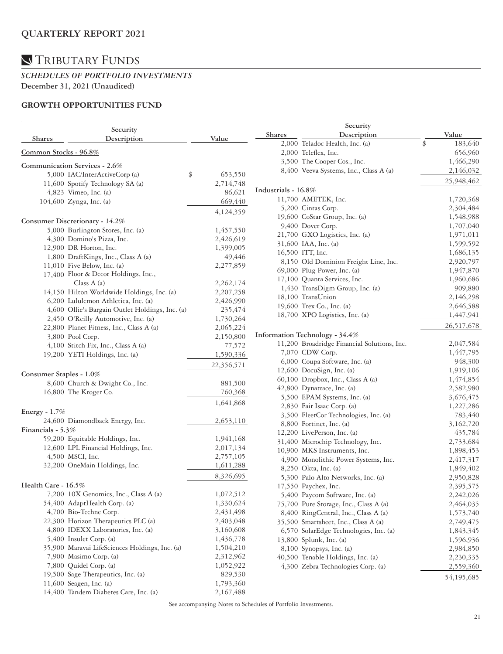### TRIBUTARY FUNDS

#### *SCHEDULES OF PORTFOLIO INVESTMENTS*  **December 31, 2021 (Unaudited)**

### **GROWTH OPPORTUNITIES FUND**

|                         | Security                                        | Security      |                     |                                             |    |            |  |
|-------------------------|-------------------------------------------------|---------------|---------------------|---------------------------------------------|----|------------|--|
| <b>Shares</b>           | Description                                     | Value         | <b>Shares</b>       | Description                                 |    | Value      |  |
|                         |                                                 |               |                     | 2,000 Teladoc Health, Inc. (a)              | \$ | 183,640    |  |
| Common Stocks - 96.8%   |                                                 |               |                     | 2,000 Teleflex, Inc.                        |    | 656,960    |  |
|                         | Communication Services - 2.6%                   |               |                     | 3,500 The Cooper Cos., Inc.                 |    | 1,466,290  |  |
|                         |                                                 |               |                     | 8,400 Veeva Systems, Inc., Class A (a)      |    | 2,146,032  |  |
|                         | 5,000 IAC/InterActiveCorp (a)                   | \$<br>653,550 |                     |                                             |    | 25,948,462 |  |
|                         | 11,600 Spotify Technology SA (a)                | 2,714,748     | Industrials - 16.8% |                                             |    |            |  |
|                         | $4,823$ Vimeo, Inc. (a)                         | 86,621        |                     | 11,700 AMETEK, Inc.                         |    | 1,720,368  |  |
|                         | 104,600 Zynga, Inc. (a)                         | 669,440       |                     | 5,200 Cintas Corp.                          |    | 2,304,484  |  |
|                         |                                                 | 4,124,359     |                     | 19,600 CoStar Group, Inc. (a)               |    | 1,548,988  |  |
|                         | Consumer Discretionary - 14.2%                  |               |                     | 9,400 Dover Corp.                           |    | 1,707,040  |  |
|                         | 5,000 Burlington Stores, Inc. (a)               | 1,457,550     |                     | 21,700 GXO Logistics, Inc. (a)              |    | 1,971,011  |  |
|                         | 4,300 Domino's Pizza, Inc.                      | 2,426,619     |                     | 31,600 IAA, Inc. (a)                        |    | 1,599,592  |  |
|                         | 12,900 DR Horton, Inc.                          | 1,399,005     |                     | 16,500 ITT, Inc.                            |    | 1,686,135  |  |
|                         | 1,800 DraftKings, Inc., Class A (a)             | 49,446        |                     | 8,150 Old Dominion Freight Line, Inc.       |    | 2,920,797  |  |
|                         | 11,010 Five Below, Inc. (a)                     | 2,277,859     |                     | 69,000 Plug Power, Inc. (a)                 |    | 1,947,870  |  |
|                         | 17,400 Floor & Decor Holdings, Inc.,            |               |                     | 17,100 Quanta Services, Inc.                |    | 1,960,686  |  |
|                         | Class $A(a)$                                    | 2,262,174     |                     | 1,430 TransDigm Group, Inc. (a)             |    | 909,880    |  |
|                         | 14,150 Hilton Worldwide Holdings, Inc. (a)      | 2,207,258     |                     | 18,100 TransUnion                           |    |            |  |
|                         | 6,200 Lululemon Athletica, Inc. (a)             | 2,426,990     |                     |                                             |    | 2,146,298  |  |
|                         | 4,600 Ollie's Bargain Outlet Holdings, Inc. (a) | 235,474       |                     | 19,600 Trex Co., Inc. (a)                   |    | 2,646,588  |  |
|                         | 2,450 O'Reilly Automotive, Inc. (a)             | 1,730,264     |                     | 18,700 XPO Logistics, Inc. (a)              |    | 1,447,941  |  |
|                         | 22,800 Planet Fitness, Inc., Class A (a)        | 2,065,224     |                     |                                             |    | 26,517,678 |  |
|                         | 3,800 Pool Corp.                                | 2,150,800     |                     | Information Technology - 34.4%              |    |            |  |
|                         | 4,100 Stitch Fix, Inc., Class A (a)             | 77,572        |                     | 11,200 Broadridge Financial Solutions, Inc. |    | 2,047,584  |  |
|                         | 19,200 YETI Holdings, Inc. (a)                  | 1,590,336     |                     | 7,070 CDW Corp.                             |    | 1,447,795  |  |
|                         |                                                 | 22,356,571    |                     | 6,000 Coupa Software, Inc. (a)              |    | 948,300    |  |
| Consumer Staples - 1.0% |                                                 |               |                     | 12,600 DocuSign, Inc. (a)                   |    | 1,919,106  |  |
|                         | 8,600 Church & Dwight Co., Inc.                 | 881,500       |                     | 60,100 Dropbox, Inc., Class A (a)           |    | 1,474,854  |  |
|                         | 16,800 The Kroger Co.                           | 760,368       |                     | 42,800 Dynatrace, Inc. (a)                  |    | 2,582,980  |  |
|                         |                                                 |               |                     | 5,500 EPAM Systems, Inc. (a)                |    | 3,676,475  |  |
|                         |                                                 | 1,641,868     |                     | 2,830 Fair Isaac Corp. (a)                  |    | 1,227,286  |  |
| Energy - $1.7\%$        |                                                 |               |                     | 3,500 FleetCor Technologies, Inc. (a)       |    | 783,440    |  |
|                         | 24,600 Diamondback Energy, Inc.                 | 2,653,110     |                     | 8,800 Fortinet, Inc. (a)                    |    | 3,162,720  |  |
| Financials - 5.3%       |                                                 |               |                     | 12,200 LivePerson, Inc. (a)                 |    | 435,784    |  |
|                         | 59,200 Equitable Holdings, Inc.                 | 1,941,168     |                     | 31,400 Microchip Technology, Inc.           |    | 2,733,684  |  |
|                         | 12,600 LPL Financial Holdings, Inc.             | 2,017,134     |                     | 10,900 MKS Instruments, Inc.                |    | 1,898,453  |  |
|                         | 4,500 MSCI, Inc.                                | 2,757,105     |                     | 4,900 Monolithic Power Systems, Inc.        |    | 2,417,317  |  |
|                         | 32,200 OneMain Holdings, Inc.                   | 1,611,288     |                     | 8,250 Okta, Inc. (a)                        |    | 1,849,402  |  |
|                         |                                                 | 8,326,695     |                     | 5,300 Palo Alto Networks, Inc. (a)          |    | 2,950,828  |  |
| Health Care - 16.5%     |                                                 |               |                     | 17,550 Paychex, Inc.                        |    | 2,395,575  |  |
|                         | 7,200 10X Genomics, Inc., Class A (a)           | 1,072,512     |                     | 5,400 Paycom Software, Inc. (a)             |    | 2,242,026  |  |
|                         | 54,400 AdaptHealth Corp. (a)                    | 1,330,624     |                     | 75,700 Pure Storage, Inc., Class A (a)      |    | 2,464,035  |  |
|                         | 4,700 Bio-Techne Corp.                          | 2,431,498     |                     | 8,400 RingCentral, Inc., Class A (a)        |    | 1,573,740  |  |
|                         | 22,300 Horizon Therapeutics PLC (a)             | 2,403,048     |                     | 35,500 Smartsheet, Inc., Class A (a)        |    | 2,749,475  |  |
|                         | 4,800 IDEXX Laboratories, Inc. (a)              | 3,160,608     |                     | 6,570 SolarEdge Technologies, Inc. (a)      |    | 1,843,345  |  |
|                         | 5,400 Insulet Corp. (a)                         | 1,436,778     |                     | 13,800 Splunk, Inc. (a)                     |    | 1,596,936  |  |
|                         | 35,900 Maravai LifeSciences Holdings, Inc. (a)  | 1,504,210     |                     | 8,100 Synopsys, Inc. (a)                    |    | 2,984,850  |  |
|                         | 7,900 Masimo Corp. (a)                          | 2,312,962     |                     | 40,500 Tenable Holdings, Inc. (a)           |    | 2,230,335  |  |
|                         | 7,800 Quidel Corp. (a)                          | 1,052,922     |                     | 4,300 Zebra Technologies Corp. (a)          |    | 2,559,360  |  |
|                         | 19,500 Sage Therapeutics, Inc. (a)              | 829,530       |                     |                                             |    | 54,195,685 |  |
|                         | 11,600 Seagen, Inc. (a)                         | 1,793,360     |                     |                                             |    |            |  |
|                         | 14,400 Tandem Diabetes Care, Inc. (a)           | 2,167,488     |                     |                                             |    |            |  |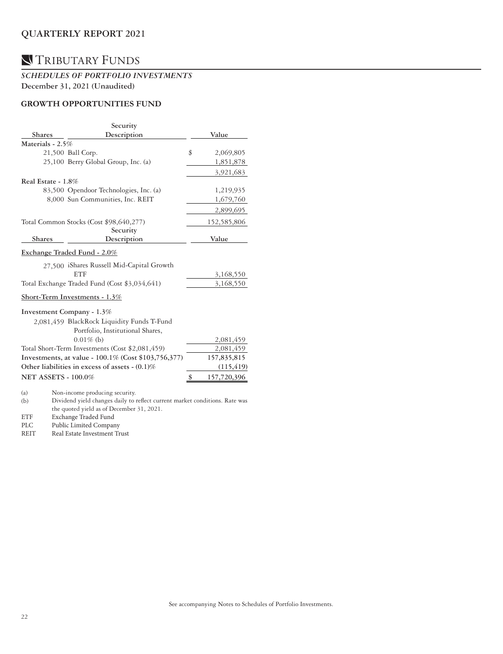## TRIBUTARY FUNDS

#### *SCHEDULES OF PORTFOLIO INVESTMENTS*  **December 31, 2021 (Unaudited)**

### **GROWTH OPPORTUNITIES FUND**

|                            | Security                                                                    |                 |
|----------------------------|-----------------------------------------------------------------------------|-----------------|
| <b>Shares</b>              | Description                                                                 | Value           |
| Materials - 2.5%           |                                                                             |                 |
|                            | 21,500 Ball Corp.                                                           | \$<br>2,069,805 |
|                            | 25,100 Berry Global Group, Inc. (a)                                         | 1,851,878       |
|                            |                                                                             | 3,921,683       |
| Real Estate - 1.8%         |                                                                             |                 |
|                            | 83,500 Opendoor Technologies, Inc. (a)                                      | 1,219,935       |
|                            | 8,000 Sun Communities, Inc. REIT                                            | 1,679,760       |
|                            |                                                                             | 2,899,695       |
|                            | Total Common Stocks (Cost \$98,640,277)                                     | 152,585,806     |
|                            | Security                                                                    |                 |
| <b>Shares</b>              | Description                                                                 | Value           |
|                            | Exchange Traded Fund - 2.0%                                                 |                 |
|                            | 27.500 iShares Russell Mid-Capital Growth                                   |                 |
|                            | <b>ETF</b>                                                                  | 3,168,550       |
|                            | Total Exchange Traded Fund (Cost \$3,034,641)                               | 3,168,550       |
|                            | Short-Term Investments - 1.3%                                               |                 |
|                            | Investment Company - 1.3%                                                   |                 |
|                            | 2,081,459 BlackRock Liquidity Funds T-Fund                                  |                 |
|                            | Portfolio, Institutional Shares,                                            |                 |
|                            | $0.01\%$ (b)                                                                | 2,081,459       |
|                            | Total Short-Term Investments (Cost \$2,081,459)                             | 2,081,459       |
|                            | Investments, at value - 100.1% (Cost \$103,756,377)                         | 157,835,815     |
|                            | Other liabilities in excess of assets $-(0.1)\%$                            | (115, 419)      |
| <b>NET ASSETS - 100.0%</b> |                                                                             | 157,720,396     |
| (a)                        | Non-income producing security.                                              |                 |
| (b)                        | Dividend yield changes daily to reflect current market conditions. Rate was |                 |

the quoted yield as of December 31, 2021.

ETF Exchange Traded Fund<br>PLC Public Limited Compan

PLC Public Limited Company

REIT Real Estate Investment Trust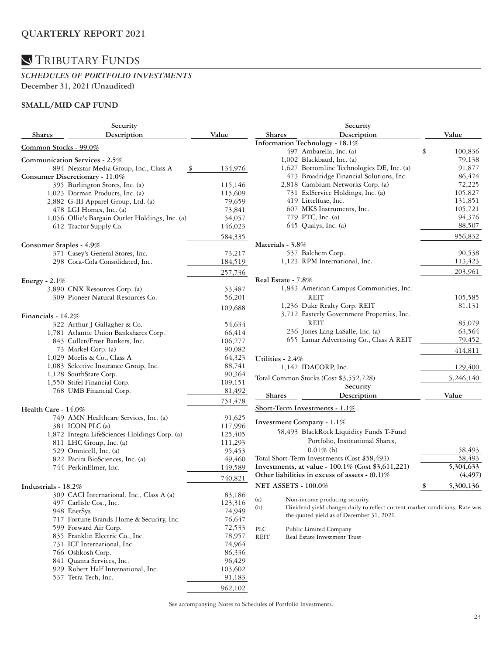### *SCHEDULES OF PORTFOLIO INVESTMENTS*  **December 31, 2021 (Unaudited)**

### **SMALL/MID CAP FUND**

| Description<br>Value<br>Description<br>Value<br><b>Shares</b><br><b>Shares</b><br>Information Technology - 18.1%<br>Common Stocks - 99.0%<br>497 Ambarella, Inc. (a)<br>100,836<br>\$<br>1,002 Blackbaud, Inc. (a)<br>79,138<br>Communication Services - 2.5%<br>1,627 Bottomline Technologies DE, Inc. (a)<br>91,877<br>894 Nexstar Media Group, Inc., Class A<br>134,976<br>\$<br>473 Broadridge Financial Solutions, Inc.<br>86,474<br>Consumer Discretionary - 11.0%<br>2,818 Cambium Networks Corp. (a)<br>72,225<br>395 Burlington Stores, Inc. (a)<br>115,146<br>731 ExlService Holdings, Inc. (a)<br>105,827<br>1,023 Dorman Products, Inc. (a)<br>115,609<br>419 Littelfuse, Inc.<br>131,851<br>2,882 G-III Apparel Group, Ltd. (a)<br>79,659<br>607 MKS Instruments, Inc.<br>105,721<br>478 LGI Homes, Inc. (a)<br>73,841<br>94,376<br>779 PTC, Inc. (a)<br>1,056 Ollie's Bargain Outlet Holdings, Inc. (a)<br>54,057<br>645 Qualys, Inc. (a)<br>88,507<br>146,023<br>612 Tractor Supply Co.<br>956,832<br>584,335<br>Materials - 3.8%<br>Consumer Staples - 4.9%<br>537 Balchem Corp.<br>90,538<br>371 Casey's General Stores, Inc.<br>73,217<br>1,123 RPM International, Inc.<br>298 Coca-Cola Consolidated, Inc.<br>184,519<br>113,423<br>203,961<br>257,736<br>Real Estate - 7.8%<br>Energy - $2.1\%$<br>3,890 CNX Resources Corp. (a)<br>53,487<br>1,843 American Campus Communities, Inc.<br>56,201<br>309 Pioneer Natural Resources Co.<br>REIT<br>105,585<br>1,236 Duke Realty Corp. REIT<br>81,131<br>109,688<br>3,712 Easterly Government Properties, Inc.<br>Financials - 14.2%<br>REIT<br>85,079<br>322 Arthur J Gallagher & Co.<br>54,634<br>236 Jones Lang LaSalle, Inc. (a)<br>63,564<br>66,414<br>1,781 Atlantic Union Bankshares Corp.<br>655 Lamar Advertising Co., Class A REIT<br>79,452<br>843 Cullen/Frost Bankers, Inc.<br>106,277<br>73 Markel Corp. (a)<br>90,082<br>414,811<br>1,029 Moelis & Co., Class A<br>64,323<br>Utilities - 2.4%<br>1,083 Selective Insurance Group, Inc.<br>88,741<br>1,142 IDACORP, Inc.<br>129,400<br>1,128 SouthState Corp.<br>90,364<br>Total Common Stocks (Cost \$3,552,728)<br>5,246,140<br>1,550 Stifel Financial Corp.<br>109,151<br>Security<br>768 UMB Financial Corp.<br>81,492<br>Shares<br>Description<br>Value<br>751,478<br>Short-Term Investments - 1.1%<br>Health Care - 14.0%<br>749 AMN Healthcare Services, Inc. (a)<br>91,625<br>Investment Company - 1.1%<br>117,996<br>381 ICON PLC (a)<br>58,493 BlackRock Liquidity Funds T-Fund<br>1,872 Integra LifeSciences Holdings Corp. (a)<br>125,405<br>Portfolio, Institutional Shares,<br>811 LHC Group, Inc. (a)<br>111,293<br>$0.01\%$ (b)<br>58,493<br>529 Omnicell, Inc. (a)<br>95,453<br>Total Short-Term Investments (Cost \$58,493)<br>822 Pacira BioSciences, Inc. (a)<br>58,493<br>49,460<br>Investments, at value - 100.1% (Cost \$3,611,221)<br>5,304,633<br>744 PerkinElmer, Inc.<br>149,589<br>(4, 497)<br>Other liabilities in excess of assets $-(0.1)\%$<br>740,821<br><b>NET ASSETS - 100.0%</b><br>5,300,136<br>Industrials - 18.2%<br>309 CACI International, Inc., Class A (a)<br>83,186<br>Non-income producing security.<br>(a)<br>497 Carlisle Cos., Inc.<br>123,316<br>Dividend yield changes daily to reflect current market conditions. Rate was<br>(b)<br>74,949<br>948 EnerSys<br>the quoted yield as of December 31, 2021.<br>717 Fortune Brands Home & Security, Inc.<br>76,647<br>599 Forward Air Corp.<br>72,533<br>PLC<br>Public Limited Company<br>835 Franklin Electric Co., Inc.<br>78,957<br>REIT<br>Real Estate Investment Trust<br>74,964<br>731 ICF International, Inc.<br>766 Oshkosh Corp.<br>86,336<br>841 Quanta Services, Inc.<br>96,429<br>929 Robert Half International, Inc.<br>103,602<br>537 Tetra Tech, Inc.<br>91,183<br>962,102 | Security |  |  | Security |  |  |  |
|-----------------------------------------------------------------------------------------------------------------------------------------------------------------------------------------------------------------------------------------------------------------------------------------------------------------------------------------------------------------------------------------------------------------------------------------------------------------------------------------------------------------------------------------------------------------------------------------------------------------------------------------------------------------------------------------------------------------------------------------------------------------------------------------------------------------------------------------------------------------------------------------------------------------------------------------------------------------------------------------------------------------------------------------------------------------------------------------------------------------------------------------------------------------------------------------------------------------------------------------------------------------------------------------------------------------------------------------------------------------------------------------------------------------------------------------------------------------------------------------------------------------------------------------------------------------------------------------------------------------------------------------------------------------------------------------------------------------------------------------------------------------------------------------------------------------------------------------------------------------------------------------------------------------------------------------------------------------------------------------------------------------------------------------------------------------------------------------------------------------------------------------------------------------------------------------------------------------------------------------------------------------------------------------------------------------------------------------------------------------------------------------------------------------------------------------------------------------------------------------------------------------------------------------------------------------------------------------------------------------------------------------------------------------------------------------------------------------------------------------------------------------------------------------------------------------------------------------------------------------------------------------------------------------------------------------------------------------------------------------------------------------------------------------------------------------------------------------------------------------------------------------------------------------------------------------------------------------------------------------------------------------------------------------------------------------------------------------------------------------------------------------------------------------------------------------------------------------------------------------------------------------------------------------------------------------------------------------------------------------------------------------------------------------------------------------------------------------------------------------------------------------------------------------------------------------------|----------|--|--|----------|--|--|--|
|                                                                                                                                                                                                                                                                                                                                                                                                                                                                                                                                                                                                                                                                                                                                                                                                                                                                                                                                                                                                                                                                                                                                                                                                                                                                                                                                                                                                                                                                                                                                                                                                                                                                                                                                                                                                                                                                                                                                                                                                                                                                                                                                                                                                                                                                                                                                                                                                                                                                                                                                                                                                                                                                                                                                                                                                                                                                                                                                                                                                                                                                                                                                                                                                                                                                                                                                                                                                                                                                                                                                                                                                                                                                                                                                                                                                                       |          |  |  |          |  |  |  |
|                                                                                                                                                                                                                                                                                                                                                                                                                                                                                                                                                                                                                                                                                                                                                                                                                                                                                                                                                                                                                                                                                                                                                                                                                                                                                                                                                                                                                                                                                                                                                                                                                                                                                                                                                                                                                                                                                                                                                                                                                                                                                                                                                                                                                                                                                                                                                                                                                                                                                                                                                                                                                                                                                                                                                                                                                                                                                                                                                                                                                                                                                                                                                                                                                                                                                                                                                                                                                                                                                                                                                                                                                                                                                                                                                                                                                       |          |  |  |          |  |  |  |
|                                                                                                                                                                                                                                                                                                                                                                                                                                                                                                                                                                                                                                                                                                                                                                                                                                                                                                                                                                                                                                                                                                                                                                                                                                                                                                                                                                                                                                                                                                                                                                                                                                                                                                                                                                                                                                                                                                                                                                                                                                                                                                                                                                                                                                                                                                                                                                                                                                                                                                                                                                                                                                                                                                                                                                                                                                                                                                                                                                                                                                                                                                                                                                                                                                                                                                                                                                                                                                                                                                                                                                                                                                                                                                                                                                                                                       |          |  |  |          |  |  |  |
|                                                                                                                                                                                                                                                                                                                                                                                                                                                                                                                                                                                                                                                                                                                                                                                                                                                                                                                                                                                                                                                                                                                                                                                                                                                                                                                                                                                                                                                                                                                                                                                                                                                                                                                                                                                                                                                                                                                                                                                                                                                                                                                                                                                                                                                                                                                                                                                                                                                                                                                                                                                                                                                                                                                                                                                                                                                                                                                                                                                                                                                                                                                                                                                                                                                                                                                                                                                                                                                                                                                                                                                                                                                                                                                                                                                                                       |          |  |  |          |  |  |  |
|                                                                                                                                                                                                                                                                                                                                                                                                                                                                                                                                                                                                                                                                                                                                                                                                                                                                                                                                                                                                                                                                                                                                                                                                                                                                                                                                                                                                                                                                                                                                                                                                                                                                                                                                                                                                                                                                                                                                                                                                                                                                                                                                                                                                                                                                                                                                                                                                                                                                                                                                                                                                                                                                                                                                                                                                                                                                                                                                                                                                                                                                                                                                                                                                                                                                                                                                                                                                                                                                                                                                                                                                                                                                                                                                                                                                                       |          |  |  |          |  |  |  |
|                                                                                                                                                                                                                                                                                                                                                                                                                                                                                                                                                                                                                                                                                                                                                                                                                                                                                                                                                                                                                                                                                                                                                                                                                                                                                                                                                                                                                                                                                                                                                                                                                                                                                                                                                                                                                                                                                                                                                                                                                                                                                                                                                                                                                                                                                                                                                                                                                                                                                                                                                                                                                                                                                                                                                                                                                                                                                                                                                                                                                                                                                                                                                                                                                                                                                                                                                                                                                                                                                                                                                                                                                                                                                                                                                                                                                       |          |  |  |          |  |  |  |
|                                                                                                                                                                                                                                                                                                                                                                                                                                                                                                                                                                                                                                                                                                                                                                                                                                                                                                                                                                                                                                                                                                                                                                                                                                                                                                                                                                                                                                                                                                                                                                                                                                                                                                                                                                                                                                                                                                                                                                                                                                                                                                                                                                                                                                                                                                                                                                                                                                                                                                                                                                                                                                                                                                                                                                                                                                                                                                                                                                                                                                                                                                                                                                                                                                                                                                                                                                                                                                                                                                                                                                                                                                                                                                                                                                                                                       |          |  |  |          |  |  |  |
|                                                                                                                                                                                                                                                                                                                                                                                                                                                                                                                                                                                                                                                                                                                                                                                                                                                                                                                                                                                                                                                                                                                                                                                                                                                                                                                                                                                                                                                                                                                                                                                                                                                                                                                                                                                                                                                                                                                                                                                                                                                                                                                                                                                                                                                                                                                                                                                                                                                                                                                                                                                                                                                                                                                                                                                                                                                                                                                                                                                                                                                                                                                                                                                                                                                                                                                                                                                                                                                                                                                                                                                                                                                                                                                                                                                                                       |          |  |  |          |  |  |  |
|                                                                                                                                                                                                                                                                                                                                                                                                                                                                                                                                                                                                                                                                                                                                                                                                                                                                                                                                                                                                                                                                                                                                                                                                                                                                                                                                                                                                                                                                                                                                                                                                                                                                                                                                                                                                                                                                                                                                                                                                                                                                                                                                                                                                                                                                                                                                                                                                                                                                                                                                                                                                                                                                                                                                                                                                                                                                                                                                                                                                                                                                                                                                                                                                                                                                                                                                                                                                                                                                                                                                                                                                                                                                                                                                                                                                                       |          |  |  |          |  |  |  |
|                                                                                                                                                                                                                                                                                                                                                                                                                                                                                                                                                                                                                                                                                                                                                                                                                                                                                                                                                                                                                                                                                                                                                                                                                                                                                                                                                                                                                                                                                                                                                                                                                                                                                                                                                                                                                                                                                                                                                                                                                                                                                                                                                                                                                                                                                                                                                                                                                                                                                                                                                                                                                                                                                                                                                                                                                                                                                                                                                                                                                                                                                                                                                                                                                                                                                                                                                                                                                                                                                                                                                                                                                                                                                                                                                                                                                       |          |  |  |          |  |  |  |
|                                                                                                                                                                                                                                                                                                                                                                                                                                                                                                                                                                                                                                                                                                                                                                                                                                                                                                                                                                                                                                                                                                                                                                                                                                                                                                                                                                                                                                                                                                                                                                                                                                                                                                                                                                                                                                                                                                                                                                                                                                                                                                                                                                                                                                                                                                                                                                                                                                                                                                                                                                                                                                                                                                                                                                                                                                                                                                                                                                                                                                                                                                                                                                                                                                                                                                                                                                                                                                                                                                                                                                                                                                                                                                                                                                                                                       |          |  |  |          |  |  |  |
|                                                                                                                                                                                                                                                                                                                                                                                                                                                                                                                                                                                                                                                                                                                                                                                                                                                                                                                                                                                                                                                                                                                                                                                                                                                                                                                                                                                                                                                                                                                                                                                                                                                                                                                                                                                                                                                                                                                                                                                                                                                                                                                                                                                                                                                                                                                                                                                                                                                                                                                                                                                                                                                                                                                                                                                                                                                                                                                                                                                                                                                                                                                                                                                                                                                                                                                                                                                                                                                                                                                                                                                                                                                                                                                                                                                                                       |          |  |  |          |  |  |  |
|                                                                                                                                                                                                                                                                                                                                                                                                                                                                                                                                                                                                                                                                                                                                                                                                                                                                                                                                                                                                                                                                                                                                                                                                                                                                                                                                                                                                                                                                                                                                                                                                                                                                                                                                                                                                                                                                                                                                                                                                                                                                                                                                                                                                                                                                                                                                                                                                                                                                                                                                                                                                                                                                                                                                                                                                                                                                                                                                                                                                                                                                                                                                                                                                                                                                                                                                                                                                                                                                                                                                                                                                                                                                                                                                                                                                                       |          |  |  |          |  |  |  |
|                                                                                                                                                                                                                                                                                                                                                                                                                                                                                                                                                                                                                                                                                                                                                                                                                                                                                                                                                                                                                                                                                                                                                                                                                                                                                                                                                                                                                                                                                                                                                                                                                                                                                                                                                                                                                                                                                                                                                                                                                                                                                                                                                                                                                                                                                                                                                                                                                                                                                                                                                                                                                                                                                                                                                                                                                                                                                                                                                                                                                                                                                                                                                                                                                                                                                                                                                                                                                                                                                                                                                                                                                                                                                                                                                                                                                       |          |  |  |          |  |  |  |
|                                                                                                                                                                                                                                                                                                                                                                                                                                                                                                                                                                                                                                                                                                                                                                                                                                                                                                                                                                                                                                                                                                                                                                                                                                                                                                                                                                                                                                                                                                                                                                                                                                                                                                                                                                                                                                                                                                                                                                                                                                                                                                                                                                                                                                                                                                                                                                                                                                                                                                                                                                                                                                                                                                                                                                                                                                                                                                                                                                                                                                                                                                                                                                                                                                                                                                                                                                                                                                                                                                                                                                                                                                                                                                                                                                                                                       |          |  |  |          |  |  |  |
|                                                                                                                                                                                                                                                                                                                                                                                                                                                                                                                                                                                                                                                                                                                                                                                                                                                                                                                                                                                                                                                                                                                                                                                                                                                                                                                                                                                                                                                                                                                                                                                                                                                                                                                                                                                                                                                                                                                                                                                                                                                                                                                                                                                                                                                                                                                                                                                                                                                                                                                                                                                                                                                                                                                                                                                                                                                                                                                                                                                                                                                                                                                                                                                                                                                                                                                                                                                                                                                                                                                                                                                                                                                                                                                                                                                                                       |          |  |  |          |  |  |  |
|                                                                                                                                                                                                                                                                                                                                                                                                                                                                                                                                                                                                                                                                                                                                                                                                                                                                                                                                                                                                                                                                                                                                                                                                                                                                                                                                                                                                                                                                                                                                                                                                                                                                                                                                                                                                                                                                                                                                                                                                                                                                                                                                                                                                                                                                                                                                                                                                                                                                                                                                                                                                                                                                                                                                                                                                                                                                                                                                                                                                                                                                                                                                                                                                                                                                                                                                                                                                                                                                                                                                                                                                                                                                                                                                                                                                                       |          |  |  |          |  |  |  |
|                                                                                                                                                                                                                                                                                                                                                                                                                                                                                                                                                                                                                                                                                                                                                                                                                                                                                                                                                                                                                                                                                                                                                                                                                                                                                                                                                                                                                                                                                                                                                                                                                                                                                                                                                                                                                                                                                                                                                                                                                                                                                                                                                                                                                                                                                                                                                                                                                                                                                                                                                                                                                                                                                                                                                                                                                                                                                                                                                                                                                                                                                                                                                                                                                                                                                                                                                                                                                                                                                                                                                                                                                                                                                                                                                                                                                       |          |  |  |          |  |  |  |
|                                                                                                                                                                                                                                                                                                                                                                                                                                                                                                                                                                                                                                                                                                                                                                                                                                                                                                                                                                                                                                                                                                                                                                                                                                                                                                                                                                                                                                                                                                                                                                                                                                                                                                                                                                                                                                                                                                                                                                                                                                                                                                                                                                                                                                                                                                                                                                                                                                                                                                                                                                                                                                                                                                                                                                                                                                                                                                                                                                                                                                                                                                                                                                                                                                                                                                                                                                                                                                                                                                                                                                                                                                                                                                                                                                                                                       |          |  |  |          |  |  |  |
|                                                                                                                                                                                                                                                                                                                                                                                                                                                                                                                                                                                                                                                                                                                                                                                                                                                                                                                                                                                                                                                                                                                                                                                                                                                                                                                                                                                                                                                                                                                                                                                                                                                                                                                                                                                                                                                                                                                                                                                                                                                                                                                                                                                                                                                                                                                                                                                                                                                                                                                                                                                                                                                                                                                                                                                                                                                                                                                                                                                                                                                                                                                                                                                                                                                                                                                                                                                                                                                                                                                                                                                                                                                                                                                                                                                                                       |          |  |  |          |  |  |  |
|                                                                                                                                                                                                                                                                                                                                                                                                                                                                                                                                                                                                                                                                                                                                                                                                                                                                                                                                                                                                                                                                                                                                                                                                                                                                                                                                                                                                                                                                                                                                                                                                                                                                                                                                                                                                                                                                                                                                                                                                                                                                                                                                                                                                                                                                                                                                                                                                                                                                                                                                                                                                                                                                                                                                                                                                                                                                                                                                                                                                                                                                                                                                                                                                                                                                                                                                                                                                                                                                                                                                                                                                                                                                                                                                                                                                                       |          |  |  |          |  |  |  |
|                                                                                                                                                                                                                                                                                                                                                                                                                                                                                                                                                                                                                                                                                                                                                                                                                                                                                                                                                                                                                                                                                                                                                                                                                                                                                                                                                                                                                                                                                                                                                                                                                                                                                                                                                                                                                                                                                                                                                                                                                                                                                                                                                                                                                                                                                                                                                                                                                                                                                                                                                                                                                                                                                                                                                                                                                                                                                                                                                                                                                                                                                                                                                                                                                                                                                                                                                                                                                                                                                                                                                                                                                                                                                                                                                                                                                       |          |  |  |          |  |  |  |
|                                                                                                                                                                                                                                                                                                                                                                                                                                                                                                                                                                                                                                                                                                                                                                                                                                                                                                                                                                                                                                                                                                                                                                                                                                                                                                                                                                                                                                                                                                                                                                                                                                                                                                                                                                                                                                                                                                                                                                                                                                                                                                                                                                                                                                                                                                                                                                                                                                                                                                                                                                                                                                                                                                                                                                                                                                                                                                                                                                                                                                                                                                                                                                                                                                                                                                                                                                                                                                                                                                                                                                                                                                                                                                                                                                                                                       |          |  |  |          |  |  |  |
|                                                                                                                                                                                                                                                                                                                                                                                                                                                                                                                                                                                                                                                                                                                                                                                                                                                                                                                                                                                                                                                                                                                                                                                                                                                                                                                                                                                                                                                                                                                                                                                                                                                                                                                                                                                                                                                                                                                                                                                                                                                                                                                                                                                                                                                                                                                                                                                                                                                                                                                                                                                                                                                                                                                                                                                                                                                                                                                                                                                                                                                                                                                                                                                                                                                                                                                                                                                                                                                                                                                                                                                                                                                                                                                                                                                                                       |          |  |  |          |  |  |  |
|                                                                                                                                                                                                                                                                                                                                                                                                                                                                                                                                                                                                                                                                                                                                                                                                                                                                                                                                                                                                                                                                                                                                                                                                                                                                                                                                                                                                                                                                                                                                                                                                                                                                                                                                                                                                                                                                                                                                                                                                                                                                                                                                                                                                                                                                                                                                                                                                                                                                                                                                                                                                                                                                                                                                                                                                                                                                                                                                                                                                                                                                                                                                                                                                                                                                                                                                                                                                                                                                                                                                                                                                                                                                                                                                                                                                                       |          |  |  |          |  |  |  |
|                                                                                                                                                                                                                                                                                                                                                                                                                                                                                                                                                                                                                                                                                                                                                                                                                                                                                                                                                                                                                                                                                                                                                                                                                                                                                                                                                                                                                                                                                                                                                                                                                                                                                                                                                                                                                                                                                                                                                                                                                                                                                                                                                                                                                                                                                                                                                                                                                                                                                                                                                                                                                                                                                                                                                                                                                                                                                                                                                                                                                                                                                                                                                                                                                                                                                                                                                                                                                                                                                                                                                                                                                                                                                                                                                                                                                       |          |  |  |          |  |  |  |
|                                                                                                                                                                                                                                                                                                                                                                                                                                                                                                                                                                                                                                                                                                                                                                                                                                                                                                                                                                                                                                                                                                                                                                                                                                                                                                                                                                                                                                                                                                                                                                                                                                                                                                                                                                                                                                                                                                                                                                                                                                                                                                                                                                                                                                                                                                                                                                                                                                                                                                                                                                                                                                                                                                                                                                                                                                                                                                                                                                                                                                                                                                                                                                                                                                                                                                                                                                                                                                                                                                                                                                                                                                                                                                                                                                                                                       |          |  |  |          |  |  |  |
|                                                                                                                                                                                                                                                                                                                                                                                                                                                                                                                                                                                                                                                                                                                                                                                                                                                                                                                                                                                                                                                                                                                                                                                                                                                                                                                                                                                                                                                                                                                                                                                                                                                                                                                                                                                                                                                                                                                                                                                                                                                                                                                                                                                                                                                                                                                                                                                                                                                                                                                                                                                                                                                                                                                                                                                                                                                                                                                                                                                                                                                                                                                                                                                                                                                                                                                                                                                                                                                                                                                                                                                                                                                                                                                                                                                                                       |          |  |  |          |  |  |  |
|                                                                                                                                                                                                                                                                                                                                                                                                                                                                                                                                                                                                                                                                                                                                                                                                                                                                                                                                                                                                                                                                                                                                                                                                                                                                                                                                                                                                                                                                                                                                                                                                                                                                                                                                                                                                                                                                                                                                                                                                                                                                                                                                                                                                                                                                                                                                                                                                                                                                                                                                                                                                                                                                                                                                                                                                                                                                                                                                                                                                                                                                                                                                                                                                                                                                                                                                                                                                                                                                                                                                                                                                                                                                                                                                                                                                                       |          |  |  |          |  |  |  |
|                                                                                                                                                                                                                                                                                                                                                                                                                                                                                                                                                                                                                                                                                                                                                                                                                                                                                                                                                                                                                                                                                                                                                                                                                                                                                                                                                                                                                                                                                                                                                                                                                                                                                                                                                                                                                                                                                                                                                                                                                                                                                                                                                                                                                                                                                                                                                                                                                                                                                                                                                                                                                                                                                                                                                                                                                                                                                                                                                                                                                                                                                                                                                                                                                                                                                                                                                                                                                                                                                                                                                                                                                                                                                                                                                                                                                       |          |  |  |          |  |  |  |
|                                                                                                                                                                                                                                                                                                                                                                                                                                                                                                                                                                                                                                                                                                                                                                                                                                                                                                                                                                                                                                                                                                                                                                                                                                                                                                                                                                                                                                                                                                                                                                                                                                                                                                                                                                                                                                                                                                                                                                                                                                                                                                                                                                                                                                                                                                                                                                                                                                                                                                                                                                                                                                                                                                                                                                                                                                                                                                                                                                                                                                                                                                                                                                                                                                                                                                                                                                                                                                                                                                                                                                                                                                                                                                                                                                                                                       |          |  |  |          |  |  |  |
|                                                                                                                                                                                                                                                                                                                                                                                                                                                                                                                                                                                                                                                                                                                                                                                                                                                                                                                                                                                                                                                                                                                                                                                                                                                                                                                                                                                                                                                                                                                                                                                                                                                                                                                                                                                                                                                                                                                                                                                                                                                                                                                                                                                                                                                                                                                                                                                                                                                                                                                                                                                                                                                                                                                                                                                                                                                                                                                                                                                                                                                                                                                                                                                                                                                                                                                                                                                                                                                                                                                                                                                                                                                                                                                                                                                                                       |          |  |  |          |  |  |  |
|                                                                                                                                                                                                                                                                                                                                                                                                                                                                                                                                                                                                                                                                                                                                                                                                                                                                                                                                                                                                                                                                                                                                                                                                                                                                                                                                                                                                                                                                                                                                                                                                                                                                                                                                                                                                                                                                                                                                                                                                                                                                                                                                                                                                                                                                                                                                                                                                                                                                                                                                                                                                                                                                                                                                                                                                                                                                                                                                                                                                                                                                                                                                                                                                                                                                                                                                                                                                                                                                                                                                                                                                                                                                                                                                                                                                                       |          |  |  |          |  |  |  |
|                                                                                                                                                                                                                                                                                                                                                                                                                                                                                                                                                                                                                                                                                                                                                                                                                                                                                                                                                                                                                                                                                                                                                                                                                                                                                                                                                                                                                                                                                                                                                                                                                                                                                                                                                                                                                                                                                                                                                                                                                                                                                                                                                                                                                                                                                                                                                                                                                                                                                                                                                                                                                                                                                                                                                                                                                                                                                                                                                                                                                                                                                                                                                                                                                                                                                                                                                                                                                                                                                                                                                                                                                                                                                                                                                                                                                       |          |  |  |          |  |  |  |
|                                                                                                                                                                                                                                                                                                                                                                                                                                                                                                                                                                                                                                                                                                                                                                                                                                                                                                                                                                                                                                                                                                                                                                                                                                                                                                                                                                                                                                                                                                                                                                                                                                                                                                                                                                                                                                                                                                                                                                                                                                                                                                                                                                                                                                                                                                                                                                                                                                                                                                                                                                                                                                                                                                                                                                                                                                                                                                                                                                                                                                                                                                                                                                                                                                                                                                                                                                                                                                                                                                                                                                                                                                                                                                                                                                                                                       |          |  |  |          |  |  |  |
|                                                                                                                                                                                                                                                                                                                                                                                                                                                                                                                                                                                                                                                                                                                                                                                                                                                                                                                                                                                                                                                                                                                                                                                                                                                                                                                                                                                                                                                                                                                                                                                                                                                                                                                                                                                                                                                                                                                                                                                                                                                                                                                                                                                                                                                                                                                                                                                                                                                                                                                                                                                                                                                                                                                                                                                                                                                                                                                                                                                                                                                                                                                                                                                                                                                                                                                                                                                                                                                                                                                                                                                                                                                                                                                                                                                                                       |          |  |  |          |  |  |  |
|                                                                                                                                                                                                                                                                                                                                                                                                                                                                                                                                                                                                                                                                                                                                                                                                                                                                                                                                                                                                                                                                                                                                                                                                                                                                                                                                                                                                                                                                                                                                                                                                                                                                                                                                                                                                                                                                                                                                                                                                                                                                                                                                                                                                                                                                                                                                                                                                                                                                                                                                                                                                                                                                                                                                                                                                                                                                                                                                                                                                                                                                                                                                                                                                                                                                                                                                                                                                                                                                                                                                                                                                                                                                                                                                                                                                                       |          |  |  |          |  |  |  |
|                                                                                                                                                                                                                                                                                                                                                                                                                                                                                                                                                                                                                                                                                                                                                                                                                                                                                                                                                                                                                                                                                                                                                                                                                                                                                                                                                                                                                                                                                                                                                                                                                                                                                                                                                                                                                                                                                                                                                                                                                                                                                                                                                                                                                                                                                                                                                                                                                                                                                                                                                                                                                                                                                                                                                                                                                                                                                                                                                                                                                                                                                                                                                                                                                                                                                                                                                                                                                                                                                                                                                                                                                                                                                                                                                                                                                       |          |  |  |          |  |  |  |
|                                                                                                                                                                                                                                                                                                                                                                                                                                                                                                                                                                                                                                                                                                                                                                                                                                                                                                                                                                                                                                                                                                                                                                                                                                                                                                                                                                                                                                                                                                                                                                                                                                                                                                                                                                                                                                                                                                                                                                                                                                                                                                                                                                                                                                                                                                                                                                                                                                                                                                                                                                                                                                                                                                                                                                                                                                                                                                                                                                                                                                                                                                                                                                                                                                                                                                                                                                                                                                                                                                                                                                                                                                                                                                                                                                                                                       |          |  |  |          |  |  |  |
|                                                                                                                                                                                                                                                                                                                                                                                                                                                                                                                                                                                                                                                                                                                                                                                                                                                                                                                                                                                                                                                                                                                                                                                                                                                                                                                                                                                                                                                                                                                                                                                                                                                                                                                                                                                                                                                                                                                                                                                                                                                                                                                                                                                                                                                                                                                                                                                                                                                                                                                                                                                                                                                                                                                                                                                                                                                                                                                                                                                                                                                                                                                                                                                                                                                                                                                                                                                                                                                                                                                                                                                                                                                                                                                                                                                                                       |          |  |  |          |  |  |  |
|                                                                                                                                                                                                                                                                                                                                                                                                                                                                                                                                                                                                                                                                                                                                                                                                                                                                                                                                                                                                                                                                                                                                                                                                                                                                                                                                                                                                                                                                                                                                                                                                                                                                                                                                                                                                                                                                                                                                                                                                                                                                                                                                                                                                                                                                                                                                                                                                                                                                                                                                                                                                                                                                                                                                                                                                                                                                                                                                                                                                                                                                                                                                                                                                                                                                                                                                                                                                                                                                                                                                                                                                                                                                                                                                                                                                                       |          |  |  |          |  |  |  |
|                                                                                                                                                                                                                                                                                                                                                                                                                                                                                                                                                                                                                                                                                                                                                                                                                                                                                                                                                                                                                                                                                                                                                                                                                                                                                                                                                                                                                                                                                                                                                                                                                                                                                                                                                                                                                                                                                                                                                                                                                                                                                                                                                                                                                                                                                                                                                                                                                                                                                                                                                                                                                                                                                                                                                                                                                                                                                                                                                                                                                                                                                                                                                                                                                                                                                                                                                                                                                                                                                                                                                                                                                                                                                                                                                                                                                       |          |  |  |          |  |  |  |
|                                                                                                                                                                                                                                                                                                                                                                                                                                                                                                                                                                                                                                                                                                                                                                                                                                                                                                                                                                                                                                                                                                                                                                                                                                                                                                                                                                                                                                                                                                                                                                                                                                                                                                                                                                                                                                                                                                                                                                                                                                                                                                                                                                                                                                                                                                                                                                                                                                                                                                                                                                                                                                                                                                                                                                                                                                                                                                                                                                                                                                                                                                                                                                                                                                                                                                                                                                                                                                                                                                                                                                                                                                                                                                                                                                                                                       |          |  |  |          |  |  |  |
|                                                                                                                                                                                                                                                                                                                                                                                                                                                                                                                                                                                                                                                                                                                                                                                                                                                                                                                                                                                                                                                                                                                                                                                                                                                                                                                                                                                                                                                                                                                                                                                                                                                                                                                                                                                                                                                                                                                                                                                                                                                                                                                                                                                                                                                                                                                                                                                                                                                                                                                                                                                                                                                                                                                                                                                                                                                                                                                                                                                                                                                                                                                                                                                                                                                                                                                                                                                                                                                                                                                                                                                                                                                                                                                                                                                                                       |          |  |  |          |  |  |  |
|                                                                                                                                                                                                                                                                                                                                                                                                                                                                                                                                                                                                                                                                                                                                                                                                                                                                                                                                                                                                                                                                                                                                                                                                                                                                                                                                                                                                                                                                                                                                                                                                                                                                                                                                                                                                                                                                                                                                                                                                                                                                                                                                                                                                                                                                                                                                                                                                                                                                                                                                                                                                                                                                                                                                                                                                                                                                                                                                                                                                                                                                                                                                                                                                                                                                                                                                                                                                                                                                                                                                                                                                                                                                                                                                                                                                                       |          |  |  |          |  |  |  |
|                                                                                                                                                                                                                                                                                                                                                                                                                                                                                                                                                                                                                                                                                                                                                                                                                                                                                                                                                                                                                                                                                                                                                                                                                                                                                                                                                                                                                                                                                                                                                                                                                                                                                                                                                                                                                                                                                                                                                                                                                                                                                                                                                                                                                                                                                                                                                                                                                                                                                                                                                                                                                                                                                                                                                                                                                                                                                                                                                                                                                                                                                                                                                                                                                                                                                                                                                                                                                                                                                                                                                                                                                                                                                                                                                                                                                       |          |  |  |          |  |  |  |
|                                                                                                                                                                                                                                                                                                                                                                                                                                                                                                                                                                                                                                                                                                                                                                                                                                                                                                                                                                                                                                                                                                                                                                                                                                                                                                                                                                                                                                                                                                                                                                                                                                                                                                                                                                                                                                                                                                                                                                                                                                                                                                                                                                                                                                                                                                                                                                                                                                                                                                                                                                                                                                                                                                                                                                                                                                                                                                                                                                                                                                                                                                                                                                                                                                                                                                                                                                                                                                                                                                                                                                                                                                                                                                                                                                                                                       |          |  |  |          |  |  |  |
|                                                                                                                                                                                                                                                                                                                                                                                                                                                                                                                                                                                                                                                                                                                                                                                                                                                                                                                                                                                                                                                                                                                                                                                                                                                                                                                                                                                                                                                                                                                                                                                                                                                                                                                                                                                                                                                                                                                                                                                                                                                                                                                                                                                                                                                                                                                                                                                                                                                                                                                                                                                                                                                                                                                                                                                                                                                                                                                                                                                                                                                                                                                                                                                                                                                                                                                                                                                                                                                                                                                                                                                                                                                                                                                                                                                                                       |          |  |  |          |  |  |  |
|                                                                                                                                                                                                                                                                                                                                                                                                                                                                                                                                                                                                                                                                                                                                                                                                                                                                                                                                                                                                                                                                                                                                                                                                                                                                                                                                                                                                                                                                                                                                                                                                                                                                                                                                                                                                                                                                                                                                                                                                                                                                                                                                                                                                                                                                                                                                                                                                                                                                                                                                                                                                                                                                                                                                                                                                                                                                                                                                                                                                                                                                                                                                                                                                                                                                                                                                                                                                                                                                                                                                                                                                                                                                                                                                                                                                                       |          |  |  |          |  |  |  |
|                                                                                                                                                                                                                                                                                                                                                                                                                                                                                                                                                                                                                                                                                                                                                                                                                                                                                                                                                                                                                                                                                                                                                                                                                                                                                                                                                                                                                                                                                                                                                                                                                                                                                                                                                                                                                                                                                                                                                                                                                                                                                                                                                                                                                                                                                                                                                                                                                                                                                                                                                                                                                                                                                                                                                                                                                                                                                                                                                                                                                                                                                                                                                                                                                                                                                                                                                                                                                                                                                                                                                                                                                                                                                                                                                                                                                       |          |  |  |          |  |  |  |
|                                                                                                                                                                                                                                                                                                                                                                                                                                                                                                                                                                                                                                                                                                                                                                                                                                                                                                                                                                                                                                                                                                                                                                                                                                                                                                                                                                                                                                                                                                                                                                                                                                                                                                                                                                                                                                                                                                                                                                                                                                                                                                                                                                                                                                                                                                                                                                                                                                                                                                                                                                                                                                                                                                                                                                                                                                                                                                                                                                                                                                                                                                                                                                                                                                                                                                                                                                                                                                                                                                                                                                                                                                                                                                                                                                                                                       |          |  |  |          |  |  |  |
|                                                                                                                                                                                                                                                                                                                                                                                                                                                                                                                                                                                                                                                                                                                                                                                                                                                                                                                                                                                                                                                                                                                                                                                                                                                                                                                                                                                                                                                                                                                                                                                                                                                                                                                                                                                                                                                                                                                                                                                                                                                                                                                                                                                                                                                                                                                                                                                                                                                                                                                                                                                                                                                                                                                                                                                                                                                                                                                                                                                                                                                                                                                                                                                                                                                                                                                                                                                                                                                                                                                                                                                                                                                                                                                                                                                                                       |          |  |  |          |  |  |  |
|                                                                                                                                                                                                                                                                                                                                                                                                                                                                                                                                                                                                                                                                                                                                                                                                                                                                                                                                                                                                                                                                                                                                                                                                                                                                                                                                                                                                                                                                                                                                                                                                                                                                                                                                                                                                                                                                                                                                                                                                                                                                                                                                                                                                                                                                                                                                                                                                                                                                                                                                                                                                                                                                                                                                                                                                                                                                                                                                                                                                                                                                                                                                                                                                                                                                                                                                                                                                                                                                                                                                                                                                                                                                                                                                                                                                                       |          |  |  |          |  |  |  |
|                                                                                                                                                                                                                                                                                                                                                                                                                                                                                                                                                                                                                                                                                                                                                                                                                                                                                                                                                                                                                                                                                                                                                                                                                                                                                                                                                                                                                                                                                                                                                                                                                                                                                                                                                                                                                                                                                                                                                                                                                                                                                                                                                                                                                                                                                                                                                                                                                                                                                                                                                                                                                                                                                                                                                                                                                                                                                                                                                                                                                                                                                                                                                                                                                                                                                                                                                                                                                                                                                                                                                                                                                                                                                                                                                                                                                       |          |  |  |          |  |  |  |
|                                                                                                                                                                                                                                                                                                                                                                                                                                                                                                                                                                                                                                                                                                                                                                                                                                                                                                                                                                                                                                                                                                                                                                                                                                                                                                                                                                                                                                                                                                                                                                                                                                                                                                                                                                                                                                                                                                                                                                                                                                                                                                                                                                                                                                                                                                                                                                                                                                                                                                                                                                                                                                                                                                                                                                                                                                                                                                                                                                                                                                                                                                                                                                                                                                                                                                                                                                                                                                                                                                                                                                                                                                                                                                                                                                                                                       |          |  |  |          |  |  |  |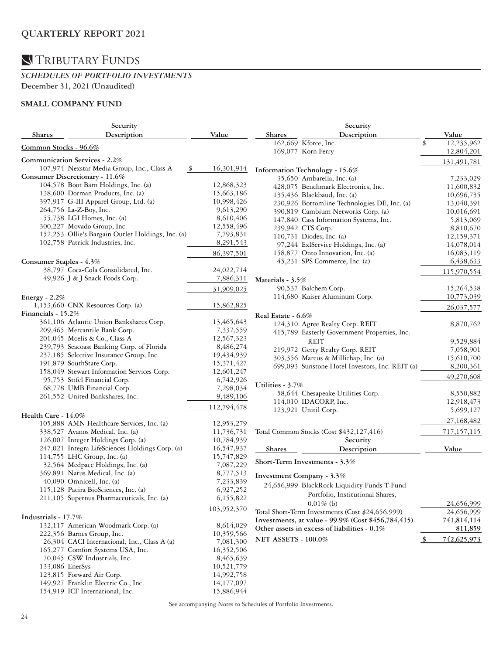#### *SCHEDULES OF PORTFOLIO INVESTMENTS*  **December 31, 2021 (Unaudited)**

### **SMALL COMPANY FUND**

| Security                |                                                   |             | Security                   |                                                    |   |               |  |
|-------------------------|---------------------------------------------------|-------------|----------------------------|----------------------------------------------------|---|---------------|--|
| <b>Shares</b>           | Description                                       | Value       | <b>Shares</b>              | Description                                        |   | Value         |  |
|                         |                                                   |             |                            | 162,669 Kforce, Inc.                               |   | 12,235,962    |  |
| Common Stocks - 96.6%   |                                                   |             |                            | 169,077 Korn Ferry                                 |   | 12,804,201    |  |
|                         | Communication Services - 2.2%                     |             |                            |                                                    |   | 131,491,781   |  |
|                         | 107,974 Nexstar Media Group, Inc., Class A<br>\$  | 16,301,914  |                            | Information Technology - 15.6%                     |   |               |  |
|                         | Consumer Discretionary - 11.6%                    |             |                            | 35,650 Ambarella, Inc. (a)                         |   | 7,233,029     |  |
|                         | 104,578 Boot Barn Holdings, Inc. (a)              | 12,868,323  |                            | 428,075 Benchmark Electronics, Inc.                |   | 11,600,832    |  |
|                         | 138,600 Dorman Products, Inc. (a)                 | 15,663,186  |                            | 135,436 Blackbaud, Inc. (a)                        |   | 10,696,735    |  |
|                         | 397,917 G-III Apparel Group, Ltd. (a)             | 10,998,426  |                            | 230,926 Bottomline Technologies DE, Inc. (a)       |   | 13,040,391    |  |
|                         | 264,756 La-Z-Boy, Inc.                            | 9,613,290   |                            | 390,819 Cambium Networks Corp. (a)                 |   | 10,016,691    |  |
|                         | 55,738 LGI Homes, Inc. (a)                        | 8,610,406   |                            | 147,840 Cass Information Systems, Inc.             |   | 5,813,069     |  |
|                         | 300,227 Movado Group, Inc.                        | 12,558,496  |                            | 239,942 CTS Corp.                                  |   | 8,810,670     |  |
|                         | 152,253 Ollie's Bargain Outlet Holdings, Inc. (a) | 7,793,831   |                            | 110,731 Diodes, Inc. (a)                           |   | 12,159,371    |  |
|                         | 102,758 Patrick Industries, Inc.                  | 8,291,543   |                            | 97,244 ExlService Holdings, Inc. (a)               |   | 14,078,014    |  |
|                         |                                                   | 86,397,501  |                            | 158,877 Onto Innovation, Inc. (a)                  |   | 16,083,119    |  |
| Consumer Staples - 4.3% |                                                   |             |                            | 45,231 SPS Commerce, Inc. (a)                      |   | 6,438,633     |  |
|                         | 38,797 Coca-Cola Consolidated, Inc.               | 24,022,714  |                            |                                                    |   |               |  |
|                         | 49,926 J & J Snack Foods Corp.                    | 7,886,311   |                            |                                                    |   | 115,970,554   |  |
|                         |                                                   |             | Materials - 3.5%           |                                                    |   |               |  |
|                         |                                                   | 31,909,025  |                            | 90,537 Balchem Corp.                               |   | 15,264,538    |  |
| Energy - $2.2%$         |                                                   |             |                            | 114,680 Kaiser Aluminum Corp.                      |   | 10,773,039    |  |
|                         | 1,153,660 CNX Resources Corp. (a)                 | 15,862,825  |                            |                                                    |   | 26,037,577    |  |
| Financials - $15.2%$    |                                                   |             | Real Estate - 6.6%         |                                                    |   |               |  |
|                         | 361,106 Atlantic Union Bankshares Corp.           | 13,465,643  |                            | 124,310 Agree Realty Corp. REIT                    |   | 8,870,762     |  |
|                         | 209,465 Mercantile Bank Corp.                     | 7,337,559   |                            | 415,789 Easterly Government Properties, Inc.       |   |               |  |
|                         | 201,045 Moelis & Co., Class A                     | 12,567,323  |                            | REIT                                               |   | 9,529,884     |  |
|                         | 239,793 Seacoast Banking Corp. of Florida         | 8,486,274   |                            | 219,972 Getty Realty Corp. REIT                    |   | 7,058,901     |  |
|                         | 237,185 Selective Insurance Group, Inc.           | 19,434,939  |                            | 303,356 Marcus & Millichap, Inc. (a)               |   | 15,610,700    |  |
|                         | 191,879 SouthState Corp.                          | 15,371,427  |                            | 699,093 Sunstone Hotel Investors, Inc. REIT (a)    |   | 8,200,361     |  |
|                         | 158,049 Stewart Information Services Corp.        | 12,601,247  |                            |                                                    |   | 49,270,608    |  |
|                         | 95,753 Stifel Financial Corp.                     | 6,742,926   | Utilities - 3.7%           |                                                    |   |               |  |
|                         | 68,778 UMB Financial Corp.                        | 7,298,034   |                            | 58,644 Chesapeake Utilities Corp.                  |   | 8,550,882     |  |
|                         | 261,552 United Bankshares, Inc.                   | 9,489,106   |                            | 114,010 IDACORP, Inc.                              |   | 12,918,473    |  |
|                         |                                                   | 112,794,478 |                            | 123,921 Unitil Corp.                               |   | 5,699,127     |  |
| Health Care - 14.0%     |                                                   |             |                            |                                                    |   |               |  |
|                         | 105,888 AMN Healthcare Services, Inc. (a)         | 12,953,279  |                            |                                                    |   | 27,168,482    |  |
|                         | 338,527 Avanos Medical, Inc. (a)                  | 11,736,731  |                            | Total Common Stocks (Cost \$432,127,416)           |   | 717, 157, 115 |  |
|                         | 126,007 Integer Holdings Corp. (a)                | 10,784,939  |                            | Security                                           |   |               |  |
|                         | 247,021 Integra LifeSciences Holdings Corp. (a)   | 16,547,937  | Shares                     | Description                                        |   | Value         |  |
|                         | 114,755 LHC Group, Inc. (a)                       | 15,747,829  |                            |                                                    |   |               |  |
|                         | 32,564 Medpace Holdings, Inc. (a)                 | 7,087,229   |                            | Short-Term Investments - 3.3%                      |   |               |  |
|                         | 369,891 Natus Medical, Inc. (a)                   | 8,777,513   |                            | Investment Company - 3.3%                          |   |               |  |
|                         | 40,090 Omnicell, Inc. (a)                         | 7,233,839   |                            |                                                    |   |               |  |
|                         | 115,128 Pacira BioSciences, Inc. (a)              | 6,927,252   |                            | 24,656,999 BlackRock Liquidity Funds T-Fund        |   |               |  |
|                         | 211,105 Supernus Pharmaceuticals, Inc. (a)        | 6,155,822   |                            | Portfolio, Institutional Shares,                   |   |               |  |
|                         |                                                   | 103,952,370 |                            | $0.01\%$ (b)                                       |   | 24,656,999    |  |
| Industrials - 17.7%     |                                                   |             |                            | Total Short-Term Investments (Cost \$24,656,999)   |   | 24,656,999    |  |
|                         | 132,117 American Woodmark Corp. (a)               | 8,614,029   |                            | Investments, at value - 99.9% (Cost \$456,784,415) |   | 741,814,114   |  |
|                         | 222,356 Barnes Group, Inc.                        | 10,359,566  |                            | Other assets in excess of liabilities - 0.1%       |   | 811,859       |  |
|                         | 26,304 CACI International, Inc., Class A (a)      | 7,081,300   | <b>NET ASSETS - 100.0%</b> |                                                    | Ş | 742,625,973   |  |
|                         | 165,277 Comfort Systems USA, Inc.                 | 16,352,506  |                            |                                                    |   |               |  |
|                         | 70,045 CSW Industrials, Inc.                      | 8,465,639   |                            |                                                    |   |               |  |
|                         | 133,086 EnerSys                                   | 10,521,779  |                            |                                                    |   |               |  |
|                         | 123,815 Forward Air Corp.                         | 14,992,758  |                            |                                                    |   |               |  |
|                         | 149,927 Franklin Electric Co., Inc.               | 14,177,097  |                            |                                                    |   |               |  |
|                         | 154,919 ICF International, Inc.                   | 15,886,944  |                            |                                                    |   |               |  |
|                         |                                                   |             |                            |                                                    |   |               |  |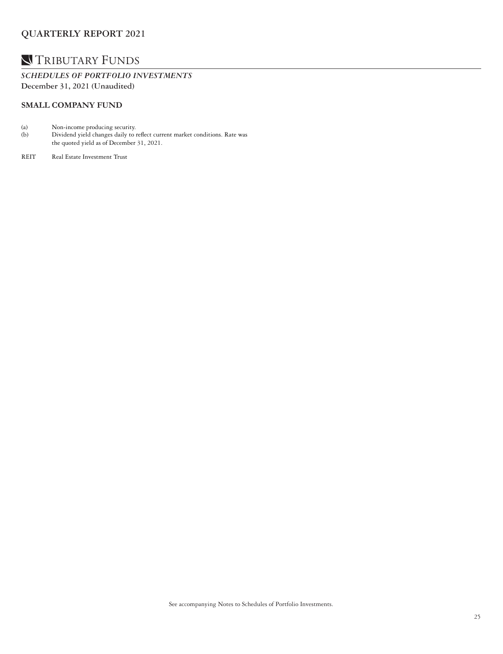### TRIBUTARY FUNDS

*SCHEDULES OF PORTFOLIO INVESTMENTS*  **December 31, 2021 (Unaudited)**

#### **SMALL COMPANY FUND**

- (a) Non-income producing security.<br>
(b) Dividend yield changes daily to
- Dividend yield changes daily to reflect current market conditions. Rate was the quoted yield as of December 31, 2021.
- REIT Real Estate Investment Trust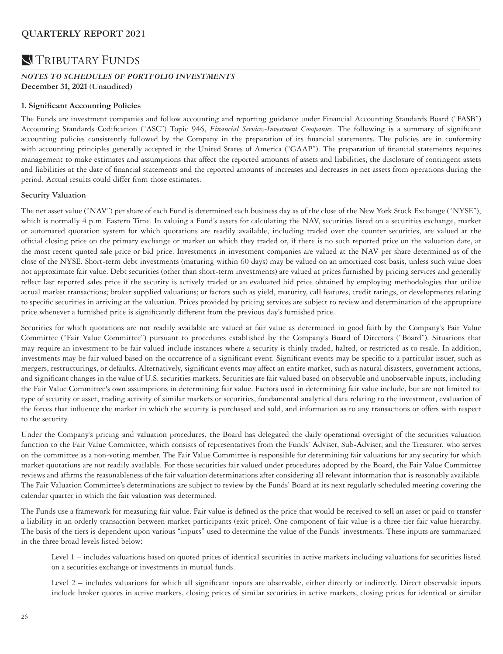### **N**TRIBUTARY FUNDS

#### *NOTES TO SCHEDULES OF PORTFOLIO INVESTMENTS*  **December 31, 2021 (Unaudited)**

#### **1. Significant Accounting Policies**

The Funds are investment companies and follow accounting and reporting guidance under Financial Accounting Standards Board ("FASB") Accounting Standards Codification ("ASC") Topic 946, *Financial Services-Investment Companies*. The following is a summary of significant accounting policies consistently followed by the Company in the preparation of its financial statements. The policies are in conformity with accounting principles generally accepted in the United States of America ("GAAP"). The preparation of financial statements requires management to make estimates and assumptions that affect the reported amounts of assets and liabilities, the disclosure of contingent assets and liabilities at the date of financial statements and the reported amounts of increases and decreases in net assets from operations during the period. Actual results could differ from those estimates.

#### **Security Valuation**

The net asset value ("NAV") per share of each Fund is determined each business day as of the close of the New York Stock Exchange ("NYSE"), which is normally 4 p.m. Eastern Time. In valuing a Fund's assets for calculating the NAV, securities listed on a securities exchange, market or automated quotation system for which quotations are readily available, including traded over the counter securities, are valued at the official closing price on the primary exchange or market on which they traded or, if there is no such reported price on the valuation date, at the most recent quoted sale price or bid price. Investments in investment companies are valued at the NAV per share determined as of the close of the NYSE. Short-term debt investments (maturing within 60 days) may be valued on an amortized cost basis, unless such value does not approximate fair value. Debt securities (other than short-term investments) are valued at prices furnished by pricing services and generally reflect last reported sales price if the security is actively traded or an evaluated bid price obtained by employing methodologies that utilize actual market transactions; broker supplied valuations; or factors such as yield, maturity, call features, credit ratings, or developments relating to specific securities in arriving at the valuation. Prices provided by pricing services are subject to review and determination of the appropriate price whenever a furnished price is significantly different from the previous day's furnished price.

Securities for which quotations are not readily available are valued at fair value as determined in good faith by the Company's Fair Value Committee ("Fair Value Committee") pursuant to procedures established by the Company's Board of Directors ("Board"). Situations that may require an investment to be fair valued include instances where a security is thinly traded, halted, or restricted as to resale. In addition, investments may be fair valued based on the occurrence of a significant event. Significant events may be specific to a particular issuer, such as mergers, restructurings, or defaults. Alternatively, significant events may affect an entire market, such as natural disasters, government actions, and significant changes in the value of U.S. securities markets. Securities are fair valued based on observable and unobservable inputs, including the Fair Value Committee's own assumptions in determining fair value. Factors used in determining fair value include, but are not limited to: type of security or asset, trading activity of similar markets or securities, fundamental analytical data relating to the investment, evaluation of the forces that influence the market in which the security is purchased and sold, and information as to any transactions or offers with respect to the security.

Under the Company's pricing and valuation procedures, the Board has delegated the daily operational oversight of the securities valuation function to the Fair Value Committee, which consists of representatives from the Funds' Adviser, Sub-Adviser, and the Treasurer, who serves on the committee as a non-voting member. The Fair Value Committee is responsible for determining fair valuations for any security for which market quotations are not readily available. For those securities fair valued under procedures adopted by the Board, the Fair Value Committee reviews and affirms the reasonableness of the fair valuation determinations after considering all relevant information that is reasonably available. The Fair Valuation Committee's determinations are subject to review by the Funds' Board at its next regularly scheduled meeting covering the calendar quarter in which the fair valuation was determined.

The Funds use a framework for measuring fair value. Fair value is defined as the price that would be received to sell an asset or paid to transfer a liability in an orderly transaction between market participants (exit price). One component of fair value is a three-tier fair value hierarchy. The basis of the tiers is dependent upon various "inputs" used to determine the value of the Funds' investments. These inputs are summarized in the three broad levels listed below:

Level 1 – includes valuations based on quoted prices of identical securities in active markets including valuations for securities listed on a securities exchange or investments in mutual funds.

Level 2 – includes valuations for which all significant inputs are observable, either directly or indirectly. Direct observable inputs include broker quotes in active markets, closing prices of similar securities in active markets, closing prices for identical or similar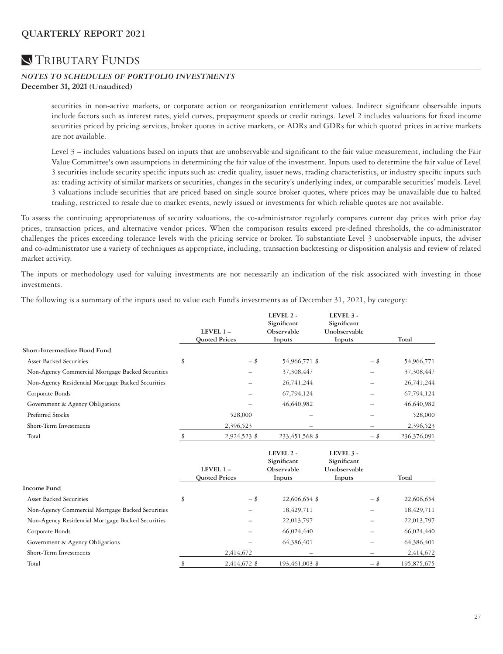### **N**TRIBUTARY FUNDS

#### *NOTES TO SCHEDULES OF PORTFOLIO INVESTMENTS*  **December 31, 2021 (Unaudited)**

securities in non-active markets, or corporate action or reorganization entitlement values. Indirect significant observable inputs include factors such as interest rates, yield curves, prepayment speeds or credit ratings. Level 2 includes valuations for fixed income securities priced by pricing services, broker quotes in active markets, or ADRs and GDRs for which quoted prices in active markets are not available.

Level 3 – includes valuations based on inputs that are unobservable and significant to the fair value measurement, including the Fair Value Committee's own assumptions in determining the fair value of the investment. Inputs used to determine the fair value of Level 3 securities include security specific inputs such as: credit quality, issuer news, trading characteristics, or industry specific inputs such as: trading activity of similar markets or securities, changes in the security's underlying index, or comparable securities' models. Level 3 valuations include securities that are priced based on single source broker quotes, where prices may be unavailable due to halted trading, restricted to resale due to market events, newly issued or investments for which reliable quotes are not available.

To assess the continuing appropriateness of security valuations, the co-administrator regularly compares current day prices with prior day prices, transaction prices, and alternative vendor prices. When the comparison results exceed pre-defined thresholds, the co-administrator challenges the prices exceeding tolerance levels with the pricing service or broker. To substantiate Level 3 unobservable inputs, the adviser and co-administrator use a variety of techniques as appropriate, including, transaction backtesting or disposition analysis and review of related market activity.

The inputs or methodology used for valuing investments are not necessarily an indication of the risk associated with investing in those investments.

The following is a summary of the inputs used to value each Fund's investments as of December 31, 2021, by category:

|                                                   | LEVEL $1-$<br><b>Quoted Prices</b> | LEVEL 2 -<br>Significant<br>Observable<br>Inputs | LEVEL 3 -<br>Significant<br>Unobservable<br>Inputs |        | Total       |
|---------------------------------------------------|------------------------------------|--------------------------------------------------|----------------------------------------------------|--------|-------------|
| Short-Intermediate Bond Fund                      |                                    |                                                  |                                                    |        |             |
| <b>Asset Backed Securities</b>                    | \$<br>$-$ \$                       | 54,966,771 \$                                    |                                                    | - \$   | 54,966,771  |
| Non-Agency Commercial Mortgage Backed Securities  |                                    | 37,308,447                                       |                                                    |        | 37,308,447  |
| Non-Agency Residential Mortgage Backed Securities |                                    | 26,741,244                                       |                                                    |        | 26,741,244  |
| Corporate Bonds                                   |                                    | 67,794,124                                       |                                                    |        | 67,794,124  |
| Government & Agency Obligations                   |                                    | 46,640,982                                       |                                                    |        | 46,640,982  |
| Preferred Stocks                                  | 528,000                            |                                                  |                                                    |        | 528,000     |
| Short-Term Investments                            | 2,396,523                          |                                                  |                                                    | -      | 2,396,523   |
| Total                                             | \$<br>2,924,523 \$                 | 233,451,568 \$                                   |                                                    | $-$ \$ | 236,376,091 |
|                                                   | LEVEL $1-$<br><b>Quoted Prices</b> | LEVEL 2 -<br>Significant<br>Observable<br>Inputs | LEVEL 3 -<br>Significant<br>Unobservable<br>Inputs |        | Total       |
| Income Fund                                       |                                    |                                                  |                                                    |        |             |
| <b>Asset Backed Securities</b>                    | \$<br>$-$ \$                       | 22,606,654 \$                                    |                                                    | - \$   | 22,606,654  |
| Non-Agency Commercial Mortgage Backed Securities  |                                    | 18,429,711                                       |                                                    |        | 18,429,711  |
| Non-Agency Residential Mortgage Backed Securities |                                    | 22,013,797                                       |                                                    |        | 22,013,797  |
| Corporate Bonds                                   |                                    | 66,024,440                                       |                                                    |        | 66,024,440  |
| Government & Agency Obligations                   |                                    | 64,386,401                                       |                                                    |        | 64,386,401  |
| Short-Term Investments                            | 2,414,672                          |                                                  |                                                    | -      | 2,414,672   |
| Total                                             | \$<br>2,414,672 \$                 | 193,461,003 \$                                   |                                                    | $-$ \$ | 195,875,675 |
|                                                   |                                    |                                                  |                                                    |        |             |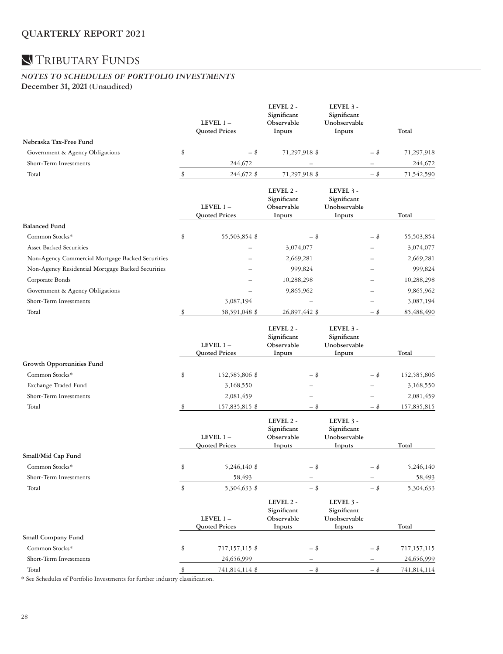### *NOTES TO SCHEDULES OF PORTFOLIO INVESTMENTS*  **December 31, 2021 (Unaudited)**

|                                                   |    | LEVEL 1-<br><b>Quoted Prices</b> | LEVEL 2 -<br>Significant<br>Observable<br>Inputs | LEVEL 3 -<br>Significant<br>Unobservable<br>Inputs |        | Total       |
|---------------------------------------------------|----|----------------------------------|--------------------------------------------------|----------------------------------------------------|--------|-------------|
| Nebraska Tax-Free Fund                            |    |                                  |                                                  |                                                    |        |             |
| Government & Agency Obligations                   | \$ | $-$ \$                           | 71,297,918 \$                                    |                                                    | - \$   | 71,297,918  |
| Short-Term Investments                            |    | 244,672                          |                                                  |                                                    |        | 244,672     |
| Total                                             | \$ | 244,672 \$                       | 71,297,918 \$                                    |                                                    | $-$ \$ | 71,542,590  |
|                                                   |    | LEVEL 1-<br><b>Quoted Prices</b> | LEVEL 2 -<br>Significant<br>Observable<br>Inputs | LEVEL 3 -<br>Significant<br>Unobservable<br>Inputs |        | Total       |
| <b>Balanced Fund</b>                              |    |                                  |                                                  |                                                    |        |             |
| Common Stocks*                                    | \$ | 55,503,854 \$                    | -\$                                              |                                                    | -\$    | 55,503,854  |
| <b>Asset Backed Securities</b>                    |    |                                  | 3,074,077                                        |                                                    |        | 3,074,077   |
| Non-Agency Commercial Mortgage Backed Securities  |    |                                  | 2,669,281                                        |                                                    |        | 2,669,281   |
| Non-Agency Residential Mortgage Backed Securities |    |                                  | 999,824                                          |                                                    |        | 999,824     |
| Corporate Bonds                                   |    |                                  | 10,288,298                                       |                                                    |        | 10,288,298  |
| Government & Agency Obligations                   |    |                                  | 9,865,962                                        |                                                    |        | 9,865,962   |
| Short-Term Investments                            |    | 3,087,194                        |                                                  |                                                    |        | 3,087,194   |
| Total                                             | \$ | 58,591,048 \$                    | 26,897,442 \$                                    |                                                    | $-$ \$ | 85,488,490  |
|                                                   |    | LEVEL 1-<br><b>Quoted Prices</b> | LEVEL 2 -<br>Significant<br>Observable<br>Inputs | LEVEL 3 -<br>Significant<br>Unobservable<br>Inputs |        | Total       |
| Growth Opportunities Fund                         |    |                                  |                                                  |                                                    |        |             |
| Common Stocks*                                    | \$ | 152,585,806 \$                   | - \$                                             |                                                    | - \$   | 152,585,806 |
| Exchange Traded Fund                              |    | 3,168,550                        |                                                  |                                                    |        | 3,168,550   |
| Short-Term Investments                            |    | 2,081,459                        |                                                  |                                                    |        | 2,081,459   |
| Total                                             | \$ | 157,835,815 \$                   | $-$ \$                                           |                                                    | $-$ \$ | 157,835,815 |
|                                                   |    | LEVEL 1-<br><b>Ouoted Prices</b> | LEVEL 2 -<br>Significant<br>Observable<br>Inputs | LEVEL 3 -<br>Significant<br>Unobservable<br>Inputs |        | Total       |
| Small/Mid Cap Fund                                |    |                                  |                                                  |                                                    |        |             |
| Common Stocks*                                    | \$ | 5,246,140 \$                     | - \$                                             |                                                    | - \$   | 5,246,140   |
| Short-Term Investments                            |    | 58,493                           |                                                  |                                                    |        | 58,493      |
| Total                                             | \$ | 5,304,633 \$                     | $-$ \$                                           |                                                    | $-$ \$ | 5,304,633   |
|                                                   |    | LEVEL 1-<br><b>Quoted Prices</b> | LEVEL 2 -<br>Significant<br>Observable<br>Inputs | LEVEL 3 -<br>Significant<br>Unobservable<br>Inputs |        | Total       |
| Small Company Fund                                |    |                                  |                                                  |                                                    |        |             |
| Common Stocks*                                    | \$ | 717,157,115 \$                   | - \$                                             |                                                    | - \$   | 717,157,115 |
| Short-Term Investments                            |    | 24,656,999                       |                                                  |                                                    |        | 24,656,999  |
| Total                                             | S  | 741,814,114 \$                   | $-$ \$                                           |                                                    | $-$ \$ | 741,814,114 |

\* See Schedules of Portfolio Investments for further industry classification.